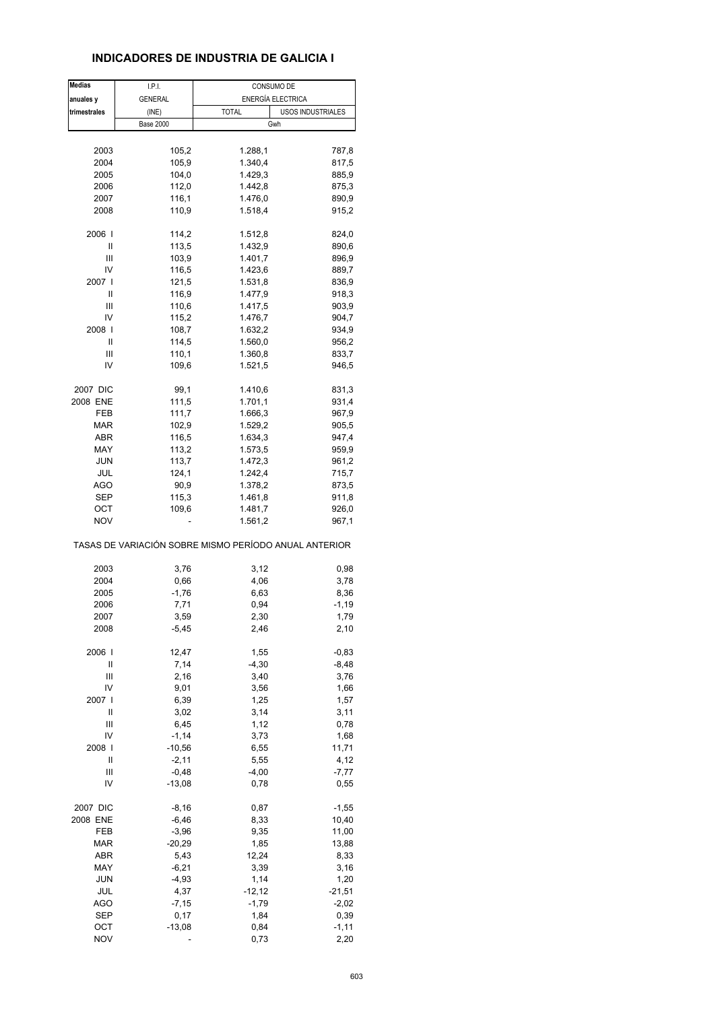# **INDICADORES DE INDUSTRIA DE GALICIA I**

| <b>Medias</b> | I.P.I.           | CONSUMO DE                                            |                   |
|---------------|------------------|-------------------------------------------------------|-------------------|
| anuales y     | <b>GENERAL</b>   | ENERGÍA ELECTRICA                                     |                   |
| trimestrales  | (INE)            | <b>TOTAL</b>                                          | USOS INDUSTRIALES |
|               | <b>Base 2000</b> | Gwh                                                   |                   |
|               |                  |                                                       |                   |
| 2003          | 105,2            | 1.288,1                                               | 787,8             |
| 2004          | 105,9            | 1.340,4                                               | 817,5             |
| 2005          | 104,0            | 1.429,3                                               | 885,9             |
| 2006          | 112,0            | 1.442,8                                               | 875,3             |
| 2007          | 116,1            | 1.476,0                                               | 890,9             |
| 2008          | 110,9            | 1.518,4                                               | 915,2             |
|               |                  |                                                       |                   |
| 2006          | 114,2            | 1.512,8                                               | 824,0             |
| Ш             | 113,5            | 1.432,9                                               | 890,6             |
| Ш             |                  | 1.401,7                                               |                   |
| IV            | 103,9            |                                                       | 896,9             |
|               | 116,5            | 1.423,6                                               | 889,7             |
| 2007 l        | 121,5            | 1.531,8                                               | 836,9             |
| Ш             | 116,9            | 1.477,9                                               | 918,3             |
| Ш             | 110,6            | 1.417,5                                               | 903,9             |
| I٧            | 115,2            | 1.476,7                                               | 904,7             |
| 2008          | 108,7            | 1.632,2                                               | 934,9             |
| Ш             | 114,5            | 1.560,0                                               | 956,2             |
| Ш             | 110,1            | 1.360,8                                               | 833,7             |
| IV            | 109,6            | 1.521,5                                               | 946,5             |
|               |                  |                                                       |                   |
| 2007 DIC      | 99,1             | 1.410,6                                               | 831,3             |
| 2008 ENE      | 111,5            | 1.701,1                                               | 931,4             |
| FEB           | 111,7            | 1.666,3                                               | 967,9             |
| MAR           | 102,9            | 1.529,2                                               | 905,5             |
| ABR           | 116,5            | 1.634,3                                               | 947,4             |
| MAY           | 113,2            | 1.573,5                                               | 959,9             |
| <b>JUN</b>    | 113,7            | 1.472,3                                               | 961,2             |
| JUL           | 124,1            | 1.242,4                                               | 715,7             |
| AGO           | 90,9             | 1.378,2                                               | 873,5             |
| <b>SEP</b>    | 115,3            | 1.461,8                                               | 911,8             |
| ОСТ           | 109,6            | 1.481,7                                               | 926,0             |
| <b>NOV</b>    |                  | 1.561,2                                               | 967,1             |
|               |                  |                                                       |                   |
|               |                  | TASAS DE VARIACIÓN SOBRE MISMO PERÍODO ANUAL ANTERIOR |                   |
|               |                  |                                                       |                   |
| 2003          | 3,76             | 3,12                                                  | 0,98              |
| 2004          | 0,66             | 4,06                                                  | 3,78              |
| 2005          | $-1,76$          | 6,63                                                  | 8,36              |
| 2006          | 7,71             | 0,94                                                  | $-1,19$           |
| 2007          | 3,59             | 2,30                                                  | 1,79              |
| 2008          | -5,45            | 2,46                                                  | 2,10              |
| 2006          | 12,47            |                                                       |                   |
|               |                  | 1,55                                                  | $-0,83$           |
| Ш             | 7,14             | $-4,30$                                               | $-8,48$           |
| Ш             | 2,16             | 3,40                                                  | 3,76              |
| IV            | 9,01             | 3,56                                                  | 1,66              |
| 2007 l        | 6,39             | 1,25                                                  | 1,57              |
| II            | 3,02             | 3,14                                                  | 3,11              |
| Ш             | 6,45             | 1,12                                                  | 0,78              |
| I٧            | $-1, 14$         | 3,73                                                  | 1,68              |
| 2008          | $-10,56$         | 6,55                                                  | 11,71             |
| $\mathbf{I}$  | $-2,11$          | 5,55                                                  | 4,12              |
| Ш             | $-0,48$          | $-4,00$                                               | $-7,77$           |
| I٧            | $-13,08$         | 0,78                                                  | 0,55              |
| 2007 DIC      |                  | 0,87                                                  |                   |
|               | $-8,16$          |                                                       | $-1,55$           |
| 2008 ENE      | $-6,46$          | 8,33                                                  | 10,40             |
| FEB           | $-3,96$          | 9,35                                                  | 11,00             |
| <b>MAR</b>    | $-20,29$         | 1,85                                                  | 13,88             |
| <b>ABR</b>    | 5,43             | 12,24                                                 | 8,33              |
| MAY           | $-6,21$          | 3,39                                                  | 3,16              |
| <b>JUN</b>    | $-4,93$          | 1,14                                                  | 1,20              |
| JUL           | 4,37             | $-12, 12$                                             | $-21,51$          |
| <b>AGO</b>    | $-7,15$          | $-1,79$                                               | $-2,02$           |
| <b>SEP</b>    | 0,17             | 1,84                                                  | 0,39              |
| OCT           | $-13,08$         | 0,84                                                  | $-1, 11$          |
| <b>NOV</b>    |                  | 0,73                                                  | 2,20              |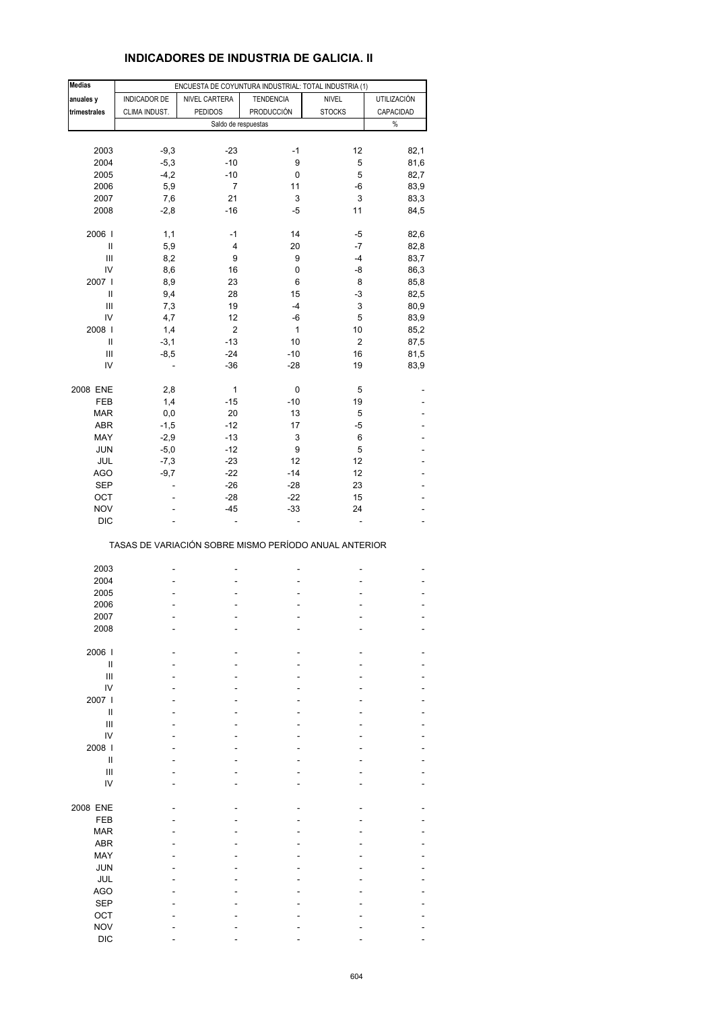# **INDICADORES DE INDUSTRIA DE GALICIA. II**

| <b>Medias</b>              |               | ENCUESTA DE COYUNTURA INDUSTRIAL: TOTAL INDUSTRIA (1) |                  |                |             |
|----------------------------|---------------|-------------------------------------------------------|------------------|----------------|-------------|
| anuales y                  | INDICADOR DE  | NIVEL CARTERA                                         | <b>TENDENCIA</b> | <b>NIVEL</b>   | UTILIZACIÓN |
|                            |               |                                                       |                  |                |             |
| trimestrales               | CLIMA INDUST. | <b>PEDIDOS</b>                                        | PRODUCCIÓN       | <b>STOCKS</b>  | CAPACIDAD   |
|                            |               | Saldo de respuestas                                   |                  |                | $\%$        |
|                            |               |                                                       |                  |                |             |
| 2003                       | $-9,3$        | $-23$                                                 | -1               | 12             | 82,1        |
| 2004                       | $-5,3$        | $-10$                                                 | 9                | 5              | 81,6        |
| 2005                       | $-4,2$        | $-10$                                                 | 0                | 5              | 82,7        |
| 2006                       | 5,9           | 7                                                     | 11               | -6             | 83,9        |
|                            |               |                                                       |                  |                |             |
| 2007                       | 7,6           | 21                                                    | 3                | 3              | 83,3        |
| 2008                       | $-2,8$        | $-16$                                                 | -5               | 11             | 84,5        |
| 2006                       | 1,1           | $-1$                                                  | 14               | -5             | 82,6        |
| $\sf II$                   | 5,9           | 4                                                     | 20               | $-7$           | 82,8        |
| $\mathsf{III}$             |               |                                                       |                  | $-4$           |             |
|                            | 8,2           | 9                                                     | 9                |                | 83,7        |
| IV                         | 8,6           | 16                                                    | 0                | -8             | 86,3        |
| 2007 l                     | 8,9           | 23                                                    | 6                | 8              | 85,8        |
| Ш                          | 9,4           | 28                                                    | 15               | -3             | 82,5        |
| Ш                          | 7,3           | 19                                                    | -4               | 3              | 80,9        |
|                            |               |                                                       |                  |                |             |
| IV                         | 4,7           | 12                                                    | -6               | 5              | 83,9        |
| 2008                       | 1,4           | $\overline{\mathbf{c}}$                               | $\mathbf{1}$     | 10             | 85,2        |
| Ш                          | $-3,1$        | $-13$                                                 | 10               | $\overline{c}$ | 87,5        |
|                            |               |                                                       |                  |                |             |
| Ш                          | $-8,5$        | $-24$                                                 | $-10$            | 16             | 81,5        |
| IV                         | ÷             | $-36$                                                 | $-28$            | 19             | 83,9        |
| 2008 ENE                   | 2,8           | $\mathbf{1}$                                          | 0                | 5              |             |
|                            |               |                                                       |                  |                |             |
| FEB                        | 1,4           | $-15$                                                 | $-10$            | 19             |             |
| <b>MAR</b>                 | 0,0           | 20                                                    | 13               | 5              |             |
| ABR                        | $-1,5$        | $-12$                                                 | 17               | -5             |             |
|                            |               |                                                       |                  |                |             |
| MAY                        | $-2,9$        | $-13$                                                 | 3                | 6              |             |
| <b>JUN</b>                 | $-5,0$        | $-12$                                                 | 9                | 5              |             |
| JUL                        | $-7,3$        | $-23$                                                 | 12               | 12             |             |
| <b>AGO</b>                 | $-9,7$        | $-22$                                                 | $-14$            | 12             |             |
|                            |               |                                                       |                  |                |             |
| <b>SEP</b>                 | ä,            | $-26$                                                 | $-28$            | 23             |             |
| OCT                        |               | $-28$                                                 | $-22$            | 15             |             |
| <b>NOV</b>                 |               | $-45$                                                 | -33              | 24             |             |
| <b>DIC</b>                 |               | ä,                                                    | ÷,               | ä,             | L           |
|                            |               | TASAS DE VARIACIÓN SOBRE MISMO PERÍODO ANUAL ANTERIOR |                  |                |             |
|                            |               |                                                       |                  |                |             |
| 2003                       |               |                                                       |                  | -              |             |
| 2004                       |               |                                                       |                  |                |             |
| 2005                       |               |                                                       |                  |                |             |
|                            |               |                                                       |                  |                |             |
| 2006                       |               |                                                       |                  |                |             |
| 2007                       |               |                                                       |                  |                |             |
| 2008                       |               |                                                       |                  |                |             |
|                            |               |                                                       |                  |                |             |
| 2006                       |               |                                                       |                  |                |             |
| $\sf II$                   |               |                                                       |                  |                |             |
| Ш                          |               |                                                       |                  |                |             |
| IV                         |               |                                                       |                  |                |             |
| 2007                       |               |                                                       |                  |                |             |
|                            |               |                                                       |                  |                |             |
| Ш                          |               |                                                       |                  |                |             |
| $\mathbf{III}$             |               |                                                       |                  |                |             |
| IV                         |               |                                                       |                  |                |             |
| 2008                       |               |                                                       |                  |                |             |
|                            |               |                                                       |                  |                |             |
| $\ensuremath{\mathsf{II}}$ |               |                                                       |                  |                |             |
| Ш                          |               |                                                       |                  |                |             |
| IV                         |               |                                                       |                  |                |             |
|                            |               |                                                       |                  |                |             |
| 2008 ENE                   |               |                                                       |                  |                |             |
| FEB                        |               |                                                       |                  |                |             |
| <b>MAR</b>                 |               |                                                       |                  |                |             |
|                            |               |                                                       |                  |                |             |
| <b>ABR</b>                 |               |                                                       |                  |                |             |
| MAY                        |               |                                                       |                  |                |             |
| <b>JUN</b>                 |               |                                                       |                  |                |             |
|                            |               |                                                       |                  |                |             |
| JUL                        |               |                                                       |                  |                |             |
| <b>AGO</b>                 |               |                                                       |                  |                |             |
| <b>SEP</b>                 |               |                                                       |                  |                |             |
| OCT                        |               |                                                       |                  |                |             |
|                            |               |                                                       |                  |                |             |
| <b>NOV</b>                 |               |                                                       |                  |                |             |
| <b>DIC</b>                 |               |                                                       |                  |                |             |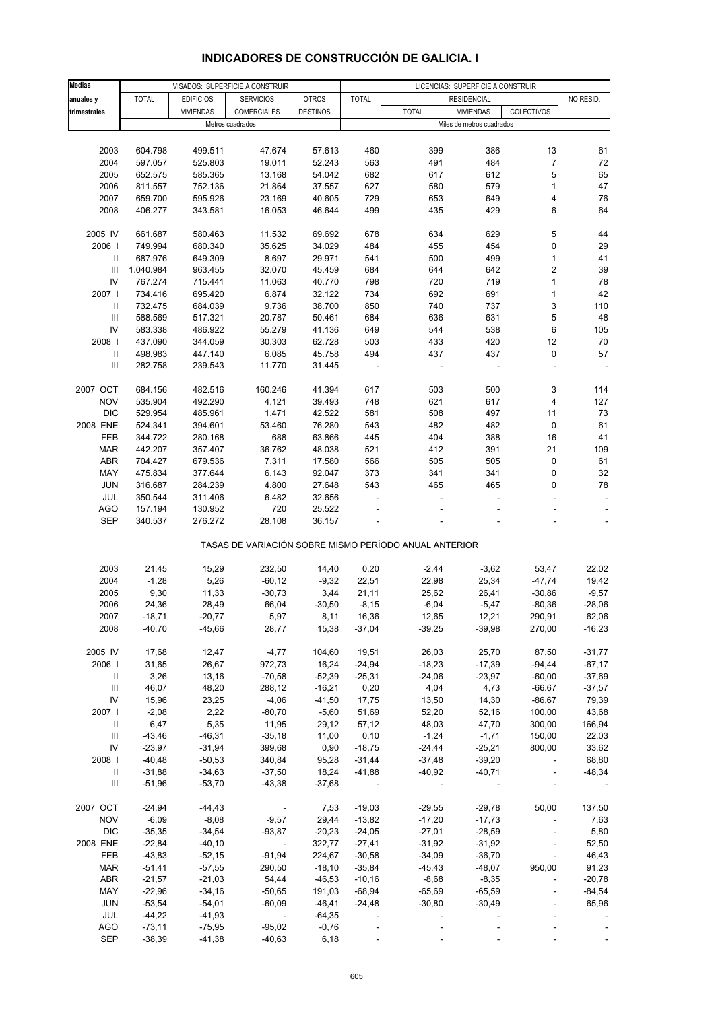| <b>Medias</b>                      |              |                  | VISADOS: SUPERFICIE A CONSTRUIR |                 | LICENCIAS: SUPERFICIE A CONSTRUIR |                                                       |                           |                         |           |
|------------------------------------|--------------|------------------|---------------------------------|-----------------|-----------------------------------|-------------------------------------------------------|---------------------------|-------------------------|-----------|
| anuales y                          | <b>TOTAL</b> | <b>EDIFICIOS</b> | <b>SERVICIOS</b>                | <b>OTROS</b>    | <b>TOTAL</b>                      |                                                       | <b>RESIDENCIAL</b>        |                         | NO RESID. |
| trimestrales                       |              | <b>VIVIENDAS</b> | COMERCIALES                     | <b>DESTINOS</b> |                                   | <b>TOTAL</b>                                          | <b>VIVIENDAS</b>          | COLECTIVOS              |           |
|                                    |              |                  | Metros cuadrados                |                 |                                   |                                                       | Miles de metros cuadrados |                         |           |
|                                    |              |                  |                                 |                 |                                   |                                                       |                           |                         |           |
| 2003                               | 604.798      | 499.511          | 47.674                          | 57.613          | 460                               | 399                                                   | 386                       | 13                      | 61        |
| 2004                               | 597.057      | 525.803          | 19.011                          | 52.243          | 563                               | 491                                                   | 484                       | $\overline{7}$          | 72        |
| 2005                               | 652.575      | 585.365          | 13.168                          | 54.042          | 682                               | 617                                                   | 612                       | 5                       | 65        |
| 2006                               | 811.557      | 752.136          | 21.864                          | 37.557          | 627                               | 580                                                   | 579                       | $\mathbf{1}$            | 47        |
| 2007                               | 659.700      | 595.926          | 23.169                          | 40.605          | 729                               | 653                                                   | 649                       | 4                       | 76        |
| 2008                               | 406.277      | 343.581          | 16.053                          | 46.644          | 499                               | 435                                                   | 429                       | 6                       | 64        |
|                                    |              |                  |                                 |                 |                                   |                                                       |                           |                         |           |
| 2005 IV                            | 661.687      | 580.463          | 11.532                          | 69.692          | 678                               | 634                                                   | 629                       | 5                       | 44        |
| 2006                               | 749.994      | 680.340          | 35.625                          | 34.029          | 484                               | 455                                                   | 454                       | 0                       | 29        |
| Ш                                  | 687.976      | 649.309          | 8.697                           | 29.971          | 541                               | 500                                                   | 499                       | $\mathbf{1}$            | 41        |
| Ш                                  | 1.040.984    | 963.455          | 32.070                          | 45.459          | 684                               | 644                                                   | 642                       | $\overline{\mathbf{c}}$ | 39        |
| IV                                 | 767.274      | 715.441          | 11.063                          | 40.770          | 798                               | 720                                                   | 719                       | 1                       | 78        |
| 2007                               | 734.416      | 695.420          | 6.874                           | 32.122          | 734                               | 692                                                   | 691                       | $\mathbf{1}$            | 42        |
| Ш                                  | 732.475      | 684.039          | 9.736                           | 38.700          | 850                               | 740                                                   | 737                       | 3                       | 110       |
| Ш                                  | 588.569      | 517.321          | 20.787                          | 50.461          | 684                               | 636                                                   | 631                       | 5                       | 48        |
| IV                                 | 583.338      | 486.922          | 55.279                          | 41.136          | 649                               | 544                                                   | 538                       | 6                       | 105       |
| 2008                               | 437.090      | 344.059          | 30.303                          | 62.728          | 503                               | 433                                                   | 420                       | 12                      | 70        |
| Ш                                  | 498.983      | 447.140          | 6.085                           | 45.758          | 494                               | 437                                                   | 437                       | 0                       | 57        |
| $\ensuremath{\mathsf{III}}\xspace$ | 282.758      | 239.543          | 11.770                          | 31.445          |                                   |                                                       |                           |                         |           |
|                                    |              |                  |                                 |                 |                                   |                                                       |                           |                         |           |
| 2007 OCT                           | 684.156      | 482.516          | 160.246                         | 41.394          | 617                               | 503                                                   | 500                       | 3                       | 114       |
| <b>NOV</b>                         | 535.904      | 492.290          | 4.121                           | 39.493          | 748                               | 621                                                   | 617                       | 4                       | 127       |
| <b>DIC</b>                         | 529.954      | 485.961          | 1.471                           | 42.522          | 581                               | 508                                                   | 497                       | 11                      | 73        |
| 2008 ENE                           | 524.341      | 394.601          | 53.460                          | 76.280          | 543                               | 482                                                   | 482                       | 0                       | 61        |
| FEB                                | 344.722      | 280.168          | 688                             | 63.866          | 445                               | 404                                                   | 388                       | 16                      | 41        |
| <b>MAR</b>                         | 442.207      | 357.407          | 36.762                          | 48.038          | 521                               | 412                                                   | 391                       | 21                      | 109       |
| ABR                                | 704.427      | 679.536          | 7.311                           | 17.580          | 566                               | 505                                                   | 505                       | 0                       | 61        |
| MAY                                | 475.834      | 377.644          | 6.143                           | 92.047          | 373                               | 341                                                   | 341                       | 0                       | 32        |
| <b>JUN</b>                         | 316.687      | 284.239          | 4.800                           | 27.648          | 543                               | 465                                                   | 465                       | 0                       | 78        |
| JUL                                | 350.544      | 311.406          | 6.482                           | 32.656          |                                   | $\overline{\phantom{a}}$                              | $\overline{a}$            | ÷                       |           |
| AGO                                | 157.194      | 130.952          | 720                             | 25.522          |                                   |                                                       |                           |                         |           |
| <b>SEP</b>                         | 340.537      | 276.272          | 28.108                          | 36.157          |                                   |                                                       |                           |                         |           |
|                                    |              |                  |                                 |                 |                                   |                                                       |                           |                         |           |
|                                    |              |                  |                                 |                 |                                   | TASAS DE VARIACIÓN SOBRE MISMO PERÍODO ANUAL ANTERIOR |                           |                         |           |
| 2003                               | 21,45        | 15,29            | 232,50                          | 14,40           | 0,20                              | $-2,44$                                               | $-3,62$                   | 53,47                   | 22,02     |
| 2004                               | $-1,28$      | 5,26             | $-60, 12$                       | $-9,32$         | 22,51                             | 22,98                                                 | 25,34                     | $-47,74$                | 19,42     |
| 2005                               | 9,30         | 11,33            | $-30,73$                        | 3,44            | 21,11                             | 25,62                                                 | 26,41                     | $-30,86$                | $-9,57$   |
| 2006                               | 24,36        | 28,49            | 66,04                           | $-30,50$        | $-8,15$                           | $-6,04$                                               | $-5,47$                   | $-80,36$                | $-28,06$  |
| 2007                               | -18,71       | $-20,77$         | 5,97                            | 8,11            | 16,36                             | 12,65                                                 | 12,21                     | 290,91                  | 62,06     |
| 2008                               | $-40,70$     | $-45,66$         | 28,77                           | 15,38           | $-37,04$                          | $-39,25$                                              | $-39,98$                  | 270,00                  | $-16,23$  |
|                                    |              |                  |                                 |                 |                                   |                                                       |                           |                         |           |
| 2005 IV                            | 17,68        | 12,47            | $-4,77$                         | 104,60          | 19,51                             | 26,03                                                 | 25,70                     | 87,50                   | $-31,77$  |
| 2006                               | 31,65        | 26,67            | 972,73                          | 16,24           | $-24,94$                          | $-18,23$                                              | $-17,39$                  | $-94,44$                | $-67,17$  |
| $\mathbf{II}$                      | 3,26         | 13,16            | $-70,58$                        | $-52,39$        | $-25,31$                          | $-24,06$                                              | $-23,97$                  | $-60,00$                | $-37,69$  |
| $\ensuremath{\mathsf{III}}\xspace$ | 46,07        | 48,20            | 288,12                          | $-16,21$        | 0,20                              | 4,04                                                  | 4,73                      | $-66,67$                | $-37,57$  |
| IV                                 | 15,96        | 23,25            | $-4,06$                         | $-41,50$        | 17,75                             | 13,50                                                 | 14,30                     | $-86,67$                | 79,39     |
| 2007                               | $-2,08$      | 2,22             | $-80,70$                        | $-5,60$         | 51,69                             | 52,20                                                 | 52,16                     | 100,00                  | 43,68     |
| $\mathbf{II}$                      | 6,47         | 5,35             | 11,95                           | 29,12           | 57,12                             | 48,03                                                 | 47,70                     | 300,00                  | 166,94    |
| Ш                                  | $-43,46$     | $-46,31$         | $-35,18$                        | 11,00           | 0, 10                             | $-1,24$                                               | $-1,71$                   | 150,00                  | 22,03     |
| ${\sf IV}$                         | $-23,97$     | $-31,94$         | 399,68                          | 0,90            | $-18,75$                          | $-24,44$                                              | $-25,21$                  | 800,00                  | 33,62     |
| 2008                               | $-40,48$     | $-50,53$         | 340,84                          | 95,28           | $-31,44$                          | $-37,48$                                              | $-39,20$                  |                         | 68,80     |
| $\mathbf{H}$                       | $-31,88$     | $-34,63$         | $-37,50$                        | 18,24           | $-41,88$                          | $-40,92$                                              | $-40,71$                  | $\blacksquare$          | $-48,34$  |
| Ш                                  | $-51,96$     | $-53,70$         | $-43,38$                        | $-37,68$        |                                   |                                                       |                           |                         |           |
|                                    |              |                  |                                 |                 |                                   |                                                       |                           |                         |           |
| 2007 OCT                           | $-24,94$     | $-44,43$         | $\blacksquare$                  | 7,53            | $-19,03$                          | $-29,55$                                              | $-29,78$                  | 50,00                   | 137,50    |
| <b>NOV</b>                         | $-6,09$      | $-8,08$          | $-9,57$                         | 29,44           | $-13,82$                          | $-17,20$                                              | $-17,73$                  | $\blacksquare$          | 7,63      |
| <b>DIC</b>                         | $-35,35$     | $-34,54$         | $-93,87$                        | $-20,23$        | $-24,05$                          | $-27,01$                                              | $-28,59$                  |                         | 5,80      |
| 2008 ENE                           | $-22,84$     | $-40,10$         | $\overline{\phantom{a}}$        | 322,77          | $-27,41$                          | $-31,92$                                              | $-31,92$                  | $\blacksquare$          | 52,50     |
| FEB                                | $-43,83$     | $-52,15$         | $-91,94$                        | 224,67          | $-30,58$                          | $-34,09$                                              | $-36,70$                  |                         | 46,43     |
| <b>MAR</b>                         | $-51,41$     | $-57,55$         | 290,50                          | $-18,10$        | $-35,84$                          | $-45,43$                                              | $-48,07$                  | 950,00                  | 91,23     |
| <b>ABR</b>                         | $-21,57$     | $-21,03$         | 54,44                           | $-46,53$        | $-10,16$                          | $-8,68$                                               | $-8,35$                   |                         | $-20,78$  |
| MAY                                | $-22,96$     | $-34,16$         | $-50,65$                        | 191,03          | $-68,94$                          | $-65,69$                                              | $-65,59$                  |                         | $-84,54$  |
| <b>JUN</b>                         | $-53,54$     | $-54,01$         | $-60,09$                        | $-46,41$        | $-24,48$                          | $-30,80$                                              | $-30,49$                  |                         | 65,96     |
| JUL                                | $-44,22$     | $-41,93$         | $\overline{\phantom{a}}$        | $-64,35$        |                                   |                                                       |                           |                         |           |
| <b>AGO</b>                         | $-73,11$     | $-75,95$         | $-95,02$                        | $-0,76$         |                                   |                                                       |                           |                         |           |

# **INDICADORES DE CONSTRUCCIÓN DE GALICIA. I**

SEP -38,39 -41,38 -40,63 6,18 - - - - - - - - - -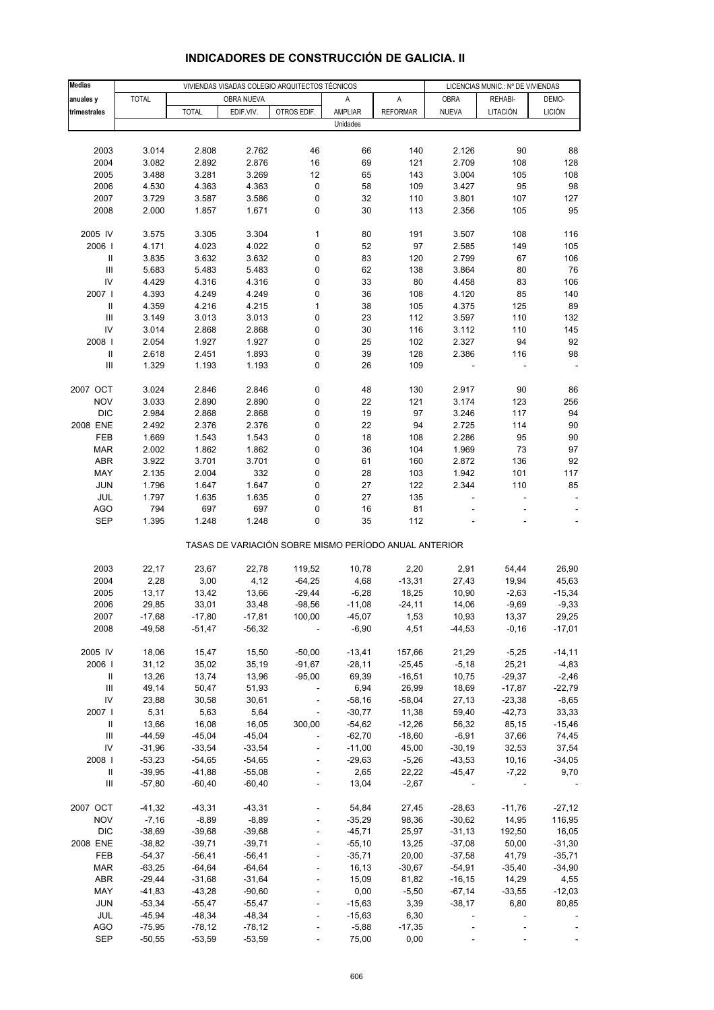| <b>Medias</b>                      |                      | VIVIENDAS VISADAS COLEGIO ARQUITECTOS TÉCNICOS |                      |                                                       |                      |                  |                      | LICENCIAS MUNIC.: Nº DE VIVIENDAS |                   |  |
|------------------------------------|----------------------|------------------------------------------------|----------------------|-------------------------------------------------------|----------------------|------------------|----------------------|-----------------------------------|-------------------|--|
| anuales y                          | <b>TOTAL</b>         |                                                | OBRA NUEVA           |                                                       | Α                    | А                | <b>OBRA</b>          | REHABI-                           | DEMO-             |  |
| trimestrales                       |                      | <b>TOTAL</b>                                   | EDIF.VIV.            | OTROS EDIF.                                           | AMPLIAR              | <b>REFORMAR</b>  | <b>NUEVA</b>         | LITACIÓN                          | <b>LICIÓN</b>     |  |
|                                    |                      |                                                |                      |                                                       | Unidades             |                  |                      |                                   |                   |  |
|                                    |                      |                                                |                      |                                                       |                      |                  |                      |                                   |                   |  |
| 2003                               | 3.014                | 2.808                                          | 2.762                | 46                                                    | 66                   | 140              | 2.126                | 90                                | 88                |  |
| 2004                               | 3.082                | 2.892                                          | 2.876                | 16                                                    | 69                   | 121              | 2.709                | 108                               | 128               |  |
| 2005                               | 3.488                | 3.281                                          | 3.269                | 12                                                    | 65                   | 143              | 3.004                | 105                               | 108               |  |
| 2006                               | 4.530                | 4.363                                          | 4.363                | 0                                                     | 58                   | 109              | 3.427                | 95                                | 98                |  |
| 2007                               | 3.729                | 3.587                                          | 3.586                | 0                                                     | 32                   | 110              | 3.801                | 107                               | 127               |  |
| 2008                               | 2.000                | 1.857                                          | 1.671                | 0                                                     | 30                   | 113              | 2.356                | 105                               | 95                |  |
|                                    |                      |                                                |                      |                                                       |                      |                  |                      |                                   |                   |  |
| 2005 IV                            | 3.575                | 3.305                                          | 3.304                | $\mathbf{1}$                                          | 80                   | 191              | 3.507                | 108                               | 116               |  |
| 2006                               | 4.171                | 4.023                                          | 4.022                | 0                                                     | 52                   | 97               | 2.585                | 149                               | 105               |  |
| $\,$ II                            | 3.835                | 3.632                                          | 3.632                | 0                                                     | 83                   | 120              | 2.799                | 67                                | 106               |  |
| $\ensuremath{\mathsf{III}}\xspace$ | 5.683                | 5.483                                          | 5.483                | 0                                                     | 62                   | 138              | 3.864                | 80                                | 76                |  |
| IV                                 | 4.429                | 4.316                                          | 4.316                | 0                                                     | 33                   | 80               | 4.458                | 83                                | 106               |  |
| 2007                               | 4.393                | 4.249                                          | 4.249                | 0                                                     | 36                   | 108              | 4.120                | 85                                | 140               |  |
| $\ensuremath{\mathsf{II}}$         | 4.359                | 4.216                                          | 4.215                | 1                                                     | 38                   | 105              | 4.375                | 125                               | 89                |  |
| $\ensuremath{\mathsf{III}}\xspace$ | 3.149                | 3.013                                          | 3.013                | 0                                                     | 23                   | 112              | 3.597                | 110                               | 132               |  |
| IV                                 | 3.014                | 2.868                                          | 2.868                | 0                                                     | 30                   | 116              | 3.112                | 110                               | 145               |  |
| 2008                               | 2.054                | 1.927                                          | 1.927                | 0                                                     | 25                   | 102              | 2.327                | 94                                | 92                |  |
| $\ensuremath{\mathsf{II}}$         | 2.618                | 2.451                                          | 1.893                | 0                                                     | 39                   | 128              | 2.386                | 116                               | 98                |  |
| Ш                                  | 1.329                | 1.193                                          | 1.193                | 0                                                     | 26                   | 109              |                      |                                   |                   |  |
| 2007 OCT                           | 3.024                | 2.846                                          | 2.846                | 0                                                     | 48                   | 130              | 2.917                | 90                                | 86                |  |
| <b>NOV</b>                         | 3.033                | 2.890                                          | 2.890                | 0                                                     | 22                   | 121              | 3.174                | 123                               | 256               |  |
| <b>DIC</b>                         | 2.984                | 2.868                                          | 2.868                | 0                                                     | 19                   | 97               | 3.246                | 117                               | 94                |  |
| 2008 ENE                           | 2.492                | 2.376                                          | 2.376                | 0                                                     | 22                   | 94               | 2.725                | 114                               | 90                |  |
| FEB                                | 1.669                | 1.543                                          | 1.543                | 0                                                     | 18                   | 108              | 2.286                | 95                                | 90                |  |
| <b>MAR</b>                         | 2.002                | 1.862                                          | 1.862                | 0                                                     | 36                   | 104              | 1.969                | 73                                | 97                |  |
| ABR                                | 3.922                | 3.701                                          | 3.701                | 0                                                     | 61                   | 160              | 2.872                | 136                               | 92                |  |
| MAY                                | 2.135                | 2.004                                          | 332                  | 0                                                     | 28                   | 103              | 1.942                | 101                               | 117               |  |
| <b>JUN</b>                         | 1.796                | 1.647                                          | 1.647                | 0                                                     | 27                   | 122              | 2.344                | 110                               | 85                |  |
| JUL                                | 1.797                | 1.635                                          | 1.635                | 0                                                     | 27                   | 135              |                      |                                   |                   |  |
| AGO                                | 794                  | 697                                            | 697                  | 0                                                     | 16                   | 81               |                      |                                   |                   |  |
| <b>SEP</b>                         | 1.395                | 1.248                                          | 1.248                | 0                                                     | 35                   | 112              |                      |                                   |                   |  |
|                                    |                      |                                                |                      | TASAS DE VARIACIÓN SOBRE MISMO PERÍODO ANUAL ANTERIOR |                      |                  |                      |                                   |                   |  |
| 2003                               | 22,17                | 23,67                                          | 22,78                | 119,52                                                | 10,78                | 2,20             | 2,91                 | 54,44                             | 26,90             |  |
| 2004                               | 2,28                 | 3,00                                           | 4,12                 | $-64,25$                                              | 4,68                 | $-13,31$         | 27,43                | 19,94                             | 45,63             |  |
| 2005                               | 13,17                | 13,42                                          | 13,66                | $-29,44$                                              | $-6,28$              | 18,25            | 10,90                | $-2,63$                           | $-15,34$          |  |
| 2006                               | 29,85                | 33,01                                          | 33,48                | $-98,56$                                              | $-11,08$             | $-24, 11$        | 14,06                | $-9,69$                           | $-9,33$           |  |
| 2007                               | -17,68               | $-17,80$                                       | -17,81               | 100,00                                                | -45,07               | 1,53             | 10,93                | 13,37                             | 29,25             |  |
| 2008                               | $-49,58$             | $-51,47$                                       | $-56,32$             |                                                       | $-6,90$              | 4,51             | $-44,53$             | $-0,16$                           | $-17,01$          |  |
|                                    |                      |                                                |                      |                                                       |                      |                  |                      |                                   |                   |  |
| 2005 IV                            | 18,06                | 15,47                                          | 15,50                | $-50,00$                                              | $-13,41$             | 157,66           | 21,29                | $-5,25$                           | $-14,11$          |  |
| 2006                               | 31,12                | 35,02                                          | 35,19                | $-91,67$                                              | $-28,11$             | $-25,45$         | $-5,18$              | 25,21                             | $-4,83$           |  |
| Ш                                  | 13,26                | 13,74                                          | 13,96                | $-95,00$                                              | 69,39                | $-16,51$         | 10,75                | $-29,37$                          | $-2,46$           |  |
| $\ensuremath{\mathsf{III}}\xspace$ | 49,14                | 50,47                                          | 51,93                | ÷                                                     | 6,94                 | 26,99            | 18,69                | $-17,87$                          | $-22,79$          |  |
| IV                                 | 23,88                | 30,58                                          | 30,61                | $\overline{\phantom{0}}$                              | $-58,16$             | $-58,04$         | 27,13                | $-23,38$                          | $-8,65$           |  |
| 2007                               | 5,31                 | 5,63                                           | 5,64                 | $\overline{\phantom{m}}$                              | $-30,77$             | 11,38            | 59,40                | $-42,73$                          | 33,33             |  |
| Ш                                  | 13,66                | 16,08                                          | 16,05                | 300,00                                                | $-54,62$             | $-12,26$         | 56,32                | 85,15                             | $-15,46$          |  |
| $\ensuremath{\mathsf{III}}\xspace$ | $-44,59$             | $-45,04$                                       | $-45,04$<br>$-33,54$ | $\overline{\phantom{a}}$                              | $-62,70$<br>$-11,00$ | $-18,60$         | $-6,91$              | 37,66                             | 74,45             |  |
| IV<br>2008 l                       | $-31,96$<br>$-53,23$ | $-33,54$<br>$-54,65$                           | $-54,65$             | $\overline{a}$                                        | $-29,63$             | 45,00<br>$-5,26$ | $-30,19$<br>$-43,53$ | 32,53                             | 37,54<br>$-34,05$ |  |
| Ш                                  | $-39,95$             | $-41,88$                                       | $-55,08$             |                                                       | 2,65                 | 22,22            | $-45,47$             | 10,16<br>$-7,22$                  | 9,70              |  |
| $\ensuremath{\mathsf{III}}\xspace$ | $-57,80$             | $-60,40$                                       | $-60,40$             | ÷,                                                    | 13,04                | $-2,67$          |                      |                                   |                   |  |
|                                    |                      |                                                |                      |                                                       |                      |                  |                      |                                   |                   |  |
| 2007 OCT                           | $-41,32$             | $-43,31$                                       | $-43,31$             |                                                       | 54,84                | 27,45            | $-28,63$             | $-11,76$                          | $-27,12$          |  |
| <b>NOV</b>                         | $-7,16$              | $-8,89$                                        | $-8,89$              | ÷                                                     | $-35,29$             | 98,36            | $-30,62$             | 14,95                             | 116,95            |  |
| <b>DIC</b>                         | $-38,69$             | $-39,68$                                       | $-39,68$             |                                                       | $-45,71$             | 25,97            | $-31,13$             | 192,50                            | 16,05             |  |
| 2008 ENE                           | $-38,82$             | $-39,71$                                       | $-39,71$             |                                                       | $-55,10$             | 13,25            | $-37,08$             | 50,00                             | $-31,30$          |  |
| FEB                                | $-54,37$             | $-56,41$                                       | $-56,41$             | ÷                                                     | $-35,71$             | 20,00            | $-37,58$             | 41,79                             | $-35,71$          |  |
| <b>MAR</b>                         | $-63,25$             | $-64,64$                                       | $-64,64$             |                                                       | 16,13                | $-30,67$         | $-54,91$             | $-35,40$                          | $-34,90$          |  |
| ABR                                | $-29,44$             | $-31,68$                                       | $-31,64$             |                                                       | 15,09                | 81,82            | $-16, 15$            | 14,29                             | 4,55              |  |
| MAY                                | $-41,83$             | $-43,28$                                       | $-90,60$             |                                                       | 0,00                 | $-5,50$          | $-67,14$             | $-33,55$                          | $-12,03$          |  |
| <b>JUN</b>                         | $-53,34$             | $-55,47$                                       | $-55,47$             |                                                       | $-15,63$             | 3,39             | $-38,17$             | 6,80                              | 80,85             |  |
| JUL                                | $-45,94$             | $-48,34$                                       | $-48,34$             |                                                       | $-15,63$             | 6,30             |                      |                                   |                   |  |
| <b>AGO</b>                         | $-75,95$             | $-78,12$                                       | $-78,12$             |                                                       | $-5,88$              | $-17,35$         |                      |                                   |                   |  |
| <b>SEP</b>                         | $-50,55$             | $-53,59$                                       | $-53,59$             |                                                       | 75,00                | 0,00             |                      |                                   |                   |  |

# **INDICADORES DE CONSTRUCCIÓN DE GALICIA. II**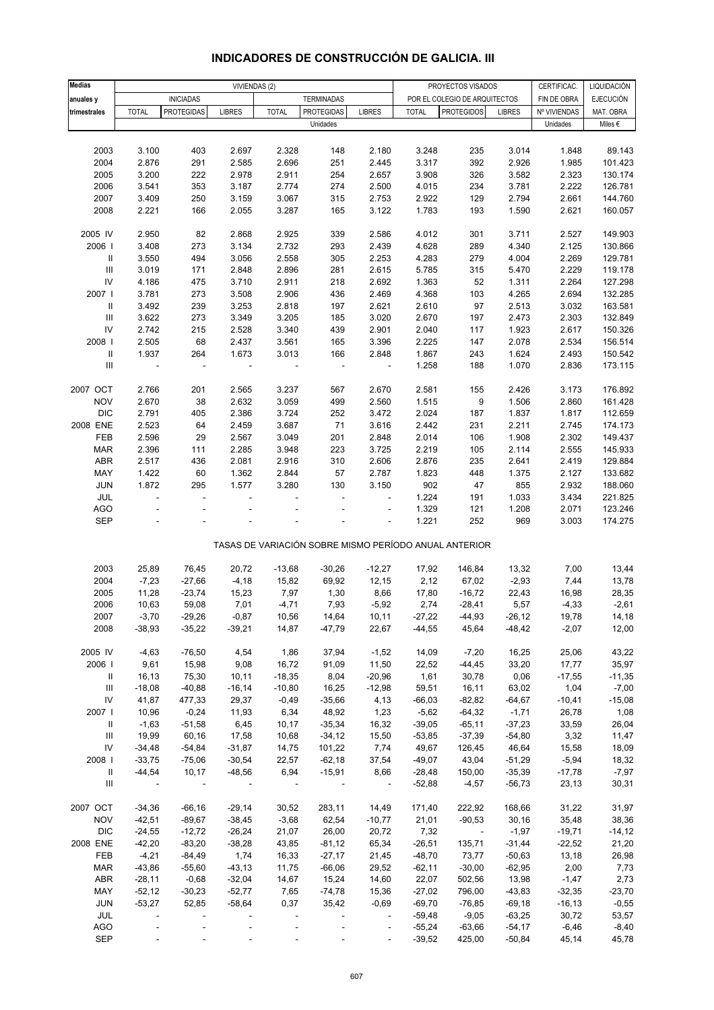| <b>Medias</b>                      |              | VIVIENDAS (2)     |                |              |                                                       |                          | PROYECTOS VISADOS<br>CERTIFICAC. |                               |               |              | LIQUIDACIÓN        |
|------------------------------------|--------------|-------------------|----------------|--------------|-------------------------------------------------------|--------------------------|----------------------------------|-------------------------------|---------------|--------------|--------------------|
|                                    |              |                   |                |              |                                                       |                          |                                  |                               |               |              | EJECUCIÓN          |
| anuales y                          |              | <b>INICIADAS</b>  |                |              | <b>TERMINADAS</b>                                     |                          |                                  | POR EL COLEGIO DE ARQUITECTOS |               | FIN DE OBRA  |                    |
| trimestrales                       | <b>TOTAL</b> | <b>PROTEGIDAS</b> | <b>LIBRES</b>  | <b>TOTAL</b> | <b>PROTEGIDAS</b>                                     | <b>LIBRES</b>            | <b>TOTAL</b>                     | <b>PROTEGIDOS</b>             | <b>LIBRES</b> | Nº VIVIENDAS | MAT. OBRA          |
|                                    |              |                   |                |              | Unidades                                              |                          |                                  |                               |               | Unidades     | Miles $\epsilon$   |
|                                    |              |                   |                |              |                                                       |                          |                                  |                               |               |              |                    |
| 2003                               | 3.100        | 403               | 2.697          | 2.328        | 148                                                   | 2.180                    | 3.248                            | 235                           | 3.014         | 1.848        | 89.143             |
| 2004                               | 2.876        | 291               | 2.585          | 2.696        | 251                                                   | 2.445                    | 3.317                            | 392                           | 2.926         | 1.985        | 101.423            |
| 2005                               | 3.200        | 222               | 2.978          | 2.911        | 254                                                   | 2.657                    | 3.908                            | 326                           | 3.582         | 2.323        | 130.174            |
| 2006                               | 3.541        | 353               | 3.187          | 2.774        | 274                                                   | 2.500                    | 4.015                            | 234                           | 3.781         | 2.222        | 126.781            |
| 2007                               | 3.409        | 250               | 3.159          | 3.067        | 315                                                   | 2.753                    | 2.922                            | 129                           | 2.794         | 2.661        | 144.760            |
| 2008                               | 2.221        | 166               | 2.055          | 3.287        | 165                                                   | 3.122                    | 1.783                            | 193                           | 1.590         | 2.621        | 160.057            |
|                                    |              |                   |                |              |                                                       |                          |                                  |                               |               |              |                    |
| 2005 IV                            | 2.950        | 82                | 2.868          | 2.925        | 339                                                   | 2.586                    | 4.012                            | 301                           | 3.711         | 2.527        | 149.903            |
| 2006                               | 3.408        | 273               | 3.134          | 2.732        | 293                                                   | 2.439                    | 4.628                            | 289                           | 4.340         | 2.125        | 130.866            |
| $\,$ II                            | 3.550        | 494               | 3.056          | 2.558        | 305                                                   | 2.253                    | 4.283                            | 279                           | 4.004         | 2.269        | 129.781            |
| $\ensuremath{\mathsf{III}}\xspace$ | 3.019        | 171               | 2.848          | 2.896        | 281                                                   | 2.615                    | 5.785                            | 315                           | 5.470         | 2.229        | 119.178            |
| ${\sf IV}$                         | 4.186        | 475               | 3.710          | 2.911        | 218                                                   | 2.692                    | 1.363                            | 52                            | 1.311         | 2.264        | 127.298            |
| 2007                               | 3.781        | 273               | 3.508          | 2.906        | 436                                                   | 2.469                    | 4.368                            | 103                           | 4.265         | 2.694        | 132.285            |
| Ш                                  | 3.492        | 239               | 3.253          | 2.818        | 197                                                   | 2.621                    | 2.610                            | 97                            | 2.513         | 3.032        | 163.581            |
| $\ensuremath{\mathsf{III}}\xspace$ | 3.622        | 273               | 3.349          | 3.205        | 185                                                   | 3.020                    | 2.670                            | 197                           | 2.473         | 2.303        | 132.849            |
| ${\sf IV}$                         | 2.742        | 215               | 2.528          |              | 439                                                   |                          | 2.040                            |                               | 1.923         |              |                    |
|                                    |              |                   |                | 3.340        |                                                       | 2.901                    |                                  | 117                           |               | 2.617        | 150.326<br>156.514 |
| 2008                               | 2.505        | 68                | 2.437          | 3.561        | 165                                                   | 3.396                    | 2.225                            | 147                           | 2.078         | 2.534        |                    |
| $\ensuremath{\mathsf{II}}$         | 1.937        | 264               | 1.673          | 3.013        | 166                                                   | 2.848                    | 1.867                            | 243                           | 1.624         | 2.493        | 150.542            |
| $\begin{array}{c} \Pi \end{array}$ |              | ÷,                | ÷              |              | ÷,                                                    | $\overline{\phantom{a}}$ | 1.258                            | 188                           | 1.070         | 2.836        | 173.115            |
|                                    |              |                   |                |              |                                                       |                          |                                  |                               |               |              |                    |
| 2007 OCT                           | 2.766        | 201               | 2.565          | 3.237        | 567                                                   | 2.670                    | 2.581                            | 155                           | 2.426         | 3.173        | 176.892            |
| <b>NOV</b>                         | 2.670        | 38                | 2.632          | 3.059        | 499                                                   | 2.560                    | 1.515                            | 9                             | 1.506         | 2.860        | 161.428            |
| <b>DIC</b>                         | 2.791        | 405               | 2.386          | 3.724        | 252                                                   | 3.472                    | 2.024                            | 187                           | 1.837         | 1.817        | 112.659            |
| 2008 ENE                           | 2.523        | 64                | 2.459          | 3.687        | 71                                                    | 3.616                    | 2.442                            | 231                           | 2.211         | 2.745        | 174.173            |
| FEB                                | 2.596        | 29                | 2.567          | 3.049        | 201                                                   | 2.848                    | 2.014                            | 106                           | 1.908         | 2.302        | 149.437            |
| <b>MAR</b>                         | 2.396        | 111               | 2.285          | 3.948        | 223                                                   | 3.725                    | 2.219                            | 105                           | 2.114         | 2.555        | 145.933            |
| ABR                                | 2.517        | 436               | 2.081          | 2.916        | 310                                                   | 2.606                    | 2.876                            | 235                           | 2.641         | 2.419        | 129.884            |
| MAY                                | 1.422        | 60                | 1.362          | 2.844        | 57                                                    | 2.787                    | 1.823                            | 448                           | 1.375         | 2.127        | 133.682            |
| JUN                                | 1.872        | 295               | 1.577          | 3.280        | 130                                                   | 3.150                    | 902                              | 47                            | 855           | 2.932        | 188.060            |
| JUL                                | L.           | L,                |                |              |                                                       | $\overline{\phantom{a}}$ | 1.224                            | 191                           | 1.033         | 3.434        | 221.825            |
| <b>AGO</b>                         |              |                   |                |              |                                                       | ÷                        | 1.329                            | 121                           | 1.208         | 2.071        | 123.246            |
| <b>SEP</b>                         |              |                   |                |              |                                                       | ÷                        | 1.221                            | 252                           | 969           | 3.003        | 174.275            |
|                                    |              |                   |                |              |                                                       |                          |                                  |                               |               |              |                    |
|                                    |              |                   |                |              | TASAS DE VARIACIÓN SOBRE MISMO PERÍODO ANUAL ANTERIOR |                          |                                  |                               |               |              |                    |
|                                    |              |                   |                |              |                                                       |                          |                                  |                               |               |              |                    |
| 2003                               | 25,89        | 76,45             | 20,72          | $-13,68$     | $-30,26$                                              | $-12,27$                 | 17,92                            | 146,84                        | 13,32         | 7,00         | 13,44              |
| 2004                               | $-7,23$      | $-27,66$          | $-4,18$        | 15,82        | 69,92                                                 | 12,15                    | 2,12                             | 67,02                         | $-2,93$       | 7,44         | 13,78              |
| 2005                               | 11,28        | $-23,74$          | 15,23          | 7,97         | 1,30                                                  | 8,66                     | 17,80                            | $-16,72$                      | 22,43         | 16,98        | 28,35              |
| 2006                               | 10,63        | 59,08             | 7,01           | $-4,71$      | 7,93                                                  | $-5,92$                  | 2,74                             | $-28,41$                      | 5,57          | $-4,33$      | $-2,61$            |
| 2007                               | $-3,70$      | $-29,26$          | $-0,87$        | 10,56        | 14,64                                                 | 10,11                    | $-27,22$                         | $-44,93$                      | $-26,12$      | 19,78        | 14,18              |
| 2008                               | $-38,93$     | $-35,22$          | $-39,21$       | 14,87        | $-47,79$                                              | 22,67                    | $-44,55$                         | 45,64                         | $-48,42$      | $-2,07$      | 12,00              |
|                                    |              |                   |                |              |                                                       |                          |                                  |                               |               |              |                    |
| 2005 IV                            | $-4,63$      | $-76,50$          | 4,54           | 1,86         | 37,94                                                 | $-1,52$                  | 14,09                            | $-7,20$                       | 16,25         | 25,06        | 43,22              |
| 2006                               | 9,61         | 15,98             | 9,08           | 16,72        | 91,09                                                 | 11,50                    | 22,52                            | $-44,45$                      | 33,20         | 17,77        | 35,97              |
| Ш                                  | 16,13        | 75,30             | 10, 11         | $-18,35$     | 8,04                                                  | $-20,96$                 | 1,61                             | 30,78                         | 0,06          | $-17,55$     | $-11,35$           |
| $\ensuremath{\mathsf{III}}\xspace$ | $-18,08$     | $-40,88$          | $-16,14$       | $-10,80$     | 16,25                                                 | $-12,98$                 | 59,51                            | 16,11                         | 63,02         | 1,04         | $-7,00$            |
| ${\sf IV}$                         | 41,87        | 477,33            | 29,37          | $-0,49$      | $-35,66$                                              | 4,13                     | $-66,03$                         | $-82,82$                      | $-64,67$      | $-10,41$     | $-15,08$           |
| 2007                               | 10,96        | $-0,24$           | 11,93          | 6,34         | 48,92                                                 | 1,23                     | $-5,62$                          | $-64,32$                      | $-1,71$       | 26,78        | 1,08               |
| Ш                                  | $-1,63$      | $-51,58$          | 6,45           | 10, 17       | $-35,34$                                              | 16,32                    | $-39,05$                         | $-65,11$                      | $-37,23$      | 33,59        | 26,04              |
| Ш                                  | 19,99        | 60,16             | 17,58          | 10,68        | $-34,12$                                              | 15,50                    | $-53,85$                         | $-37,39$                      | $-54,80$      | 3,32         | 11,47              |
| ${\sf IV}$                         | $-34,48$     | $-54,84$          | $-31,87$       | 14,75        | 101,22                                                | 7,74                     | 49,67                            | 126,45                        | 46,64         | 15,58        | 18,09              |
| 2008                               | $-33,75$     | $-75,06$          | $-30,54$       | 22,57        | $-62,18$                                              | 37,54                    | $-49,07$                         | 43,04                         | $-51,29$      | $-5,94$      | 18,32              |
| Ш                                  | $-44,54$     | 10,17             | $-48,56$       | 6,94         | $-15,91$                                              | 8,66                     |                                  | 150,00                        | $-35,39$      | $-17,78$     | $-7,97$            |
| Ш                                  | $\sim$       | $\sim$ $-$        | $\blacksquare$ | $\sim$       |                                                       | $\overline{\phantom{a}}$ | $-28,48$<br>$-52,88$             | $-4,57$                       | $-56,73$      | 23,13        | 30,31              |
|                                    |              |                   |                |              |                                                       |                          |                                  |                               |               |              |                    |
| 2007 OCT                           | $-34,36$     | $-66,16$          | $-29,14$       | 30,52        | 283,11                                                | 14,49                    | 171,40                           | 222,92                        | 168,66        | 31,22        | 31,97              |
| <b>NOV</b>                         | $-42,51$     | $-89,67$          | $-38,45$       | $-3,68$      | 62,54                                                 | $-10,77$                 | 21,01                            | $-90,53$                      | 30, 16        | 35,48        | 38,36              |
| <b>DIC</b>                         | $-24,55$     | $-12,72$          | $-26,24$       | 21,07        | 26,00                                                 | 20,72                    | 7,32                             | $\sim$                        | $-1,97$       | $-19,71$     | $-14, 12$          |
| 2008 ENE                           | $-42,20$     | $-83,20$          | $-38,28$       | 43,85        | $-81,12$                                              | 65,34                    | $-26,51$                         | 135,71                        | $-31,44$      | $-22,52$     | 21,20              |
| FEB                                | $-4,21$      | $-84,49$          | 1,74           | 16,33        | $-27,17$                                              | 21,45                    | $-48,70$                         | 73,77                         | $-50,63$      | 13,18        | 26,98              |
| <b>MAR</b>                         | $-43,86$     | $-55,60$          | $-43, 13$      | 11,75        | $-66,06$                                              | 29,52                    | $-62,11$                         | $-30,00$                      | $-62,95$      | 2,00         | 7,73               |
| ABR                                | $-28,11$     | $-0,68$           | $-32,04$       | 14,67        | 15,24                                                 | 14,60                    | 22,07                            | 502,56                        | 13,98         | $-1,47$      | 2,73               |
| MAY                                | $-52,12$     | $-30,23$          | $-52,77$       | 7,65         | $-74,78$                                              | 15,36                    | $-27,02$                         | 796,00                        | $-43,83$      | $-32,35$     | $-23,70$           |
| JUN                                | $-53,27$     | 52,85             | $-58,64$       | 0,37         | 35,42                                                 | $-0,69$                  | $-69,70$                         | $-76,85$                      | $-69,18$      | $-16, 13$    | $-0,55$            |
| JUL                                |              |                   |                |              |                                                       | $\overline{\phantom{a}}$ | $-59,48$                         | $-9,05$                       | $-63,25$      | 30,72        | 53,57              |
| AGO                                |              |                   |                |              |                                                       | $\blacksquare$           | $-55,24$                         | $-63,66$                      | $-54,17$      | $-6,46$      |                    |
| <b>SEP</b>                         |              |                   |                |              |                                                       |                          |                                  | 425,00                        |               | 45,14        | $-8,40$<br>45,78   |
|                                    |              |                   |                |              |                                                       |                          | $-39,52$                         |                               | $-50,84$      |              |                    |

## **INDICADORES DE CONSTRUCCIÓN DE GALICIA. III**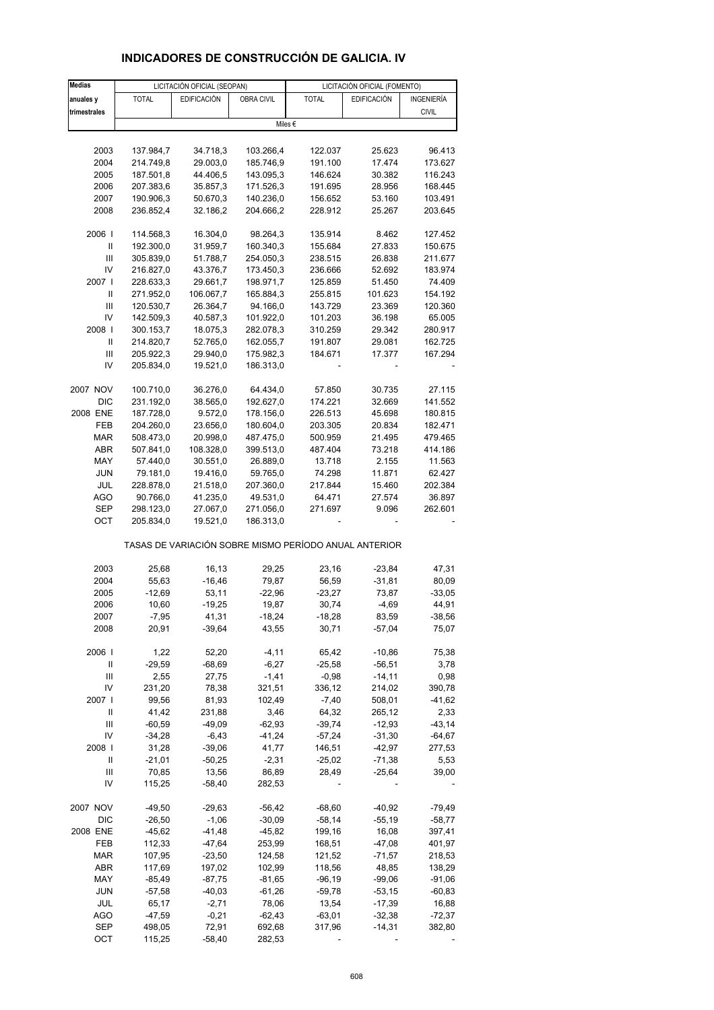| <b>Medias</b>     | LICITACIÓN OFICIAL (SEOPAN)<br>LICITACIÓN OFICIAL (FOMENTO) |                       |                        |                                                       |                      |                    |
|-------------------|-------------------------------------------------------------|-----------------------|------------------------|-------------------------------------------------------|----------------------|--------------------|
| anuales y         | <b>TOTAL</b>                                                | <b>EDIFICACIÓN</b>    | OBRA CIVIL             | <b>TOTAL</b>                                          | <b>EDIFICACIÓN</b>   | INGENIERÍA         |
| trimestrales      |                                                             |                       |                        |                                                       |                      | <b>CIVIL</b>       |
|                   |                                                             |                       |                        | Miles €                                               |                      |                    |
|                   |                                                             |                       |                        |                                                       |                      |                    |
| 2003              | 137.984,7                                                   | 34.718,3              | 103.266,4              | 122.037                                               | 25.623               | 96.413             |
| 2004              | 214.749,8                                                   | 29.003,0              | 185.746,9              | 191.100                                               | 17.474               | 173.627            |
| 2005              | 187.501,8                                                   | 44.406,5              | 143.095,3              | 146.624                                               | 30.382               | 116.243            |
| 2006              | 207.383,6                                                   | 35.857,3              | 171.526,3              | 191.695                                               | 28.956               | 168.445            |
| 2007              | 190.906,3                                                   | 50.670,3              | 140.236,0              | 156.652                                               | 53.160               | 103.491            |
| 2008              | 236.852,4                                                   | 32.186,2              | 204.666,2              | 228.912                                               | 25.267               | 203.645            |
| 2006              | 114.568,3                                                   | 16.304,0              | 98.264,3               | 135.914                                               | 8.462                | 127.452            |
| Ш                 | 192.300,0                                                   | 31.959,7              | 160.340,3              | 155.684                                               | 27.833               | 150.675            |
| Ш                 | 305.839,0                                                   | 51.788,7              | 254.050,3              | 238.515                                               | 26.838               | 211.677            |
| IV                | 216.827,0                                                   | 43.376,7              | 173.450,3              | 236.666                                               | 52.692               | 183.974            |
| 2007 l            | 228.633,3                                                   | 29.661,7              | 198.971,7              | 125.859                                               | 51.450               | 74.409             |
| Ш                 | 271.952,0                                                   | 106.067,7             | 165.884,3              | 255.815                                               | 101.623              | 154.192            |
| Ш                 | 120.530,7                                                   | 26.364,7              | 94.166,0               | 143.729                                               | 23.369               | 120.360            |
| IV                | 142.509,3                                                   | 40.587,3              | 101.922,0              | 101.203                                               | 36.198               | 65.005             |
| 2008              | 300.153,7                                                   | 18.075,3              | 282.078,3              | 310.259                                               | 29.342               | 280.917            |
| Ш                 | 214.820,7                                                   | 52.765,0              | 162.055,7              | 191.807                                               | 29.081               | 162.725            |
| Ш                 | 205.922,3                                                   | 29.940,0              | 175.982,3              | 184.671                                               | 17.377               | 167.294            |
| IV                | 205.834,0                                                   | 19.521,0              | 186.313,0              |                                                       |                      |                    |
|                   |                                                             |                       |                        |                                                       |                      |                    |
| 2007 NOV          | 100.710,0                                                   | 36.276,0              | 64.434,0               | 57.850                                                | 30.735               | 27.115             |
| <b>DIC</b>        | 231.192,0                                                   | 38.565,0              | 192.627,0              | 174.221                                               | 32.669               | 141.552            |
| 2008 ENE          | 187.728,0                                                   | 9.572,0               | 178.156,0              | 226.513                                               | 45.698               | 180.815            |
| FEB<br><b>MAR</b> | 204.260,0<br>508.473,0                                      | 23.656,0              | 180.604,0<br>487.475,0 | 203.305                                               | 20.834               | 182.471            |
| ABR               | 507.841,0                                                   | 20.998,0<br>108.328,0 | 399.513,0              | 500.959<br>487.404                                    | 21.495<br>73.218     | 479.465<br>414.186 |
| MAY               | 57.440,0                                                    | 30.551,0              | 26.889,0               | 13.718                                                | 2.155                | 11.563             |
| <b>JUN</b>        | 79.181,0                                                    | 19.416,0              | 59.765,0               | 74.298                                                | 11.871               | 62.427             |
| JUL               | 228.878,0                                                   | 21.518,0              | 207.360,0              | 217.844                                               | 15.460               | 202.384            |
| <b>AGO</b>        | 90.766,0                                                    | 41.235,0              | 49.531,0               | 64.471                                                | 27.574               | 36.897             |
| SEP               | 298.123,0                                                   | 27.067,0              | 271.056,0              | 271.697                                               | 9.096                | 262.601            |
| OCT               | 205.834,0                                                   | 19.521,0              | 186.313,0              |                                                       |                      |                    |
|                   |                                                             |                       |                        |                                                       |                      |                    |
|                   |                                                             |                       |                        | TASAS DE VARIACIÓN SOBRE MISMO PERÍODO ANUAL ANTERIOR |                      |                    |
|                   |                                                             |                       |                        |                                                       |                      |                    |
| 2003<br>2004      | 25,68<br>55,63                                              | 16,13<br>$-16,46$     | 29,25<br>79,87         | 23,16                                                 | $-23,84$<br>$-31,81$ | 47,31              |
| 2005              | $-12,69$                                                    | 53,11                 | $-22,96$               | 56,59<br>$-23,27$                                     | 73,87                | 80,09<br>$-33,05$  |
| 2006              | 10,60                                                       | $-19,25$              | 19,87                  | 30,74                                                 | $-4.69$              | 44,91              |
| 2007              | $-7,95$                                                     | 41,31                 | $-18,24$               | $-18,28$                                              | 83,59                | $-38,56$           |
| 2008              | 20,91                                                       | $-39,64$              | 43,55                  | 30,71                                                 | $-57,04$             | 75,07              |
|                   |                                                             |                       |                        |                                                       |                      |                    |
| 2006              | 1,22                                                        | 52,20                 | $-4, 11$               | 65,42                                                 | $-10,86$             | 75,38              |
| Ш                 | $-29,59$                                                    | $-68,69$              | $-6,27$                | $-25,58$                                              | $-56,51$             | 3,78               |
| Ш                 | 2,55                                                        | 27,75                 | $-1,41$                | $-0,98$                                               | $-14, 11$            | 0,98               |
| IV                | 231,20                                                      | 78,38                 | 321,51                 | 336,12                                                | 214,02               | 390,78             |
| 2007 l            | 99,56                                                       | 81,93                 | 102,49                 | $-7,40$                                               | 508,01               | $-41,62$           |
| Ш                 | 41,42                                                       | 231,88                | 3,46                   | 64,32                                                 | 265,12               | 2,33               |
| Ш                 | $-60,59$                                                    | $-49,09$              | $-62,93$               | $-39,74$                                              | $-12,93$             | $-43,14$           |
| IV                | $-34,28$                                                    | $-6,43$               | $-41,24$               | $-57,24$                                              | $-31,30$             | $-64,67$           |
| 2008              | 31,28                                                       | $-39,06$              | 41,77                  | 146,51                                                | $-42,97$             | 277,53             |
| Ш                 | $-21,01$                                                    | $-50,25$              | $-2,31$                | $-25,02$                                              | $-71,38$             | 5,53               |
| Ш                 | 70,85                                                       | 13,56                 | 86,89                  | 28,49                                                 | $-25,64$             | 39,00              |
| IV                | 115,25                                                      | -58,40                | 282,53                 |                                                       |                      |                    |
| 2007 NOV          | $-49,50$                                                    | $-29,63$              | $-56,42$               | $-68,60$                                              | $-40,92$             | $-79,49$           |
| <b>DIC</b>        | $-26,50$                                                    | $-1,06$               | $-30,09$               | $-58,14$                                              | $-55,19$             | $-58,77$           |
| 2008 ENE          | $-45,62$                                                    | $-41,48$              | $-45,82$               | 199,16                                                | 16,08                | 397,41             |
| FEB               | 112,33                                                      | -47,64                | 253,99                 | 168,51                                                | $-47,08$             | 401,97             |
| MAR               | 107,95                                                      | $-23,50$              | 124,58                 | 121,52                                                | $-71,57$             | 218,53             |
| ABR               | 117,69                                                      | 197,02                | 102,99                 | 118,56                                                | 48,85                | 138,29             |
| MAY               | $-85,49$                                                    | $-87,75$              | $-81,65$               | $-96,19$                                              | $-99,06$             | $-91,06$           |
| <b>JUN</b>        | $-57,58$                                                    | $-40,03$              | $-61,26$               | $-59,78$                                              | $-53,15$             | $-60,83$           |
| JUL               | 65,17                                                       | $-2,71$               | 78,06                  | 13,54                                                 | $-17,39$             | 16,88              |
| <b>AGO</b>        | $-47,59$                                                    | $-0,21$               | $-62,43$               | $-63,01$                                              | $-32,38$             | $-72,37$           |
| <b>SEP</b>        | 498,05                                                      | 72,91                 | 692,68                 | 317,96                                                | $-14,31$             | 382,80             |

# **INDICADORES DE CONSTRUCCIÓN DE GALICIA. IV**

OCT 115,25 -58,40 282,53 - - - - -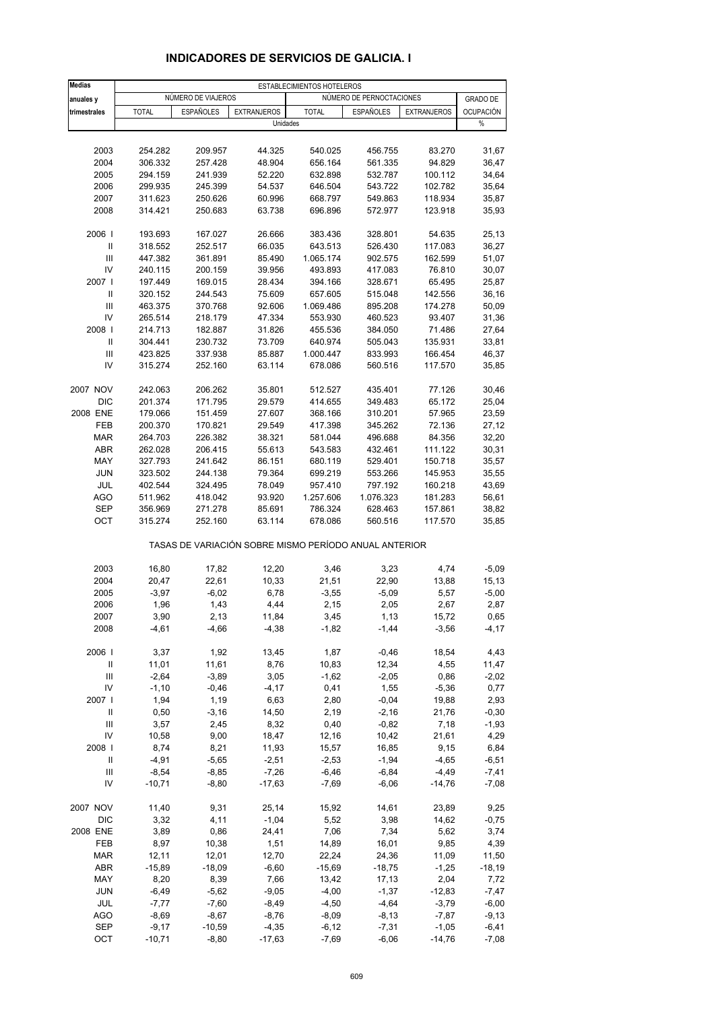| <b>Medias</b>  | ESTABLECIMIENTOS HOTELEROS |                    |                                                       |                    |                          |                    |                 |
|----------------|----------------------------|--------------------|-------------------------------------------------------|--------------------|--------------------------|--------------------|-----------------|
| anuales y      |                            | NÚMERO DE VIAJEROS |                                                       |                    | NÚMERO DE PERNOCTACIONES |                    | <b>GRADO DE</b> |
| trimestrales   | <b>TOTAL</b>               | <b>ESPAÑOLES</b>   | <b>EXTRANJEROS</b>                                    | <b>TOTAL</b>       | <b>ESPAÑOLES</b>         | <b>EXTRANJEROS</b> | OCUPACIÓN       |
|                |                            |                    | Unidades                                              |                    |                          |                    | $\%$            |
|                |                            |                    |                                                       |                    |                          |                    |                 |
| 2003           | 254.282                    | 209.957            | 44.325                                                | 540.025            | 456.755                  | 83.270             | 31,67           |
| 2004           | 306.332                    | 257.428            | 48.904                                                | 656.164            | 561.335                  | 94.829             | 36,47           |
| 2005           | 294.159                    | 241.939            | 52.220                                                | 632.898            | 532.787                  | 100.112            | 34,64           |
| 2006           | 299.935                    | 245.399            | 54.537                                                | 646.504            | 543.722                  | 102.782            | 35,64           |
| 2007           | 311.623                    | 250.626            | 60.996                                                | 668.797            | 549.863                  | 118.934            | 35,87           |
| 2008           | 314.421                    | 250.683            | 63.738                                                | 696.896            | 572.977                  | 123.918            | 35,93           |
| 2006           | 193.693                    | 167.027            | 26.666                                                | 383.436            | 328.801                  | 54.635             | 25,13           |
| $\mathbf{II}$  | 318.552                    | 252.517            | 66.035                                                | 643.513            | 526.430                  | 117.083            | 36,27           |
| Ш              | 447.382                    | 361.891            | 85.490                                                | 1.065.174          | 902.575                  | 162.599            | 51,07           |
| IV<br>2007 l   | 240.115<br>197.449         | 200.159<br>169.015 | 39.956<br>28.434                                      | 493.893<br>394.166 | 417.083<br>328.671       | 76.810<br>65.495   | 30,07<br>25,87  |
| Ш              | 320.152                    | 244.543            | 75.609                                                | 657.605            | 515.048                  | 142.556            | 36,16           |
| Ш              | 463.375                    | 370.768            | 92.606                                                | 1.069.486          | 895.208                  | 174.278            | 50,09           |
| IV             | 265.514                    | 218.179            | 47.334                                                | 553.930            | 460.523                  | 93.407             | 31,36           |
| 2008           | 214.713                    | 182.887            | 31.826                                                | 455.536            | 384.050                  | 71.486             | 27,64           |
| Ш              | 304.441                    | 230.732            | 73.709                                                | 640.974            | 505.043                  | 135.931            | 33,81           |
| Ш              | 423.825                    | 337.938            | 85.887                                                | 1.000.447          | 833.993                  | 166.454            | 46,37           |
| IV             | 315.274                    | 252.160            | 63.114                                                | 678.086            | 560.516                  | 117.570            | 35,85           |
| 2007 NOV       | 242.063                    | 206.262            | 35.801                                                | 512.527            | 435.401                  | 77.126             | 30,46           |
| <b>DIC</b>     | 201.374                    | 171.795            | 29.579                                                | 414.655            | 349.483                  | 65.172             | 25,04           |
| 2008 ENE       | 179.066                    | 151.459            | 27.607                                                | 368.166            | 310.201                  | 57.965             | 23,59           |
| <b>FEB</b>     | 200.370                    | 170.821            | 29.549                                                | 417.398            | 345.262                  | 72.136             | 27,12           |
| <b>MAR</b>     | 264.703                    | 226.382            | 38.321                                                | 581.044            | 496.688                  | 84.356             | 32,20           |
| ABR            | 262.028                    | 206.415            | 55.613                                                | 543.583            | 432.461                  | 111.122            | 30,31           |
| MAY            | 327.793                    | 241.642            | 86.151                                                | 680.119            | 529.401                  | 150.718            | 35,57           |
| <b>JUN</b>     | 323.502                    | 244.138            | 79.364                                                | 699.219            | 553.266                  | 145.953            | 35,55           |
| JUL            | 402.544                    | 324.495            | 78.049                                                | 957.410            | 797.192                  | 160.218            | 43,69           |
| <b>AGO</b>     | 511.962                    | 418.042            | 93.920                                                | 1.257.606          | 1.076.323                | 181.283            | 56,61           |
| <b>SEP</b>     | 356.969                    | 271.278            | 85.691                                                | 786.324            | 628.463                  | 157.861            | 38,82           |
| OCT            | 315.274                    | 252.160            | 63.114                                                | 678.086            | 560.516                  | 117.570            | 35,85           |
|                |                            |                    | TASAS DE VARIACIÓN SOBRE MISMO PERÍODO ANUAL ANTERIOR |                    |                          |                    |                 |
| 2003           | 16,80                      | 17,82              | 12,20                                                 | 3,46               | 3,23                     | 4,74               | $-5,09$         |
| 2004           | 20,47                      | 22,61              | 10,33                                                 | 21,51              | 22,90                    | 13,88              | 15,13           |
| 2005           | $-3,97$                    | $-6,02$            | 6,78                                                  | $-3,55$            | $-5,09$                  | 5,57               | $-5,00$         |
| 2006           | 1,96                       | 1,43               | 4,44                                                  | 2,15               | 2,05                     | 2,67               | 2,87            |
| 2007           | 3,90                       | 2,13               | 11,84                                                 | 3,45               | 1,13                     | 15,72              | 0,65            |
| 2008           | $-4,61$                    | $-4,66$            | $-4,38$                                               | $-1,82$            | $-1,44$                  | $-3,56$            | $-4, 17$        |
| 2006           | 3,37                       | 1,92               | 13,45                                                 | 1,87               | $-0,46$                  | 18,54              | 4,43            |
| Ш              | 11,01                      | 11,61              | 8,76                                                  | 10,83              | 12,34                    | 4,55               | 11,47           |
| $\mathsf{III}$ | $-2,64$                    | $-3,89$            | 3,05                                                  | $-1,62$            | $-2,05$                  | 0,86               | $-2,02$         |
| IV             | $-1,10$                    | $-0,46$            | $-4, 17$                                              | 0,41               | 1,55                     | $-5,36$            | 0,77            |
| 2007           | 1,94                       | 1,19               | 6,63                                                  | 2,80               | $-0,04$                  | 19,88              | 2,93            |
| Ш              | 0,50                       | $-3,16$            | 14,50                                                 | 2,19               | $-2,16$                  | 21,76              | $-0,30$         |
| Ш              | 3,57                       | 2,45               | 8,32                                                  | 0,40               | $-0,82$                  | 7,18               | $-1,93$         |
| IV             | 10,58                      | 9,00               | 18,47                                                 | 12,16              | 10,42                    | 21,61              | 4,29            |
| 2008           | 8,74                       | 8,21               | 11,93                                                 | 15,57              | 16,85                    | 9,15               | 6,84            |
| Ш              | $-4,91$                    | $-5,65$            | $-2,51$                                               | $-2,53$            | $-1,94$                  | $-4,65$            | $-6,51$         |
| Ш              | $-8,54$                    | $-8,85$            | $-7,26$                                               | $-6,46$            | $-6,84$                  | $-4,49$            | $-7,41$         |
| IV             | $-10,71$                   | $-8,80$            | $-17,63$                                              | $-7,69$            | $-6,06$                  | $-14,76$           | $-7,08$         |
| 2007 NOV       | 11,40                      | 9,31               | 25,14                                                 | 15,92              | 14,61                    | 23,89              | 9,25            |
| DIC            | 3,32                       | 4,11               | $-1,04$                                               | 5,52               | 3,98                     | 14,62              | $-0,75$         |
| 2008 ENE       | 3,89                       | 0,86               | 24,41                                                 | 7,06               | 7,34                     | 5,62               | 3,74            |
| FEB            | 8,97                       | 10,38              | 1,51                                                  | 14,89              | 16,01                    | 9,85               | 4,39            |
| <b>MAR</b>     | 12,11                      | 12,01              | 12,70                                                 | 22,24              | 24,36                    | 11,09              | 11,50           |
| ABR            | $-15,89$                   | $-18,09$           | $-6,60$                                               | $-15,69$           | $-18,75$                 | $-1,25$            | $-18,19$        |
| MAY            | 8,20                       | 8,39               | 7,66                                                  | 13,42              | 17,13                    | 2,04               | 7,72            |
| <b>JUN</b>     | $-6,49$                    | $-5,62$            | $-9,05$                                               | $-4,00$            | $-1,37$                  | $-12,83$           | $-7,47$         |
| JUL            | $-7,77$                    | $-7,60$            | $-8,49$                                               | $-4,50$            | $-4,64$                  | $-3,79$            | $-6,00$         |
| <b>AGO</b>     | $-8,69$                    | $-8,67$            | $-8,76$                                               | $-8,09$            | $-8,13$                  | $-7,87$            | $-9,13$         |
| <b>SEP</b>     | $-9,17$                    | $-10,59$           | $-4,35$                                               | $-6, 12$           | $-7,31$                  | $-1,05$            | $-6,41$         |
| OCT            | $-10,71$                   | $-8,80$            | $-17,63$                                              | $-7,69$            | $-6,06$                  | $-14,76$           | $-7,08$         |

## **INDICADORES DE SERVICIOS DE GALICIA. I**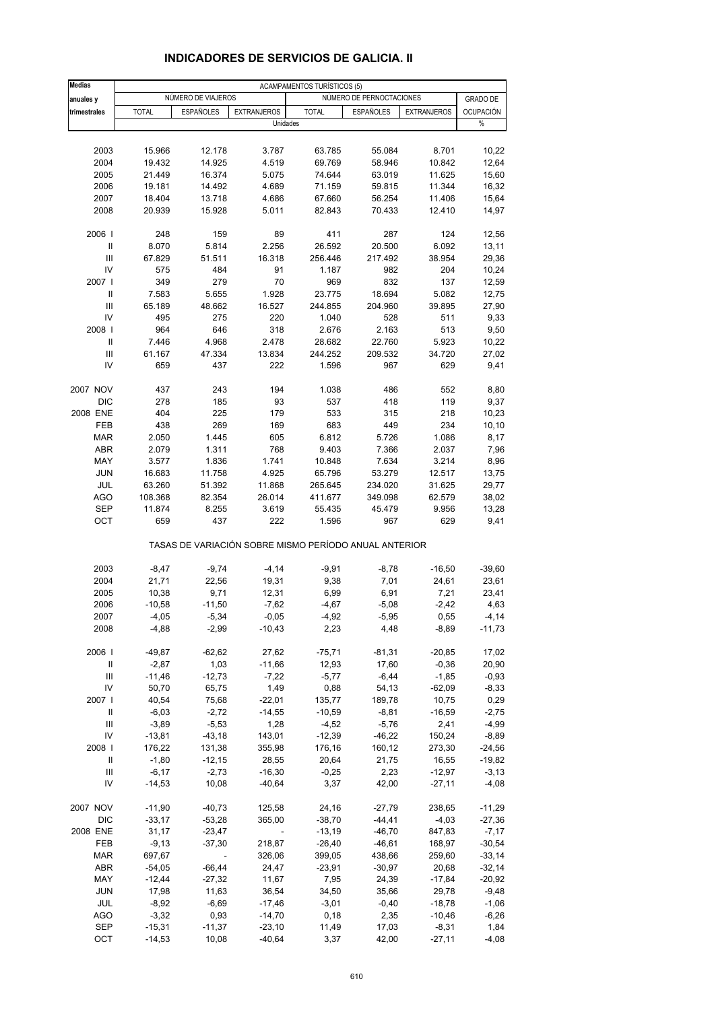| <b>Medias</b>                      | <b>ACAMPAMENTOS TURÍSTICOS (5)</b> |                    |                                                       |                    |                          |                    |                     |
|------------------------------------|------------------------------------|--------------------|-------------------------------------------------------|--------------------|--------------------------|--------------------|---------------------|
| anuales y                          |                                    | NÚMERO DE VIAJEROS |                                                       |                    | NÚMERO DE PERNOCTACIONES |                    | <b>GRADO DE</b>     |
| trimestrales                       | <b>TOTAL</b>                       | <b>ESPAÑOLES</b>   | <b>EXTRANJEROS</b>                                    | <b>TOTAL</b>       | ESPAÑOLES                | <b>EXTRANJEROS</b> | <b>OCUPACIÓN</b>    |
|                                    |                                    |                    | Unidades                                              |                    |                          |                    | $\%$                |
|                                    |                                    |                    |                                                       |                    |                          |                    |                     |
| 2003                               | 15.966                             | 12.178             | 3.787                                                 | 63.785             | 55.084                   | 8.701              | 10,22               |
| 2004<br>2005                       | 19.432<br>21.449                   | 14.925<br>16.374   | 4.519<br>5.075                                        | 69.769<br>74.644   | 58.946<br>63.019         | 10.842<br>11.625   | 12,64<br>15,60      |
| 2006                               | 19.181                             | 14.492             | 4.689                                                 | 71.159             | 59.815                   | 11.344             | 16,32               |
| 2007                               | 18.404                             | 13.718             | 4.686                                                 | 67.660             | 56.254                   | 11.406             | 15,64               |
| 2008                               | 20.939                             | 15.928             | 5.011                                                 | 82.843             | 70.433                   | 12.410             | 14,97               |
|                                    |                                    |                    |                                                       |                    |                          |                    |                     |
| 2006  <br>Ш                        | 248<br>8.070                       | 159<br>5.814       | 89<br>2.256                                           | 411<br>26.592      | 287<br>20.500            | 124<br>6.092       | 12,56<br>13,11      |
| Ш                                  | 67.829                             | 51.511             | 16.318                                                | 256.446            | 217.492                  | 38.954             | 29,36               |
| IV                                 | 575                                | 484                | 91                                                    | 1.187              | 982                      | 204                | 10,24               |
| 2007 l                             | 349                                | 279                | 70                                                    | 969                | 832                      | 137                | 12,59               |
| Ш                                  | 7.583                              | 5.655              | 1.928                                                 | 23.775             | 18.694                   | 5.082              | 12,75               |
| Ш                                  | 65.189                             | 48.662             | 16.527                                                | 244.855            | 204.960                  | 39.895             | 27,90               |
| IV                                 | 495                                | 275                | 220                                                   | 1.040              | 528                      | 511                | 9,33                |
| 2008                               | 964                                | 646                | 318                                                   | 2.676              | 2.163                    | 513                | 9,50                |
| $\mathbf{II}$                      | 7.446                              | 4.968              | 2.478                                                 | 28.682             | 22.760                   | 5.923              | 10,22               |
| Ш                                  | 61.167                             | 47.334             | 13.834                                                | 244.252            | 209.532                  | 34.720             | 27,02               |
| IV                                 | 659                                | 437                | 222                                                   | 1.596              | 967                      | 629                | 9,41                |
| 2007 NOV                           | 437                                | 243                | 194                                                   | 1.038              | 486                      | 552                | 8,80                |
| <b>DIC</b>                         | 278                                | 185                | 93                                                    | 537                | 418                      | 119                | 9,37                |
| 2008 ENE                           | 404                                | 225                | 179                                                   | 533                | 315                      | 218                | 10,23               |
| FEB                                | 438                                | 269                | 169                                                   | 683                | 449                      | 234                | 10, 10              |
| <b>MAR</b>                         | 2.050                              | 1.445              | 605                                                   | 6.812              | 5.726                    | 1.086              | 8,17                |
| <b>ABR</b>                         | 2.079                              | 1.311              | 768                                                   | 9.403              | 7.366                    | 2.037              | 7,96                |
| MAY                                | 3.577                              | 1.836              | 1.741                                                 | 10.848             | 7.634                    | 3.214              | 8,96                |
| <b>JUN</b>                         | 16.683                             | 11.758             | 4.925                                                 | 65.796             | 53.279                   | 12.517             | 13,75               |
| JUL<br><b>AGO</b>                  | 63.260<br>108.368                  | 51.392<br>82.354   | 11.868<br>26.014                                      | 265.645<br>411.677 | 234.020<br>349.098       | 31.625<br>62.579   | 29,77<br>38,02      |
| <b>SEP</b>                         | 11.874                             | 8.255              | 3.619                                                 | 55.435             | 45.479                   | 9.956              | 13,28               |
| OCT                                | 659                                | 437                | 222                                                   | 1.596              | 967                      | 629                | 9,41                |
|                                    |                                    |                    | TASAS DE VARIACIÓN SOBRE MISMO PERÍODO ANUAL ANTERIOR |                    |                          |                    |                     |
| 2003                               | $-8,47$                            | $-9,74$            | $-4, 14$                                              | $-9,91$            | $-8,78$                  | $-16,50$           | $-39,60$            |
| 2004                               | 21,71                              | 22,56              | 19,31                                                 | 9,38               | 7,01                     | 24,61              | 23,61               |
| 2005                               | 10,38                              | 9,71               | 12,31                                                 | 6,99               | 6,91                     | 7,21               | 23,41               |
| 2006                               | $-10,58$                           | $-11,50$           | $-7,62$                                               | $-4,67$            | $-5,08$                  | -2,42              | 4,63                |
| 2007                               | -4,05                              | $-5,34$            | $-0,05$                                               | $-4,92$            | $-5,95$                  | 0,55               | $-4,14$             |
| 2008                               | $-4,88$                            | $-2,99$            | $-10,43$                                              | 2,23               | 4,48                     | $-8,89$            | $-11,73$            |
| 2006                               | $-49,87$                           | $-62,62$           | 27,62                                                 | $-75,71$           | $-81,31$                 | $-20,85$           | 17,02               |
| $\ensuremath{\mathsf{II}}$         | $-2,87$                            | 1,03               | $-11,66$                                              | 12,93              | 17,60                    | $-0,36$            | 20,90               |
| $\ensuremath{\mathsf{III}}\xspace$ | $-11,46$                           | $-12,73$           | $-7,22$                                               | $-5,77$            | $-6,44$                  | $-1,85$            | $-0,93$             |
| IV                                 | 50,70                              | 65,75              | 1,49                                                  | 0,88               | 54,13                    | $-62,09$           | $-8,33$             |
| 2007                               | 40,54                              | 75,68              | $-22,01$                                              | 135,77             | 189,78                   | 10,75              | 0,29                |
| Ш                                  | $-6,03$                            | $-2,72$            | $-14,55$                                              | $-10,59$           | $-8,81$                  | $-16,59$           | $-2,75$             |
| $\ensuremath{\mathsf{III}}\xspace$ | $-3,89$                            | $-5,53$            | 1,28                                                  | $-4,52$            | $-5,76$                  | 2,41               | $-4,99$             |
| IV                                 | $-13,81$                           | $-43,18$           | 143,01                                                | $-12,39$           | $-46,22$                 | 150,24             | $-8,89$             |
| 2008                               | 176,22                             | 131,38             | 355,98                                                | 176,16             | 160,12                   | 273,30             | $-24,56$            |
| Ш                                  | $-1,80$                            | $-12,15$           | 28,55                                                 | 20,64              | 21,75                    | 16,55              | $-19,82$            |
| Ш                                  | $-6,17$                            | $-2,73$            | $-16,30$                                              | $-0,25$            | 2,23                     | $-12,97$           | $-3,13$             |
| IV                                 | $-14,53$                           | 10,08              | $-40,64$                                              | 3,37               | 42,00                    | $-27,11$           | $-4,08$             |
| 2007 NOV                           | $-11,90$                           | $-40,73$           | 125,58                                                | 24,16              | -27,79                   | 238,65             | $-11,29$            |
| DIC                                | $-33,17$                           | $-53,28$           | 365,00                                                | $-38,70$           | $-44, 41$                | $-4,03$            | $-27,36$            |
| 2008 ENE                           | 31,17                              | $-23,47$           | ÷,                                                    | $-13,19$           | $-46,70$                 | 847,83             | $-7,17$             |
| FEB                                | $-9,13$                            | $-37,30$           | 218,87                                                | $-26,40$           | $-46,61$                 | 168,97             | $-30,54$            |
| <b>MAR</b>                         | 697,67                             | $\blacksquare$     | 326,06                                                | 399,05             | 438,66                   | 259,60             | $-33,14$            |
| ABR                                | $-54,05$                           | $-66,44$           | 24,47                                                 | $-23,91$           | $-30,97$                 | 20,68              | $-32,14$            |
| MAY<br>JUN                         | $-12,44$<br>17,98                  | $-27,32$<br>11,63  | 11,67<br>36,54                                        | 7,95<br>34,50      | 24,39<br>35,66           | $-17,84$<br>29,78  | $-20,92$<br>$-9,48$ |
| JUL                                | $-8,92$                            | $-6,69$            | $-17,46$                                              | $-3,01$            | $-0,40$                  | $-18,78$           | $-1,06$             |
| <b>AGO</b>                         | $-3,32$                            | 0,93               | $-14,70$                                              | 0,18               | 2,35                     | $-10,46$           | $-6,26$             |
| SEP                                | $-15,31$                           | $-11,37$           | $-23,10$                                              | 11,49              | 17,03                    | $-8,31$            | 1,84                |
| OCT                                | $-14,53$                           | 10,08              | $-40,64$                                              | 3,37               | 42,00                    | $-27,11$           | $-4,08$             |

#### **INDICADORES DE SERVICIOS DE GALICIA. II**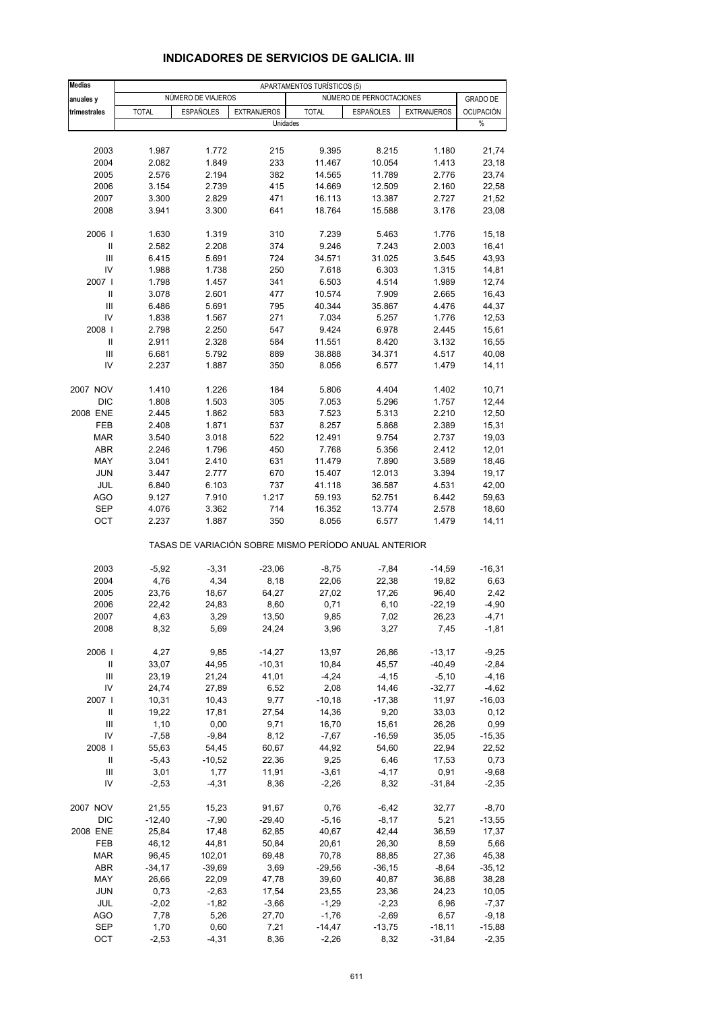| <b>Medias</b>                      | APARTAMENTOS TURÍSTICOS (5) |                    |                    |                |                                                       |                    |                  |
|------------------------------------|-----------------------------|--------------------|--------------------|----------------|-------------------------------------------------------|--------------------|------------------|
| anuales y                          |                             | NÚMERO DE VIAJEROS |                    |                | NÚMERO DE PERNOCTACIONES                              |                    | <b>GRADO DE</b>  |
| trimestrales                       | <b>TOTAL</b>                | <b>ESPAÑOLES</b>   | <b>EXTRANJEROS</b> | <b>TOTAL</b>   | ESPAÑOLES                                             | <b>EXTRANJEROS</b> | <b>OCUPACIÓN</b> |
|                                    |                             |                    | Unidades           |                |                                                       |                    | $\%$             |
| 2003                               | 1.987                       | 1.772              | 215                | 9.395          | 8.215                                                 | 1.180              | 21,74            |
| 2004                               | 2.082                       | 1.849              | 233                | 11.467         | 10.054                                                | 1.413              | 23,18            |
| 2005                               | 2.576                       | 2.194              | 382                | 14.565         | 11.789                                                | 2.776              | 23,74            |
| 2006                               | 3.154                       | 2.739              | 415                | 14.669         | 12.509                                                | 2.160              | 22,58            |
| 2007                               | 3.300                       | 2.829              | 471                | 16.113         | 13.387                                                | 2.727              | 21,52            |
| 2008                               | 3.941                       | 3.300              | 641                | 18.764         | 15.588                                                | 3.176              | 23,08            |
|                                    |                             |                    |                    |                |                                                       |                    |                  |
| 2006  <br>Ш                        | 1.630<br>2.582              | 1.319<br>2.208     | 310<br>374         | 7.239<br>9.246 | 5.463<br>7.243                                        | 1.776<br>2.003     | 15,18<br>16,41   |
| Ш                                  | 6.415                       | 5.691              | 724                | 34.571         | 31.025                                                | 3.545              | 43,93            |
| IV                                 | 1.988                       | 1.738              | 250                | 7.618          | 6.303                                                 | 1.315              | 14,81            |
| 2007                               | 1.798                       | 1.457              | 341                | 6.503          | 4.514                                                 | 1.989              | 12,74            |
| Ш                                  | 3.078                       | 2.601              | 477                | 10.574         | 7.909                                                 | 2.665              | 16,43            |
| Ш                                  | 6.486                       | 5.691              | 795                | 40.344         | 35.867                                                | 4.476              | 44,37            |
| IV                                 | 1.838                       | 1.567              | 271                | 7.034          | 5.257                                                 | 1.776              | 12,53            |
| 2008                               | 2.798                       | 2.250              | 547                | 9.424          | 6.978                                                 | 2.445              | 15,61            |
| $\ensuremath{\mathsf{II}}$         | 2.911                       | 2.328              | 584                | 11.551         | 8.420                                                 | 3.132              | 16,55            |
| Ш                                  | 6.681                       | 5.792              | 889                | 38.888         | 34.371                                                | 4.517              | 40,08            |
| IV                                 | 2.237                       | 1.887              | 350                | 8.056          | 6.577                                                 | 1.479              | 14,11            |
| 2007 NOV                           |                             |                    |                    |                |                                                       |                    |                  |
| <b>DIC</b>                         | 1.410<br>1.808              | 1.226<br>1.503     | 184<br>305         | 5.806<br>7.053 | 4.404<br>5.296                                        | 1.402<br>1.757     | 10,71<br>12,44   |
| 2008 ENE                           | 2.445                       | 1.862              | 583                | 7.523          | 5.313                                                 | 2.210              | 12,50            |
| FEB                                | 2.408                       | 1.871              | 537                | 8.257          | 5.868                                                 | 2.389              | 15,31            |
| <b>MAR</b>                         | 3.540                       | 3.018              | 522                | 12.491         | 9.754                                                 | 2.737              | 19,03            |
| ABR                                | 2.246                       | 1.796              | 450                | 7.768          | 5.356                                                 | 2.412              | 12,01            |
| MAY                                | 3.041                       | 2.410              | 631                | 11.479         | 7.890                                                 | 3.589              | 18,46            |
| <b>JUN</b>                         | 3.447                       | 2.777              | 670                | 15.407         | 12.013                                                | 3.394              | 19,17            |
| JUL                                | 6.840                       | 6.103              | 737                | 41.118         | 36.587                                                | 4.531              | 42,00            |
| <b>AGO</b>                         | 9.127                       | 7.910              | 1.217              | 59.193         | 52.751                                                | 6.442              | 59,63            |
| <b>SEP</b>                         | 4.076                       | 3.362              | 714                | 16.352         | 13.774                                                | 2.578              | 18,60            |
| OCT                                | 2.237                       | 1.887              | 350                | 8.056          | 6.577                                                 | 1.479              | 14,11            |
|                                    |                             |                    |                    |                | TASAS DE VARIACIÓN SOBRE MISMO PERÍODO ANUAL ANTERIOR |                    |                  |
| 2003                               | $-5,92$                     | $-3,31$            | $-23,06$           | $-8,75$        | $-7,84$                                               | $-14,59$           | $-16,31$         |
| 2004                               | 4,76                        | 4,34               | 8,18               | 22,06          | 22,38                                                 | 19,82              | 6,63             |
| 2005                               | 23,76                       | 18,67              | 64,27              | 27,02          | 17,26                                                 | 96,40              | 2,42             |
| 2006                               | 22,42                       | 24,83              | 8,60               | 0,71           | 6, 10                                                 | $-22,19$           | $-4,90$          |
| 2007                               | 4,63                        | 3,29               | 13,50              | 9,85           | 7,02                                                  | 26,23              | -4,71            |
| 2008                               | 8,32                        | 5,69               | 24,24              | 3,96           | 3,27                                                  | 7,45               | $-1,81$          |
| 2006                               | 4,27                        | 9,85               | $-14,27$           | 13,97          | 26,86                                                 | $-13,17$           | $-9,25$          |
| $\ensuremath{\mathsf{II}}$         | 33,07                       | 44,95              | $-10,31$           | 10,84          | 45,57                                                 | $-40,49$           | $-2,84$          |
| $\ensuremath{\mathsf{III}}\xspace$ | 23,19                       | 21,24              | 41,01              | $-4,24$        | $-4, 15$                                              | $-5,10$            | $-4, 16$         |
| IV                                 | 24,74                       | 27,89              | 6,52               | 2,08           | 14,46                                                 | $-32,77$           | $-4,62$          |
| 2007                               | 10,31                       | 10,43              | 9,77               | $-10,18$       | $-17,38$                                              | 11,97              | $-16,03$         |
| Ш                                  | 19,22                       | 17,81              | 27,54              | 14,36          | 9,20                                                  | 33,03              | 0,12             |
| $\ensuremath{\mathsf{III}}\xspace$ | 1,10                        | 0,00               | 9,71               | 16,70          | 15,61                                                 | 26,26              | 0,99             |
| IV                                 | $-7,58$                     | $-9,84$            | 8,12               | $-7,67$        | $-16,59$                                              | 35,05              | $-15,35$         |
| 2008                               | 55,63                       | 54,45              | 60,67              | 44,92          | 54,60                                                 | 22,94              | 22,52            |
| Ш                                  | $-5,43$                     | $-10,52$           | 22,36              | 9,25           | 6,46                                                  | 17,53              | 0,73             |
| Ш                                  | 3,01                        | 1,77               | 11,91              | $-3,61$        | $-4, 17$                                              | 0,91               | $-9,68$          |
| IV                                 | $-2,53$                     | $-4,31$            | 8,36               | $-2,26$        | 8,32                                                  | $-31,84$           | $-2,35$          |
| 2007 NOV                           | 21,55                       | 15,23              | 91,67              | 0,76           | $-6,42$                                               | 32,77              | $-8,70$          |
| DIC                                | $-12,40$                    | $-7,90$            | $-29,40$           | $-5,16$        | $-8,17$                                               | 5,21               | $-13,55$         |
| 2008 ENE                           | 25,84                       | 17,48              | 62,85              | 40,67          | 42,44                                                 | 36,59              | 17,37            |
| FEB                                | 46,12                       | 44,81              | 50,84              | 20,61          | 26,30                                                 | 8,59               | 5,66             |
| <b>MAR</b>                         | 96,45                       | 102,01             | 69,48              | 70,78          | 88,85                                                 | 27,36              | 45,38            |
| ABR                                | $-34,17$                    | $-39,69$           | 3,69               | $-29,56$       | $-36, 15$                                             | $-8,64$            | $-35,12$         |
| MAY                                | 26,66                       | 22,09              | 47,78              | 39,60          | 40,87                                                 | 36,88              | 38,28            |
| JUN                                | 0,73                        | $-2,63$            | 17,54              | 23,55          | 23,36                                                 | 24,23              | 10,05            |
| JUL                                | $-2,02$                     | $-1,82$            | $-3,66$            | $-1,29$        | $-2,23$                                               | 6,96               | $-7,37$          |
| <b>AGO</b>                         | 7,78                        | 5,26               | 27,70              | $-1,76$        | $-2,69$                                               | 6,57               | $-9,18$          |
| <b>SEP</b>                         | 1,70                        | 0,60               | 7,21               | $-14,47$       | $-13,75$                                              | $-18,11$           | $-15,88$         |
| OCT                                | $-2,53$                     | $-4,31$            | 8,36               | $-2,26$        | 8,32                                                  | $-31,84$           | $-2,35$          |

#### **INDICADORES DE SERVICIOS DE GALICIA. III**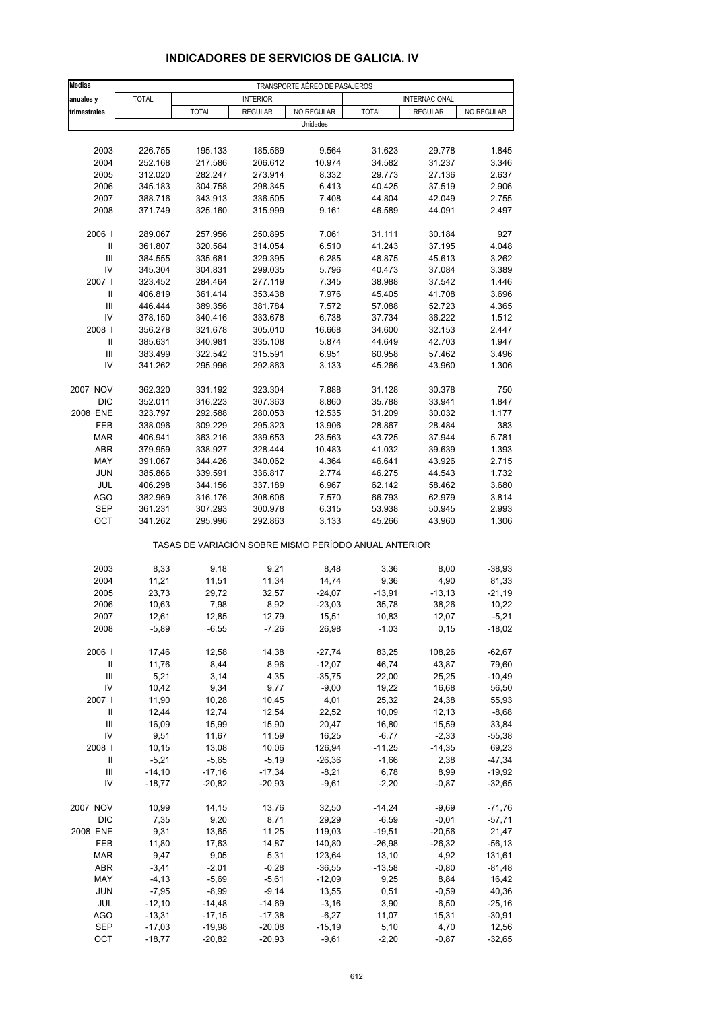| <b>Medias</b>                                                    | TRANSPORTE AÉREO DE PASAJEROS |              |                 |                     |                                                       |                |                   |
|------------------------------------------------------------------|-------------------------------|--------------|-----------------|---------------------|-------------------------------------------------------|----------------|-------------------|
| anuales y                                                        | <b>TOTAL</b>                  |              | <b>INTERIOR</b> |                     |                                                       | INTERNACIONAL  |                   |
| trimestrales                                                     |                               | <b>TOTAL</b> | <b>REGULAR</b>  | NO REGULAR          | <b>TOTAL</b>                                          | <b>REGULAR</b> | NO REGULAR        |
|                                                                  |                               |              |                 | Unidades            |                                                       |                |                   |
|                                                                  |                               |              |                 |                     |                                                       |                |                   |
| 2003                                                             | 226.755                       | 195.133      | 185.569         | 9.564               | 31.623                                                | 29.778         | 1.845             |
| 2004                                                             | 252.168                       | 217.586      | 206.612         | 10.974              | 34.582                                                | 31.237         | 3.346             |
| 2005                                                             | 312.020                       | 282.247      | 273.914         | 8.332               | 29.773                                                | 27.136         | 2.637             |
| 2006                                                             | 345.183                       | 304.758      | 298.345         | 6.413               | 40.425                                                | 37.519         | 2.906             |
| 2007                                                             | 388.716                       | 343.913      | 336.505         | 7.408               | 44.804                                                | 42.049         | 2.755             |
| 2008                                                             | 371.749                       | 325.160      | 315.999         | 9.161               | 46.589                                                | 44.091         | 2.497             |
|                                                                  |                               |              |                 |                     |                                                       |                |                   |
| 2006                                                             | 289.067                       | 257.956      | 250.895         | 7.061               | 31.111                                                | 30.184         | 927               |
| $\ensuremath{\mathsf{II}}$                                       | 361.807                       | 320.564      | 314.054         | 6.510               | 41.243                                                | 37.195         | 4.048             |
| Ш                                                                | 384.555                       | 335.681      | 329.395         | 6.285               | 48.875                                                | 45.613         | 3.262             |
| IV                                                               | 345.304                       | 304.831      | 299.035         | 5.796               | 40.473                                                | 37.084         | 3.389             |
| 2007 l                                                           | 323.452                       | 284.464      | 277.119         | 7.345               | 38.988                                                | 37.542         | 1.446             |
| Ш                                                                | 406.819                       | 361.414      | 353.438         | 7.976               | 45.405                                                | 41.708         | 3.696             |
| $\mathsf{III}$                                                   | 446.444                       | 389.356      | 381.784         | 7.572               | 57.088                                                | 52.723         | 4.365             |
| IV                                                               | 378.150                       | 340.416      | 333.678         | 6.738               | 37.734                                                | 36.222         | 1.512             |
| 2008                                                             | 356.278                       | 321.678      | 305.010         | 16.668              | 34.600                                                | 32.153         | 2.447             |
| Ш                                                                | 385.631                       | 340.981      | 335.108         | 5.874               | 44.649                                                | 42.703         | 1.947             |
| $\mathsf{III}$                                                   | 383.499                       | 322.542      | 315.591         | 6.951               | 60.958                                                | 57.462         | 3.496             |
| IV                                                               | 341.262                       | 295.996      | 292.863         | 3.133               | 45.266                                                | 43.960         | 1.306             |
| 2007 NOV                                                         | 362.320                       | 331.192      | 323.304         | 7.888               | 31.128                                                | 30.378         | 750               |
| <b>DIC</b>                                                       | 352.011                       | 316.223      | 307.363         | 8.860               | 35.788                                                | 33.941         | 1.847             |
| 2008 ENE                                                         | 323.797                       | 292.588      | 280.053         | 12.535              | 31.209                                                | 30.032         | 1.177             |
| FEB                                                              | 338.096                       | 309.229      | 295.323         | 13.906              | 28.867                                                | 28.484         | 383               |
| <b>MAR</b>                                                       | 406.941                       | 363.216      | 339.653         | 23.563              | 43.725                                                | 37.944         | 5.781             |
| <b>ABR</b>                                                       | 379.959                       | 338.927      | 328.444         | 10.483              | 41.032                                                | 39.639         | 1.393             |
| MAY                                                              | 391.067                       | 344.426      | 340.062         | 4.364               | 46.641                                                | 43.926         | 2.715             |
| <b>JUN</b>                                                       | 385.866                       | 339.591      | 336.817         | 2.774               | 46.275                                                | 44.543         | 1.732             |
| JUL                                                              | 406.298                       | 344.156      | 337.189         | 6.967               | 62.142                                                | 58.462         | 3.680             |
| <b>AGO</b>                                                       | 382.969                       | 316.176      | 308.606         | 7.570               | 66.793                                                | 62.979         | 3.814             |
| SEP                                                              | 361.231                       | 307.293      | 300.978         | 6.315               | 53.938                                                | 50.945         | 2.993             |
| OCT                                                              | 341.262                       | 295.996      | 292.863         | 3.133               | 45.266                                                | 43.960         | 1.306             |
|                                                                  |                               |              |                 |                     | TASAS DE VARIACIÓN SOBRE MISMO PERÍODO ANUAL ANTERIOR |                |                   |
| 2003                                                             | 8,33                          | 9,18         | 9,21            | 8,48                | 3,36                                                  | 8,00           | $-38,93$          |
| 2004                                                             | 11,21                         | 11,51        | 11,34           | 14,74               | 9,36                                                  | 4,90           | 81,33             |
| 2005                                                             | 23,73                         | 29,72        | 32,57           | $-24,07$            | $-13,91$                                              | $-13,13$       | $-21,19$          |
| 2006                                                             | 10,63                         | 7,98         | 8,92            | $-23,03$            | 35,78                                                 | 38,26          | 10,22             |
| 2007                                                             | 12,61                         | 12,85        | 12,79           | 15,51               | 10,83                                                 | 12,07          | -5,21             |
| 2008                                                             | $-5,89$                       | $-6,55$      | $-7,26$         | 26,98               | $-1,03$                                               | 0, 15          | $-18,02$          |
|                                                                  |                               |              |                 |                     |                                                       |                |                   |
| 2006                                                             | 17,46                         | 12,58        | 14,38           | $-27,74$            | 83,25                                                 | 108,26         | $-62,67$          |
| $\ensuremath{\mathsf{II}}$<br>$\ensuremath{\mathsf{III}}\xspace$ | 11,76<br>5,21                 | 8,44         | 8,96            | $-12,07$            | 46,74                                                 | 43,87          | 79,60             |
| IV                                                               | 10,42                         | 3,14<br>9,34 | 4,35<br>9,77    | $-35,75$<br>$-9,00$ | 22,00                                                 | 25,25<br>16,68 | $-10,49$<br>56,50 |
| 2007 l                                                           | 11,90                         | 10,28        | 10,45           | 4,01                | 19,22<br>25,32                                        | 24,38          | 55,93             |
| Ш                                                                | 12,44                         | 12,74        | 12,54           | 22,52               | 10,09                                                 | 12,13          | $-8,68$           |
| $\ensuremath{\mathsf{III}}\xspace$                               | 16,09                         | 15,99        | 15,90           | 20,47               | 16,80                                                 | 15,59          | 33,84             |
| IV                                                               | 9,51                          | 11,67        | 11,59           | 16,25               | $-6,77$                                               | $-2,33$        | $-55,38$          |
| 2008                                                             | 10,15                         | 13,08        | 10,06           | 126,94              | $-11,25$                                              | $-14,35$       | 69,23             |
| Ш                                                                | $-5,21$                       | $-5,65$      | $-5,19$         | $-26,36$            | $-1,66$                                               | 2,38           | $-47,34$          |
| Ш                                                                | $-14,10$                      | $-17,16$     | $-17,34$        | $-8,21$             | 6,78                                                  | 8,99           | $-19,92$          |
| IV                                                               | $-18,77$                      | $-20,82$     | $-20,93$        | $-9,61$             | $-2,20$                                               | $-0,87$        | $-32,65$          |
| 2007 NOV                                                         | 10,99                         | 14,15        | 13,76           | 32,50               | $-14,24$                                              | $-9,69$        | $-71,76$          |
| DIC                                                              | 7,35                          | 9,20         | 8,71            | 29,29               | $-6,59$                                               | $-0,01$        | $-57,71$          |
| 2008 ENE                                                         | 9,31                          | 13,65        | 11,25           | 119,03              | $-19,51$                                              | $-20,56$       | 21,47             |
| FEB                                                              | 11,80                         | 17,63        | 14,87           | 140,80              | $-26,98$                                              | $-26,32$       | $-56, 13$         |
| <b>MAR</b>                                                       | 9,47                          | 9,05         | 5,31            | 123,64              | 13,10                                                 | 4,92           | 131,61            |
| ABR                                                              | $-3,41$                       | $-2,01$      | $-0,28$         | $-36,55$            | $-13,58$                                              | $-0,80$        | $-81,48$          |
| MAY                                                              | $-4, 13$                      | $-5,69$      | $-5,61$         | $-12,09$            | 9,25                                                  | 8,84           | 16,42             |
| <b>JUN</b>                                                       | $-7,95$                       | $-8,99$      | $-9,14$         | 13,55               | 0,51                                                  | $-0,59$        | 40,36             |
| JUL                                                              | $-12,10$                      | $-14,48$     | $-14,69$        | $-3,16$             | 3,90                                                  | 6,50           | $-25,16$          |
| <b>AGO</b>                                                       | $-13,31$                      | $-17,15$     | $-17,38$        | $-6,27$             | 11,07                                                 | 15,31          | $-30,91$          |
| <b>SEP</b>                                                       | $-17,03$                      | $-19,98$     | $-20,08$        | $-15,19$            | 5,10                                                  | 4,70           | 12,56             |
| OCT                                                              | $-18,77$                      | $-20,82$     | $-20,93$        | $-9,61$             | $-2,20$                                               | $-0,87$        | $-32,65$          |

## **INDICADORES DE SERVICIOS DE GALICIA. IV**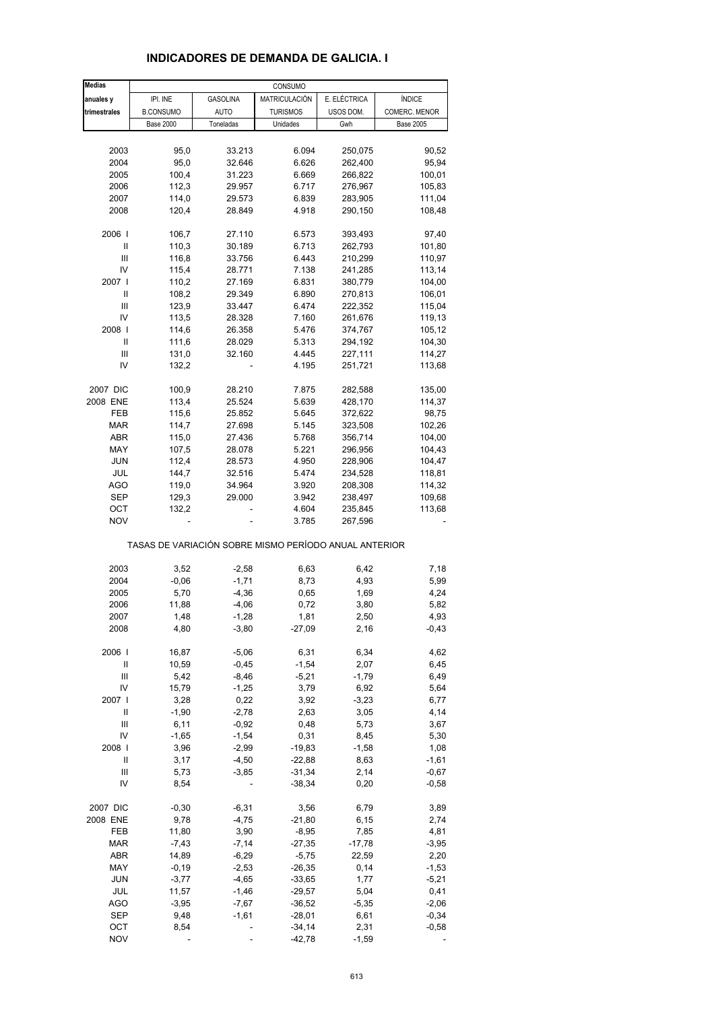| <b>Medias</b>    |                  |                 | CONSUMO                                               |              |                  |
|------------------|------------------|-----------------|-------------------------------------------------------|--------------|------------------|
| anuales y        | IPI. INE         | <b>GASOLINA</b> | MATRICULACIÓN                                         | E. ELÉCTRICA | <b>ÍNDICE</b>    |
| trimestrales     | <b>B.CONSUMO</b> | <b>AUTO</b>     | <b>TURISMOS</b>                                       | USOS DOM.    | COMERC. MENOR    |
|                  | <b>Base 2000</b> | Toneladas       | Unidades                                              | Gwh          | <b>Base 2005</b> |
|                  |                  |                 |                                                       |              |                  |
| 2003             | 95,0             | 33.213          | 6.094                                                 | 250,075      | 90,52            |
| 2004             | 95,0             | 32.646          | 6.626                                                 | 262,400      | 95,94            |
| 2005             | 100,4            | 31.223          | 6.669                                                 | 266,822      | 100,01           |
| 2006             | 112,3            | 29.957          | 6.717                                                 | 276,967      | 105,83           |
| 2007             | 114,0            | 29.573          | 6.839                                                 | 283,905      | 111,04           |
|                  |                  |                 |                                                       |              |                  |
| 2008             | 120,4            | 28.849          | 4.918                                                 | 290,150      | 108,48           |
| 2006             | 106,7            | 27.110          | 6.573                                                 | 393,493      | 97,40            |
| Ш                | 110,3            | 30.189          | 6.713                                                 | 262,793      | 101,80           |
| $\mathsf{III}\,$ | 116,8            | 33.756          | 6.443                                                 | 210,299      | 110,97           |
| IV               | 115,4            | 28.771          | 7.138                                                 | 241,285      | 113,14           |
| 2007 l           | 110,2            | 27.169          | 6.831                                                 | 380,779      | 104,00           |
| Ш                | 108,2            | 29.349          | 6.890                                                 | 270,813      | 106,01           |
|                  |                  |                 |                                                       |              |                  |
| Ш                | 123,9            | 33.447          | 6.474                                                 | 222,352      | 115,04           |
| IV               | 113,5            | 28.328          | 7.160                                                 | 261,676      | 119,13           |
| 2008             | 114,6            | 26.358          | 5.476                                                 | 374,767      | 105,12           |
| Ш                | 111,6            | 28.029          | 5.313                                                 | 294,192      | 104,30           |
| Ш                | 131,0            | 32.160          | 4.445                                                 | 227,111      | 114,27           |
| IV               | 132,2            |                 | 4.195                                                 | 251,721      | 113,68           |
|                  |                  |                 |                                                       |              |                  |
| 2007 DIC         | 100,9            | 28.210          | 7.875                                                 | 282,588      | 135,00           |
| 2008 ENE         | 113,4            | 25.524          | 5.639                                                 | 428,170      | 114,37           |
| FEB              | 115,6            | 25.852          | 5.645                                                 | 372,622      | 98,75            |
| MAR              | 114,7            | 27.698          | 5.145                                                 | 323,508      | 102,26           |
| ABR              | 115,0            | 27.436          | 5.768                                                 | 356,714      | 104,00           |
| MAY              | 107,5            | 28.078          | 5.221                                                 | 296,956      | 104,43           |
| JUN              | 112,4            | 28.573          | 4.950                                                 | 228,906      | 104,47           |
| JUL              | 144,7            | 32.516          | 5.474                                                 | 234,528      | 118,81           |
| <b>AGO</b>       |                  |                 |                                                       |              |                  |
|                  | 119,0            | 34.964          | 3.920                                                 | 208,308      | 114,32           |
| SEP              | 129,3            | 29.000          | 3.942                                                 | 238,497      | 109,68           |
| ОСТ              | 132,2            |                 | 4.604                                                 | 235,845      | 113,68           |
| <b>NOV</b>       |                  |                 | 3.785                                                 | 267,596      |                  |
|                  |                  |                 | TASAS DE VARIACIÓN SOBRE MISMO PERÍODO ANUAL ANTERIOR |              |                  |
| 2003             | 3,52             | $-2,58$         | 6,63                                                  | 6,42         | 7,18             |
| 2004             | $-0,06$          | $-1,71$         | 8,73                                                  | 4,93         | 5,99             |
| 2005             | 5,70             | $-4,36$         | 0,65                                                  | 1,69         | 4,24             |
| 2006             | 11,88            | $-4,06$         | 0,72                                                  | 3,80         | 5,82             |
| 2007             | 1,48             | $-1,28$         | 1,81                                                  | 2,50         | 4,93             |
| 2008             | 4,80             | $-3,80$         | $-27,09$                                              | 2,16         | $-0,43$          |
|                  |                  |                 |                                                       |              |                  |
| 2006             | 16,87            | $-5,06$         | 6,31                                                  | 6,34         | 4,62             |
| Ш                | 10,59            | $-0,45$         | $-1,54$                                               | 2,07         | 6,45             |
| Ш                | 5,42             | $-8,46$         | $-5,21$                                               | $-1,79$      | 6,49             |
| IV               | 15,79            | $-1,25$         | 3,79                                                  | 6,92         | 5,64             |
| 2007 l           | 3,28             | 0,22            | 3,92                                                  | $-3,23$      | 6,77             |
| Ш                | $-1,90$          | $-2,78$         | 2,63                                                  | 3,05         | 4,14             |
| $\mathsf{III}\,$ | 6,11             | $-0,92$         | 0,48                                                  | 5,73         | 3,67             |
| IV               | $-1,65$          | $-1,54$         | 0,31                                                  | 8,45         | 5,30             |
| 2008             | 3,96             | $-2,99$         | $-19,83$                                              | $-1,58$      | 1,08             |
|                  |                  |                 |                                                       |              |                  |
| Ш                | 3,17             | $-4,50$         | $-22,88$                                              | 8,63         | $-1,61$          |
| Ш                | 5,73             | $-3,85$         | $-31,34$                                              | 2,14         | $-0,67$          |
| IV               | 8,54             |                 | $-38,34$                                              | 0,20         | $-0,58$          |
| 2007 DIC         | $-0,30$          | $-6,31$         | 3,56                                                  | 6,79         | 3,89             |
| 2008 ENE         | 9,78             | $-4,75$         | $-21,80$                                              | 6,15         | 2,74             |
| FEB              | 11,80            | 3,90            | $-8,95$                                               | 7,85         | 4,81             |
| MAR              | $-7,43$          | $-7,14$         | $-27,35$                                              | $-17,78$     | $-3,95$          |
|                  |                  |                 |                                                       |              |                  |
| ABR              | 14,89            | $-6,29$         | $-5,75$                                               | 22,59        | 2,20             |
| MAY              | $-0,19$          | $-2,53$         | $-26,35$                                              | 0,14         | $-1,53$          |
| JUN              | $-3,77$          | $-4,65$         | $-33,65$                                              | 1,77         | $-5,21$          |
| JUL              | 11,57            | $-1,46$         | $-29,57$                                              | 5,04         | 0,41             |
| <b>AGO</b>       | $-3,95$          | $-7,67$         | $-36,52$                                              | $-5,35$      | $-2,06$          |
| SEP              | 9,48             | $-1,61$         | $-28,01$                                              | 6,61         | $-0,34$          |
| OCT              | 8,54             |                 | $-34,14$                                              | 2,31         | $-0,58$          |
| <b>NOV</b>       |                  |                 | $-42,78$                                              | $-1,59$      |                  |

## **INDICADORES DE DEMANDA DE GALICIA. I**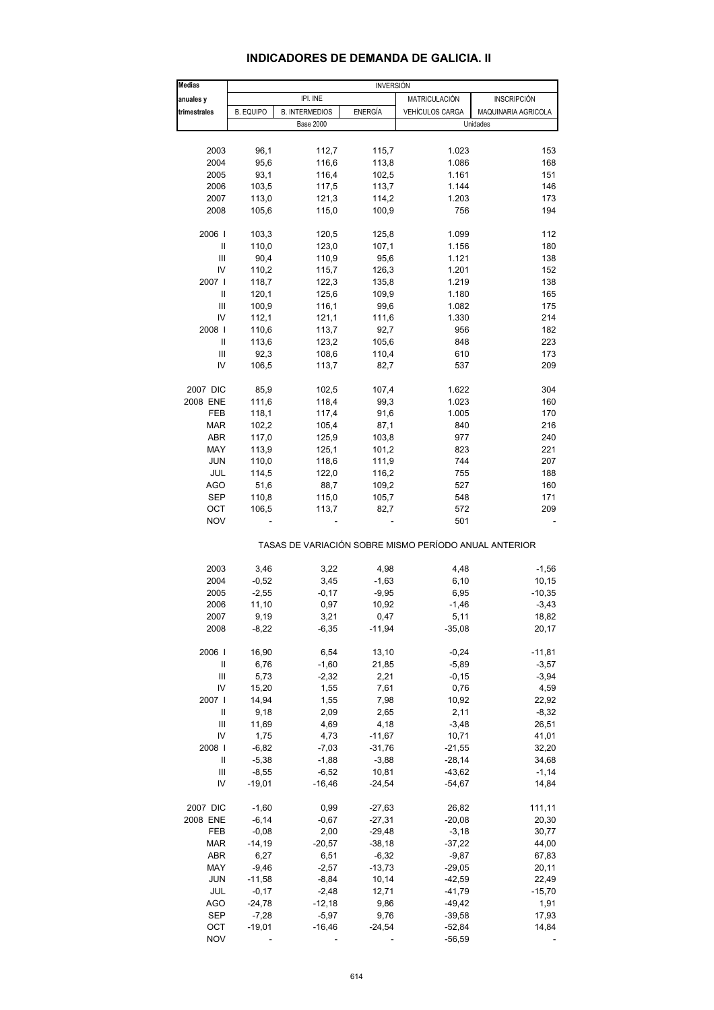# **INDICADORES DE DEMANDA DE GALICIA. II**

| <b>Medias</b>                           | <b>INVERSIÓN</b> |                       |          |                                                       |                     |  |
|-----------------------------------------|------------------|-----------------------|----------|-------------------------------------------------------|---------------------|--|
| anuales y                               |                  | IPI. INE              |          | MATRICULACIÓN                                         | <b>INSCRIPCIÓN</b>  |  |
| trimestrales                            | <b>B. EQUIPO</b> | <b>B. INTERMEDIOS</b> | ENERGÍA  | VEHÍCULOS CARGA                                       | MAQUINARIA AGRICOLA |  |
|                                         |                  | <b>Base 2000</b>      |          |                                                       | Unidades            |  |
|                                         |                  |                       |          |                                                       |                     |  |
| 2003                                    | 96,1             | 112,7                 | 115,7    | 1.023                                                 | 153                 |  |
| 2004                                    | 95,6             | 116,6                 | 113,8    | 1.086                                                 | 168                 |  |
| 2005                                    | 93,1             | 116,4                 | 102,5    | 1.161                                                 | 151                 |  |
| 2006                                    | 103,5            | 117,5                 | 113,7    | 1.144                                                 | 146                 |  |
| 2007                                    | 113,0            | 121,3                 | 114,2    | 1.203                                                 | 173                 |  |
|                                         |                  |                       |          |                                                       |                     |  |
| 2008                                    | 105,6            | 115,0                 | 100,9    | 756                                                   | 194                 |  |
| 2006                                    | 103,3            | 120,5                 | 125,8    | 1.099                                                 | 112                 |  |
| Ш                                       | 110,0            | 123,0                 | 107,1    | 1.156                                                 | 180                 |  |
| $\mathbf{III}$                          | 90,4             | 110,9                 | 95,6     | 1.121                                                 | 138                 |  |
| IV                                      | 110,2            |                       | 126,3    | 1.201                                                 | 152                 |  |
| 2007                                    | 118,7            | 115,7<br>122,3        | 135,8    | 1.219                                                 | 138                 |  |
|                                         |                  |                       |          |                                                       |                     |  |
| Ш                                       | 120,1            | 125,6                 | 109,9    | 1.180                                                 | 165                 |  |
| Ш                                       | 100,9            | 116,1                 | 99,6     | 1.082                                                 | 175                 |  |
| IV                                      | 112,1            | 121,1                 | 111,6    | 1.330                                                 | 214                 |  |
| 2008                                    | 110,6            | 113,7                 | 92,7     | 956                                                   | 182                 |  |
| Ш                                       | 113,6            | 123,2                 | 105,6    | 848                                                   | 223                 |  |
| Ш                                       | 92,3             | 108,6                 | 110,4    | 610                                                   | 173                 |  |
| IV                                      | 106,5            | 113,7                 | 82,7     | 537                                                   | 209                 |  |
|                                         |                  |                       |          |                                                       |                     |  |
| 2007 DIC                                | 85,9             | 102,5                 | 107,4    | 1.622                                                 | 304                 |  |
| 2008 ENE                                | 111,6            | 118,4                 | 99,3     | 1.023                                                 | 160                 |  |
| FEB                                     | 118,1            | 117,4                 | 91,6     | 1.005                                                 | 170                 |  |
| <b>MAR</b>                              | 102,2            | 105,4                 | 87,1     | 840                                                   | 216                 |  |
| ABR                                     | 117,0            | 125,9                 | 103,8    | 977                                                   | 240                 |  |
| MAY                                     | 113,9            | 125,1                 | 101,2    | 823                                                   | 221                 |  |
| <b>JUN</b>                              | 110,0            | 118,6                 | 111,9    | 744                                                   | 207                 |  |
| JUL                                     | 114,5            | 122,0                 | 116,2    | 755                                                   | 188                 |  |
| <b>AGO</b>                              | 51,6             | 88,7                  | 109,2    | 527                                                   | 160                 |  |
| <b>SEP</b>                              | 110,8            | 115,0                 | 105,7    | 548                                                   | 171                 |  |
| OCT                                     | 106,5            | 113,7                 | 82,7     | 572                                                   | 209                 |  |
| <b>NOV</b>                              |                  |                       |          | 501                                                   |                     |  |
|                                         |                  |                       |          | TASAS DE VARIACIÓN SOBRE MISMO PERÍODO ANUAL ANTERIOR |                     |  |
|                                         |                  |                       |          |                                                       |                     |  |
| 2003                                    | 3,46<br>$-0,52$  | 3,22                  | 4,98     | 4,48<br>6, 10                                         | $-1,56$<br>10,15    |  |
| 2004                                    |                  | 3,45                  | $-1,63$  |                                                       |                     |  |
| 2005                                    | $-2,55$          | $-0,17$               | $-9,95$  | 6,95                                                  | $-10,35$            |  |
| 2006                                    | 11,10            | 0,97                  | 10,92    | $-1,46$                                               | $-3,43$             |  |
| 2007                                    | 9,19             | 3,21                  | 0,47     | 5,11                                                  | 18,82               |  |
| 2008                                    | $-8,22$          | $-6,35$               | $-11,94$ | $-35,08$                                              | 20,17               |  |
| 2006                                    | 16,90            | 6,54                  | 13,10    | $-0,24$                                               | $-11,81$            |  |
| Ш                                       | 6,76             | $-1,60$               | 21,85    | $-5,89$                                               | $-3,57$             |  |
| Ш                                       | 5,73             | $-2,32$               | 2,21     | $-0,15$                                               | $-3,94$             |  |
| IV                                      | 15,20            | 1,55                  | 7,61     | 0,76                                                  | 4,59                |  |
| 2007 l                                  | 14,94            | 1,55                  | 7,98     | 10,92                                                 | 22,92               |  |
|                                         |                  |                       |          |                                                       |                     |  |
| Ш<br>$\ensuremath{\mathsf{III}}\xspace$ | 9,18             | 2,09                  | 2,65     | 2,11                                                  | $-8,32$             |  |
|                                         | 11,69            | 4,69                  | 4,18     | $-3,48$                                               | 26,51               |  |
| IV                                      | 1,75             | 4,73                  | $-11,67$ | 10,71                                                 | 41,01               |  |
| 2008                                    | $-6,82$          | $-7,03$               | $-31,76$ | $-21,55$                                              | 32,20               |  |
| Ш                                       | $-5,38$          | $-1,88$               | $-3,88$  | $-28,14$                                              | 34,68               |  |
| Ш                                       | $-8,55$          | $-6,52$               | 10,81    | $-43,62$                                              | $-1,14$             |  |
| IV                                      | $-19,01$         | $-16,46$              | $-24,54$ | $-54,67$                                              | 14,84               |  |
| 2007 DIC                                | $-1,60$          | 0,99                  | $-27,63$ | 26,82                                                 | 111,11              |  |
| 2008 ENE                                | $-6, 14$         | $-0,67$               | $-27,31$ | $-20,08$                                              | 20,30               |  |
| FEB                                     | $-0,08$          | 2,00                  | $-29,48$ | $-3,18$                                               | 30,77               |  |
| MAR                                     | $-14,19$         | $-20,57$              | $-38,18$ | $-37,22$                                              | 44,00               |  |
| ABR                                     | 6,27             | 6,51                  | $-6,32$  | $-9,87$                                               | 67,83               |  |
| MAY                                     | $-9,46$          | $-2,57$               | $-13,73$ | $-29,05$                                              | 20,11               |  |
| <b>JUN</b>                              | $-11,58$         | $-8,84$               | 10,14    | $-42,59$                                              | 22,49               |  |
| JUL                                     |                  |                       | 12,71    | $-41,79$                                              | $-15,70$            |  |
|                                         | $-0,17$          | $-2,48$               |          |                                                       |                     |  |
| <b>AGO</b>                              | $-24,78$         | $-12,18$              | 9,86     | $-49,42$                                              | 1,91                |  |
| <b>SEP</b>                              | $-7,28$          | $-5,97$               | 9,76     | $-39,58$                                              | 17,93               |  |
| OCT                                     | $-19,01$         | $-16,46$              | $-24,54$ | $-52,84$                                              | 14,84               |  |
| <b>NOV</b>                              |                  |                       |          | $-56,59$                                              |                     |  |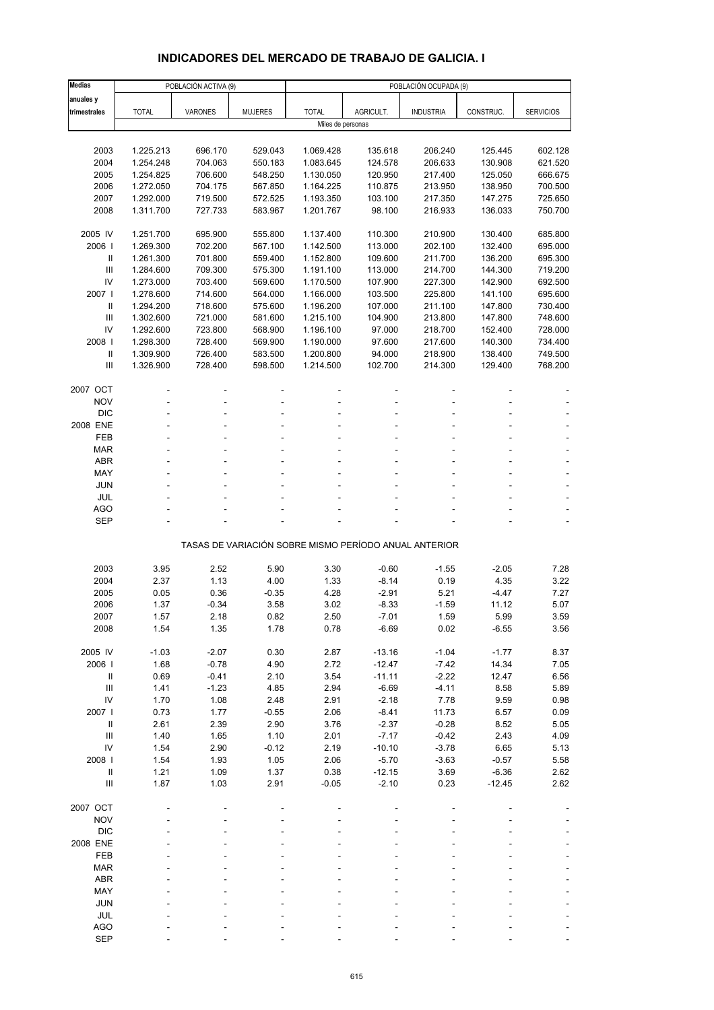# **INDICADORES DEL MERCADO DE TRABAJO DE GALICIA. I**

| <b>Medias</b>                      |              | POBLACIÓN ACTIVA (9) |                 |                   |                    | POBLACIÓN OCUPADA (9)                                 |              |                  |
|------------------------------------|--------------|----------------------|-----------------|-------------------|--------------------|-------------------------------------------------------|--------------|------------------|
| anuales y                          |              |                      |                 |                   |                    |                                                       |              |                  |
| trimestrales                       | <b>TOTAL</b> | <b>VARONES</b>       | <b>MUJERES</b>  | <b>TOTAL</b>      | AGRICULT.          | <b>INDUSTRIA</b>                                      | CONSTRUC.    | <b>SERVICIOS</b> |
|                                    |              |                      |                 | Miles de personas |                    |                                                       |              |                  |
|                                    |              |                      |                 |                   |                    |                                                       |              |                  |
| 2003                               | 1.225.213    | 696.170              | 529.043         | 1.069.428         | 135.618            | 206.240                                               | 125.445      | 602.128          |
| 2004                               | 1.254.248    | 704.063              | 550.183         | 1.083.645         | 124.578            | 206.633                                               | 130.908      | 621.520          |
| 2005                               | 1.254.825    | 706.600              | 548.250         | 1.130.050         | 120.950            | 217.400                                               | 125.050      | 666.675          |
| 2006                               | 1.272.050    | 704.175              | 567.850         | 1.164.225         | 110.875            | 213.950                                               | 138.950      | 700.500          |
| 2007                               | 1.292.000    | 719.500              | 572.525         | 1.193.350         | 103.100            | 217.350                                               | 147.275      | 725.650          |
| 2008                               | 1.311.700    | 727.733              | 583.967         | 1.201.767         | 98.100             | 216.933                                               | 136.033      | 750.700          |
| 2005 IV                            | 1.251.700    | 695.900              | 555.800         | 1.137.400         | 110.300            | 210.900                                               | 130.400      | 685.800          |
| 2006                               | 1.269.300    | 702.200              | 567.100         | 1.142.500         | 113.000            | 202.100                                               | 132.400      | 695.000          |
| Ш                                  | 1.261.300    | 701.800              | 559.400         | 1.152.800         | 109.600            | 211.700                                               | 136.200      | 695.300          |
| Ш                                  | 1.284.600    | 709.300              | 575.300         | 1.191.100         | 113.000            | 214.700                                               | 144.300      | 719.200          |
| IV                                 | 1.273.000    | 703.400              | 569.600         | 1.170.500         | 107.900            | 227.300                                               | 142.900      | 692.500          |
| 2007 l                             | 1.278.600    | 714.600              | 564.000         | 1.166.000         | 103.500            | 225.800                                               | 141.100      | 695.600          |
| Ш                                  | 1.294.200    | 718.600              | 575.600         | 1.196.200         | 107.000            | 211.100                                               | 147.800      | 730.400          |
| Ш                                  | 1.302.600    | 721.000              | 581.600         | 1.215.100         | 104.900            | 213.800                                               | 147.800      | 748.600          |
| IV                                 | 1.292.600    | 723.800              | 568.900         | 1.196.100         | 97.000             | 218.700                                               | 152.400      | 728.000          |
| 2008                               | 1.298.300    | 728.400              | 569.900         | 1.190.000         | 97.600             | 217.600                                               | 140.300      | 734.400          |
| $\mathbf{II}$                      | 1.309.900    | 726.400              | 583.500         | 1.200.800         | 94.000             | 218.900                                               | 138.400      | 749.500          |
| Ш                                  | 1.326.900    | 728.400              | 598.500         | 1.214.500         | 102.700            | 214.300                                               | 129.400      | 768.200          |
|                                    |              |                      |                 |                   |                    |                                                       |              |                  |
| 2007 OCT<br><b>NOV</b>             |              |                      |                 |                   |                    |                                                       |              |                  |
| <b>DIC</b>                         |              |                      |                 |                   |                    |                                                       |              |                  |
| 2008 ENE                           |              |                      |                 |                   |                    |                                                       |              |                  |
| FEB                                |              |                      |                 |                   |                    |                                                       |              |                  |
| <b>MAR</b>                         |              |                      |                 |                   |                    |                                                       |              |                  |
| <b>ABR</b>                         |              |                      |                 |                   |                    |                                                       |              |                  |
| MAY                                |              |                      |                 |                   |                    |                                                       |              |                  |
| <b>JUN</b>                         |              |                      |                 |                   |                    |                                                       |              |                  |
| JUL                                |              |                      |                 |                   |                    |                                                       |              |                  |
| AGO                                |              |                      |                 |                   |                    |                                                       |              |                  |
| <b>SEP</b>                         |              |                      |                 |                   |                    |                                                       |              |                  |
|                                    |              |                      |                 |                   |                    | TASAS DE VARIACIÓN SOBRE MISMO PERÍODO ANUAL ANTERIOR |              |                  |
|                                    |              |                      |                 |                   |                    |                                                       |              |                  |
| 2003                               | 3.95         | 2.52                 | 5.90            | 3.30              | $-0.60$            | $-1.55$                                               | $-2.05$      | 7.28             |
| 2004                               | 2.37         | 1.13                 | 4.00            | 1.33              | $-8.14$            | 0.19                                                  | 4.35         | 3.22             |
| 2005                               | 0.05         | 0.36                 | $-0.35$         | 4.28              | $-2.91$            | 5.21                                                  | -4.47        | 7.27             |
| 2006                               | 1.37         | $-0.34$              | 3.58            | 3.02              | $-8.33$            | $-1.59$                                               | 11.12        | 5.07             |
| 2007                               | 1.57         | 2.18                 | 0.82            | 2.50              | $-7.01$            | 1.59                                                  | 5.99         | 3.59             |
| 2008                               | 1.54         | 1.35                 | 1.78            | 0.78              | $-6.69$            | 0.02                                                  | $-6.55$      | 3.56             |
|                                    |              |                      |                 |                   |                    |                                                       |              |                  |
| 2005 IV                            | $-1.03$      | $-2.07$              | 0.30            | 2.87              | $-13.16$           | $-1.04$                                               | $-1.77$      | 8.37             |
| 2006                               | 1.68         | $-0.78$              | 4.90            | 2.72              | $-12.47$           | $-7.42$                                               | 14.34        | 7.05             |
| $\ensuremath{\mathsf{II}}$         | 0.69         | $-0.41$              | 2.10            | 3.54              | $-11.11$           | $-2.22$                                               | 12.47        | 6.56             |
| Ш<br>IV                            | 1.41         | $-1.23$              | 4.85            | 2.94              | $-6.69$<br>$-2.18$ | $-4.11$                                               | 8.58         | 5.89             |
| 2007 l                             | 1.70<br>0.73 | 1.08<br>1.77         | 2.48<br>$-0.55$ | 2.91<br>2.06      | $-8.41$            | 7.78<br>11.73                                         | 9.59<br>6.57 | 0.98<br>0.09     |
| $\, \parallel$                     | 2.61         | 2.39                 | 2.90            | 3.76              | $-2.37$            | $-0.28$                                               | 8.52         | 5.05             |
| $\ensuremath{\mathsf{III}}\xspace$ | 1.40         | 1.65                 | 1.10            | 2.01              | $-7.17$            | $-0.42$                                               | 2.43         | 4.09             |
| $\mathsf{IV}$                      | 1.54         | 2.90                 | $-0.12$         | 2.19              | $-10.10$           | $-3.78$                                               | 6.65         | 5.13             |
| 2008                               | 1.54         | 1.93                 | 1.05            | 2.06              | $-5.70$            | $-3.63$                                               | $-0.57$      | 5.58             |
| $\, \parallel$                     | 1.21         | 1.09                 | 1.37            | 0.38              | $-12.15$           | 3.69                                                  | $-6.36$      | 2.62             |
| Ш                                  | 1.87         | 1.03                 | 2.91            | $-0.05$           | $-2.10$            | 0.23                                                  | $-12.45$     | 2.62             |
|                                    |              |                      |                 |                   |                    |                                                       |              |                  |
| 2007 OCT                           |              |                      |                 |                   |                    |                                                       |              |                  |
| <b>NOV</b>                         |              |                      |                 |                   |                    |                                                       |              |                  |
| <b>DIC</b>                         |              |                      |                 |                   |                    |                                                       |              |                  |
| 2008 ENE                           |              |                      |                 |                   |                    |                                                       |              |                  |
| FEB                                |              |                      |                 |                   |                    |                                                       |              |                  |
| <b>MAR</b>                         |              |                      |                 |                   |                    |                                                       |              |                  |
| ABR                                |              |                      |                 |                   |                    |                                                       |              |                  |
| MAY<br><b>JUN</b>                  |              |                      |                 |                   |                    |                                                       |              |                  |
| JUL                                |              |                      |                 |                   |                    |                                                       |              |                  |
| <b>AGO</b>                         |              |                      |                 |                   |                    |                                                       |              |                  |
| <b>SEP</b>                         |              |                      |                 |                   |                    |                                                       |              |                  |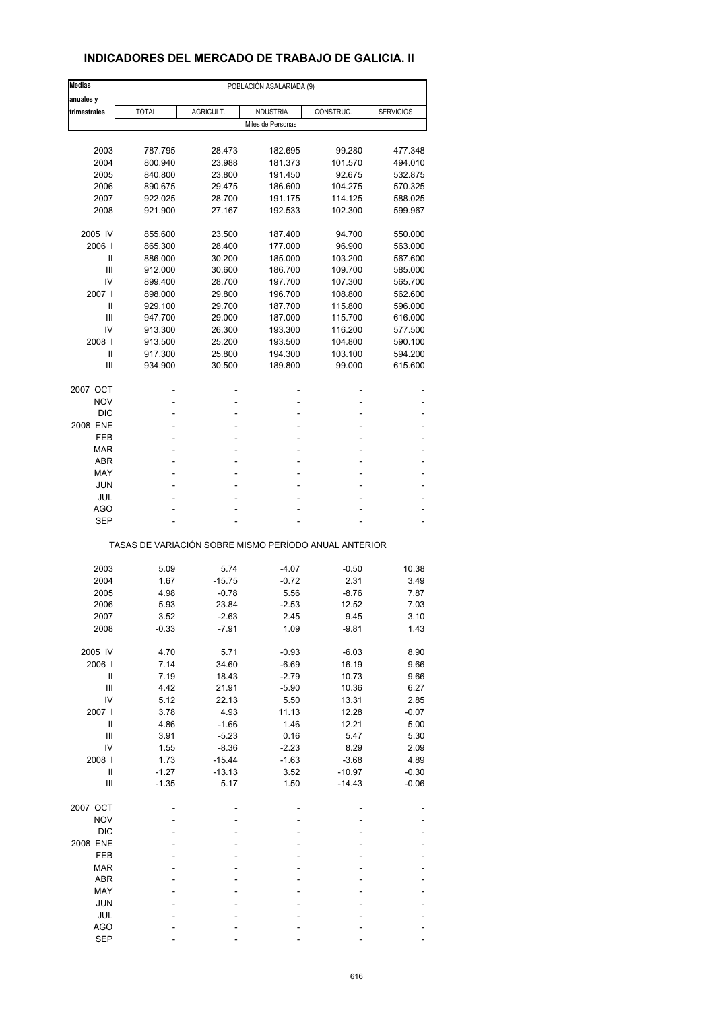# **INDICADORES DEL MERCADO DE TRABAJO DE GALICIA. II**

| <b>Medias</b>  | POBLACIÓN ASALARIADA (9)                              |           |                   |           |                  |  |  |
|----------------|-------------------------------------------------------|-----------|-------------------|-----------|------------------|--|--|
| anuales y      |                                                       |           |                   |           |                  |  |  |
| trimestrales   | <b>TOTAL</b>                                          | AGRICULT. | <b>INDUSTRIA</b>  | CONSTRUC. | <b>SERVICIOS</b> |  |  |
|                |                                                       |           | Miles de Personas |           |                  |  |  |
|                |                                                       |           |                   |           |                  |  |  |
| 2003           | 787.795                                               | 28.473    | 182.695           | 99.280    | 477.348          |  |  |
| 2004           | 800.940                                               | 23.988    | 181.373           | 101.570   | 494.010          |  |  |
| 2005           | 840.800                                               | 23.800    | 191.450           | 92.675    | 532.875          |  |  |
| 2006           | 890.675                                               | 29.475    | 186.600           | 104.275   | 570.325          |  |  |
| 2007           | 922.025                                               | 28.700    | 191.175           | 114.125   | 588.025          |  |  |
| 2008           | 921.900                                               | 27.167    | 192.533           | 102.300   | 599.967          |  |  |
|                |                                                       |           |                   |           |                  |  |  |
| 2005 IV        | 855.600                                               | 23.500    | 187.400           | 94.700    | 550.000          |  |  |
| 2006           | 865.300                                               | 28.400    | 177.000           | 96.900    | 563.000          |  |  |
| Ш              | 886.000                                               | 30.200    | 185.000           | 103.200   | 567.600          |  |  |
| Ш              | 912.000                                               | 30.600    | 186.700           | 109.700   | 585.000          |  |  |
| IV             | 899.400                                               | 28.700    | 197.700           | 107.300   | 565.700          |  |  |
| 2007 l         | 898.000                                               | 29.800    | 196.700           | 108.800   | 562.600          |  |  |
| Ш              | 929.100                                               | 29.700    | 187.700           | 115.800   | 596.000          |  |  |
| Ш              | 947.700                                               | 29.000    | 187.000           | 115.700   | 616.000          |  |  |
| IV             | 913.300                                               | 26.300    | 193.300           | 116.200   | 577.500          |  |  |
| 2008           | 913.500                                               | 25.200    | 193.500           | 104.800   | 590.100          |  |  |
| Ш              | 917.300                                               | 25.800    | 194.300           | 103.100   | 594.200          |  |  |
| Ш              | 934.900                                               | 30.500    | 189.800           | 99.000    | 615.600          |  |  |
|                |                                                       |           |                   |           |                  |  |  |
| 2007 OCT       |                                                       | -         | ۰                 |           |                  |  |  |
| <b>NOV</b>     |                                                       |           |                   |           |                  |  |  |
| <b>DIC</b>     |                                                       |           |                   |           |                  |  |  |
| 2008 ENE       |                                                       |           | ۰                 |           |                  |  |  |
| FEB            |                                                       |           |                   |           |                  |  |  |
| MAR            |                                                       |           | ٠                 |           |                  |  |  |
| <b>ABR</b>     |                                                       |           | ۰                 |           |                  |  |  |
| MAY            |                                                       |           |                   |           |                  |  |  |
| <b>JUN</b>     |                                                       |           | ÷.                |           |                  |  |  |
| JUL            |                                                       |           | ٠                 |           |                  |  |  |
| AGO            |                                                       |           |                   |           |                  |  |  |
| <b>SEP</b>     |                                                       |           |                   |           |                  |  |  |
|                | TASAS DE VARIACIÓN SOBRE MISMO PERÍODO ANUAL ANTERIOR |           |                   |           |                  |  |  |
|                |                                                       |           |                   |           |                  |  |  |
| 2003           | 5.09                                                  | 5.74      | -4.07             | $-0.50$   | 10.38            |  |  |
| 2004           | 1.67                                                  | $-15.75$  | $-0.72$           | 2.31      | 3.49             |  |  |
| 2005           | 4.98                                                  | $-0.78$   | 5.56              | $-8.76$   | 7.87             |  |  |
| 2006           | 5.93                                                  | 23.84     | $-2.53$           | 12.52     | 7.03             |  |  |
| 2007           | 3.52                                                  | $-2.63$   | 2.45              | 9.45      | 3.10             |  |  |
| 2008           | $-0.33$                                               | $-7.91$   | 1.09              | $-9.81$   | 1.43             |  |  |
| 2005 IV        | 4.70                                                  | 5.71      | $-0.93$           | $-6.03$   | 8.90             |  |  |
| 2006           | 7.14                                                  | 34.60     | $-6.69$           | 16.19     | 9.66             |  |  |
|                |                                                       |           |                   |           |                  |  |  |
| Ш              | 7.19                                                  | 18.43     | $-2.79$           | 10.73     | 9.66             |  |  |
| Ш              | 4.42                                                  | 21.91     | $-5.90$           | 10.36     | 6.27             |  |  |
| IV             | 5.12                                                  | 22.13     | 5.50              | 13.31     | 2.85             |  |  |
| 2007 l         | 3.78                                                  | 4.93      | 11.13             | 12.28     | $-0.07$          |  |  |
| $\sf II$       | 4.86                                                  | $-1.66$   | 1.46              | 12.21     | 5.00             |  |  |
| $\mathbf{III}$ | 3.91                                                  | $-5.23$   | 0.16              | 5.47      | 5.30             |  |  |
| IV             | 1.55                                                  | $-8.36$   | $-2.23$           | 8.29      | 2.09             |  |  |
| 2008           | 1.73                                                  | $-15.44$  | $-1.63$           | $-3.68$   | 4.89             |  |  |
| $\sf II$       | $-1.27$                                               | $-13.13$  | 3.52              | $-10.97$  | $-0.30$          |  |  |
| Ш              | $-1.35$                                               | 5.17      | 1.50              | $-14.43$  | $-0.06$          |  |  |
|                |                                                       |           |                   |           |                  |  |  |
| 2007 OCT       |                                                       |           |                   |           |                  |  |  |
| <b>NOV</b>     |                                                       |           |                   |           |                  |  |  |
| <b>DIC</b>     |                                                       |           |                   |           |                  |  |  |
| 2008 ENE       |                                                       |           |                   |           |                  |  |  |
| FEB            |                                                       |           |                   |           |                  |  |  |
| <b>MAR</b>     |                                                       |           |                   |           |                  |  |  |
| ABR            |                                                       |           |                   |           |                  |  |  |
| MAY            |                                                       |           |                   |           |                  |  |  |
| <b>JUN</b>     |                                                       |           |                   |           |                  |  |  |
| JUL            |                                                       |           |                   |           |                  |  |  |
| <b>AGO</b>     |                                                       |           |                   |           |                  |  |  |
| <b>SEP</b>     |                                                       |           |                   |           |                  |  |  |
|                |                                                       |           |                   |           |                  |  |  |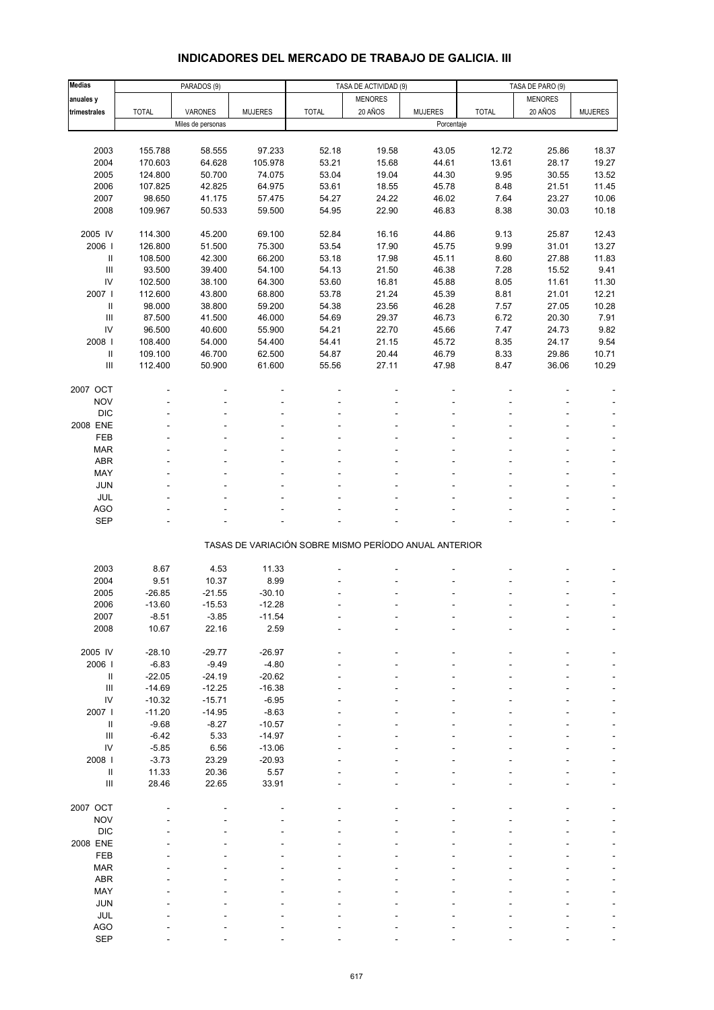# **INDICADORES DEL MERCADO DE TRABAJO DE GALICIA. III**

| <b>Medias</b>                      |              | PARADOS (9)       |                | TASA DE ACTIVIDAD (9)                                 |                |                | TASA DE PARO (9) |                |                |
|------------------------------------|--------------|-------------------|----------------|-------------------------------------------------------|----------------|----------------|------------------|----------------|----------------|
| anuales y                          |              |                   |                |                                                       | <b>MENORES</b> |                |                  | <b>MENORES</b> |                |
| trimestrales                       | <b>TOTAL</b> | VARONES           | <b>MUJERES</b> | <b>TOTAL</b>                                          | 20 AÑOS        | <b>MUJERES</b> | <b>TOTAL</b>     | 20 AÑOS        | <b>MUJERES</b> |
|                                    |              | Miles de personas |                |                                                       |                | Porcentaje     |                  |                |                |
|                                    |              |                   |                |                                                       |                |                |                  |                |                |
| 2003                               | 155.788      | 58.555            | 97.233         | 52.18                                                 | 19.58          | 43.05          | 12.72            | 25.86          | 18.37          |
| 2004                               | 170.603      | 64.628            | 105.978        | 53.21                                                 | 15.68          | 44.61          | 13.61            | 28.17          | 19.27          |
| 2005                               | 124.800      | 50.700            | 74.075         | 53.04                                                 | 19.04          | 44.30          | 9.95             | 30.55          | 13.52          |
|                                    |              |                   |                |                                                       |                |                |                  |                |                |
| 2006                               | 107.825      | 42.825            | 64.975         | 53.61                                                 | 18.55          | 45.78          | 8.48             | 21.51          | 11.45          |
| 2007                               | 98.650       | 41.175            | 57.475         | 54.27                                                 | 24.22          | 46.02          | 7.64             | 23.27          | 10.06          |
| 2008                               | 109.967      | 50.533            | 59.500         | 54.95                                                 | 22.90          | 46.83          | 8.38             | 30.03          | 10.18          |
| 2005 IV                            |              |                   |                |                                                       |                |                |                  |                |                |
|                                    | 114.300      | 45.200            | 69.100         | 52.84                                                 | 16.16          | 44.86          | 9.13             | 25.87          | 12.43          |
| 2006                               | 126.800      | 51.500            | 75.300         | 53.54                                                 | 17.90          | 45.75          | 9.99             | 31.01          | 13.27          |
| Ш                                  | 108.500      | 42.300            | 66.200         | 53.18                                                 | 17.98          | 45.11          | 8.60             | 27.88          | 11.83          |
| $\ensuremath{\mathsf{III}}\xspace$ | 93.500       | 39.400            | 54.100         | 54.13                                                 | 21.50          | 46.38          | 7.28             | 15.52          | 9.41           |
| ${\sf IV}$                         | 102.500      | 38.100            | 64.300         | 53.60                                                 | 16.81          | 45.88          | 8.05             | 11.61          | 11.30          |
| 2007                               | 112.600      | 43.800            | 68.800         | 53.78                                                 | 21.24          | 45.39          | 8.81             | 21.01          | 12.21          |
| Ш                                  | 98.000       | 38.800            | 59.200         | 54.38                                                 | 23.56          | 46.28          | 7.57             | 27.05          | 10.28          |
| $\ensuremath{\mathsf{III}}\xspace$ | 87.500       | 41.500            | 46.000         | 54.69                                                 | 29.37          | 46.73          | 6.72             | 20.30          | 7.91           |
| IV                                 | 96.500       | 40.600            | 55.900         | 54.21                                                 | 22.70          | 45.66          | 7.47             | 24.73          | 9.82           |
| 2008                               | 108.400      | 54.000            | 54.400         | 54.41                                                 | 21.15          | 45.72          | 8.35             | 24.17          | 9.54           |
| Ш                                  | 109.100      | 46.700            | 62.500         | 54.87                                                 | 20.44          | 46.79          | 8.33             | 29.86          | 10.71          |
| Ш                                  | 112.400      | 50.900            | 61.600         | 55.56                                                 | 27.11          | 47.98          | 8.47             | 36.06          | 10.29          |
|                                    |              |                   |                |                                                       |                |                |                  |                |                |
| 2007 OCT                           |              |                   |                |                                                       |                |                |                  |                |                |
| <b>NOV</b>                         |              |                   |                |                                                       |                |                |                  |                |                |
| <b>DIC</b>                         |              |                   |                |                                                       |                |                |                  |                |                |
| 2008 ENE                           |              |                   |                |                                                       |                |                |                  |                |                |
| FEB                                |              |                   |                |                                                       |                |                |                  |                |                |
| <b>MAR</b>                         |              |                   |                |                                                       |                |                |                  |                |                |
| ABR                                |              |                   |                |                                                       |                |                |                  |                |                |
| MAY                                |              |                   |                |                                                       |                |                |                  |                |                |
| JUN                                |              |                   |                |                                                       |                |                |                  |                |                |
| JUL                                |              |                   |                |                                                       |                |                |                  |                |                |
| AGO                                |              |                   |                |                                                       |                |                |                  |                |                |
| SEP                                |              |                   |                |                                                       |                |                |                  |                |                |
|                                    |              |                   |                |                                                       |                |                |                  |                |                |
|                                    |              |                   |                | TASAS DE VARIACIÓN SOBRE MISMO PERÍODO ANUAL ANTERIOR |                |                |                  |                |                |
|                                    |              |                   |                |                                                       |                |                |                  |                |                |
| 2003                               | 8.67         | 4.53              | 11.33          |                                                       |                |                |                  |                |                |
| 2004                               | 9.51         | 10.37             | 8.99           |                                                       |                |                |                  |                |                |
| 2005                               | $-26.85$     | $-21.55$          | $-30.10$       |                                                       |                |                |                  |                |                |
| 2006                               | $-13.60$     | $-15.53$          | $-12.28$       |                                                       |                |                |                  |                |                |
| 2007                               | -8.51        | -3.85             | $-11.54$       |                                                       |                |                |                  |                |                |
| 2008                               | 10.67        | 22.16             | 2.59           |                                                       |                |                |                  |                |                |
|                                    |              |                   |                |                                                       |                |                |                  |                |                |
| 2005 IV                            | $-28.10$     | $-29.77$          | $-26.97$       |                                                       |                |                |                  |                |                |
| 2006                               | $-6.83$      | $-9.49$           | $-4.80$        |                                                       |                |                |                  |                |                |
| $\rm H$                            | $-22.05$     | $-24.19$          | $-20.62$       |                                                       |                |                |                  |                |                |
| $\ensuremath{\mathsf{III}}\xspace$ | $-14.69$     | $-12.25$          | $-16.38$       |                                                       |                |                |                  |                |                |
| IV                                 | $-10.32$     | $-15.71$          | $-6.95$        |                                                       |                |                |                  |                |                |
| 2007                               | $-11.20$     | $-14.95$          | $-8.63$        |                                                       |                |                |                  |                |                |
| Ш                                  | $-9.68$      | $-8.27$           | $-10.57$       |                                                       |                |                |                  |                |                |
| $\ensuremath{\mathsf{III}}\xspace$ | $-6.42$      | 5.33              | $-14.97$       |                                                       |                |                |                  |                |                |
| IV                                 |              |                   |                |                                                       |                |                |                  |                |                |
|                                    | $-5.85$      | 6.56              | $-13.06$       |                                                       |                |                |                  |                |                |
| 2008                               | $-3.73$      | 23.29             | $-20.93$       |                                                       |                |                |                  |                |                |
| Ш                                  | 11.33        | 20.36             | 5.57           |                                                       |                |                |                  |                |                |
| $\ensuremath{\mathsf{III}}\xspace$ | 28.46        | 22.65             | 33.91          |                                                       |                |                |                  |                |                |
|                                    |              |                   |                |                                                       |                |                |                  |                |                |
| 2007 OCT                           |              |                   |                |                                                       |                |                |                  |                |                |
| <b>NOV</b>                         |              |                   |                |                                                       |                |                |                  |                |                |
| <b>DIC</b>                         |              |                   |                |                                                       |                |                |                  |                |                |
| 2008 ENE                           |              |                   |                |                                                       |                |                |                  |                |                |
| FEB                                |              |                   |                |                                                       |                |                |                  |                |                |
| <b>MAR</b>                         |              |                   |                |                                                       |                |                |                  |                |                |
| ABR                                |              |                   |                |                                                       |                |                |                  |                |                |
| MAY                                |              |                   |                |                                                       |                |                |                  |                |                |
| JUN                                |              |                   |                |                                                       |                |                |                  |                |                |
| JUL                                |              |                   |                |                                                       |                |                |                  |                |                |
| AGO                                |              |                   |                |                                                       |                |                |                  |                |                |
| SEP                                |              |                   |                |                                                       |                |                |                  |                |                |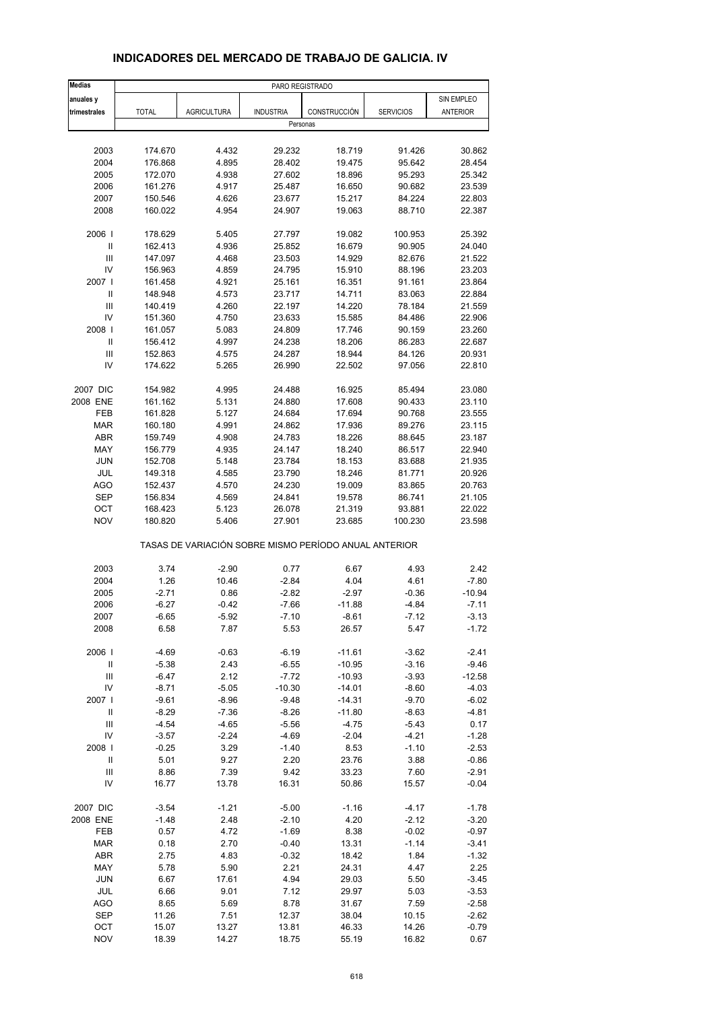| <b>Medias</b>                      |              |                    | PARO REGISTRADO                                       |              |                  |            |
|------------------------------------|--------------|--------------------|-------------------------------------------------------|--------------|------------------|------------|
| anuales y                          |              |                    |                                                       |              |                  | SIN EMPLEO |
| trimestrales                       | <b>TOTAL</b> | <b>AGRICULTURA</b> | <b>INDUSTRIA</b>                                      | CONSTRUCCIÓN | <b>SERVICIOS</b> | ANTERIOR   |
|                                    |              |                    | Personas                                              |              |                  |            |
|                                    |              |                    |                                                       |              |                  |            |
| 2003                               | 174.670      | 4.432              | 29.232                                                | 18.719       | 91.426           | 30.862     |
| 2004                               | 176.868      | 4.895              | 28.402                                                | 19.475       | 95.642           | 28.454     |
| 2005                               | 172.070      | 4.938              | 27.602                                                | 18.896       | 95.293           | 25.342     |
| 2006                               | 161.276      | 4.917              | 25.487                                                | 16.650       | 90.682           | 23.539     |
| 2007                               | 150.546      | 4.626              | 23.677                                                | 15.217       | 84.224           | 22.803     |
| 2008                               | 160.022      | 4.954              | 24.907                                                | 19.063       | 88.710           | 22.387     |
| 2006                               | 178.629      | 5.405              | 27.797                                                | 19.082       | 100.953          | 25.392     |
| $\mathsf{I}$                       | 162.413      | 4.936              | 25.852                                                | 16.679       | 90.905           | 24.040     |
| Ш                                  | 147.097      | 4.468              | 23.503                                                | 14.929       | 82.676           | 21.522     |
| IV                                 | 156.963      | 4.859              | 24.795                                                | 15.910       | 88.196           | 23.203     |
| 2007 l                             | 161.458      | 4.921              | 25.161                                                | 16.351       | 91.161           | 23.864     |
| Ш                                  | 148.948      | 4.573              | 23.717                                                | 14.711       | 83.063           | 22.884     |
| Ш                                  | 140.419      | 4.260              | 22.197                                                | 14.220       | 78.184           | 21.559     |
| IV                                 | 151.360      | 4.750              | 23.633                                                | 15.585       | 84.486           | 22.906     |
| 2008                               | 161.057      | 5.083              | 24.809                                                | 17.746       | 90.159           | 23.260     |
| $\mathbf{II}$                      | 156.412      | 4.997              | 24.238                                                | 18.206       | 86.283           | 22.687     |
| Ш                                  | 152.863      | 4.575              | 24.287                                                | 18.944       | 84.126           | 20.931     |
| IV                                 | 174.622      | 5.265              | 26.990                                                | 22.502       | 97.056           | 22.810     |
| 2007 DIC                           | 154.982      | 4.995              | 24.488                                                | 16.925       | 85.494           | 23.080     |
| 2008 ENE                           | 161.162      | 5.131              | 24.880                                                | 17.608       | 90.433           | 23.110     |
| FEB                                | 161.828      | 5.127              | 24.684                                                | 17.694       | 90.768           | 23.555     |
| <b>MAR</b>                         | 160.180      | 4.991              | 24.862                                                | 17.936       | 89.276           | 23.115     |
| <b>ABR</b>                         | 159.749      | 4.908              | 24.783                                                | 18.226       | 88.645           | 23.187     |
| MAY                                | 156.779      | 4.935              | 24.147                                                | 18.240       | 86.517           | 22.940     |
| <b>JUN</b>                         | 152.708      | 5.148              | 23.784                                                | 18.153       | 83.688           | 21.935     |
| JUL                                | 149.318      | 4.585              | 23.790                                                | 18.246       | 81.771           | 20.926     |
| AGO                                | 152.437      | 4.570              | 24.230                                                | 19.009       | 83.865           | 20.763     |
| <b>SEP</b>                         | 156.834      | 4.569              | 24.841                                                | 19.578       | 86.741           | 21.105     |
| OCT                                | 168.423      | 5.123              | 26.078                                                | 21.319       | 93.881           | 22.022     |
| <b>NOV</b>                         | 180.820      | 5.406              | 27.901                                                | 23.685       | 100.230          | 23.598     |
|                                    |              |                    | TASAS DE VARIACIÓN SOBRE MISMO PERÍODO ANUAL ANTERIOR |              |                  |            |
| 2003                               | 3.74         | $-2.90$            | 0.77                                                  | 6.67         | 4.93             | 2.42       |
| 2004                               | 1.26         | 10.46              | $-2.84$                                               | 4.04         | 4.61             | $-7.80$    |
| 2005                               | $-2.71$      | 0.86               | $-2.82$                                               | $-2.97$      | $-0.36$          | $-10.94$   |
| 2006                               | $-6.27$      | $-0.42$            | $-7.66$                                               | $-11.88$     | $-4.84$          | $-7.11$    |
| 2007                               | -6.65        | -5.92              | $-7.10$                                               | -8.61        | -7.12            | -3.13      |
| 2008                               | 6.58         | 7.87               | 5.53                                                  | 26.57        | 5.47             | $-1.72$    |
| 2006                               | $-4.69$      | $-0.63$            | -6.19                                                 | $-11.61$     | $-3.62$          | $-2.41$    |
| $\ensuremath{\mathsf{II}}$         | $-5.38$      | 2.43               | $-6.55$                                               | $-10.95$     | $-3.16$          | $-9.46$    |
| $\ensuremath{\mathsf{III}}\xspace$ | $-6.47$      | 2.12               | $-7.72$                                               | $-10.93$     | $-3.93$          | $-12.58$   |
| IV                                 | $-8.71$      | $-5.05$            | $-10.30$                                              | $-14.01$     | $-8.60$          | $-4.03$    |
| 2007                               | $-9.61$      | $-8.96$            | $-9.48$                                               | $-14.31$     | $-9.70$          | $-6.02$    |
| $\ensuremath{\mathsf{II}}$         | $-8.29$      | $-7.36$            | $-8.26$                                               | $-11.80$     | $-8.63$          | $-4.81$    |
| Ш                                  | $-4.54$      | $-4.65$            | $-5.56$                                               | $-4.75$      | $-5.43$          | 0.17       |
| IV                                 | $-3.57$      | $-2.24$            | $-4.69$                                               | $-2.04$      | $-4.21$          | $-1.28$    |
| 2008                               | $-0.25$      | 3.29               | $-1.40$                                               | 8.53         | $-1.10$          | $-2.53$    |
| Ш                                  | 5.01         | 9.27               | 2.20                                                  | 23.76        | 3.88             | $-0.86$    |
| Ш                                  | 8.86         | 7.39               | 9.42                                                  | 33.23        | 7.60             | $-2.91$    |
| IV                                 | 16.77        | 13.78              | 16.31                                                 | 50.86        | 15.57            | $-0.04$    |
| 2007 DIC                           | $-3.54$      | -1.21              | $-5.00$                                               | $-1.16$      | $-4.17$          | $-1.78$    |
| 2008 ENE                           | $-1.48$      | 2.48               | $-2.10$                                               | 4.20         | $-2.12$          | $-3.20$    |
| FEB                                | 0.57         | 4.72               | $-1.69$                                               | 8.38         | $-0.02$          | $-0.97$    |
| <b>MAR</b>                         | 0.18         | 2.70               | $-0.40$                                               | 13.31        | $-1.14$          | -3.41      |
| ABR                                | 2.75         | 4.83               | $-0.32$                                               | 18.42        | 1.84             | $-1.32$    |
| MAY                                | 5.78         | 5.90               | 2.21                                                  | 24.31        | 4.47             | 2.25       |
| JUN                                | 6.67         | 17.61              | 4.94                                                  | 29.03        | 5.50             | $-3.45$    |
| JUL                                | 6.66         | 9.01               | 7.12                                                  | 29.97        | 5.03             | $-3.53$    |
| AGO                                | 8.65         | 5.69               | 8.78                                                  | 31.67        | 7.59             | $-2.58$    |
| <b>SEP</b>                         | 11.26        | 7.51               | 12.37                                                 | 38.04        | 10.15            | $-2.62$    |
| OCT                                | 15.07        | 13.27              | 13.81                                                 | 46.33        | 14.26            | $-0.79$    |

#### **INDICADORES DEL MERCADO DE TRABAJO DE GALICIA. IV**

NOV 18.39 14.27 18.75 55.19 16.82 0.67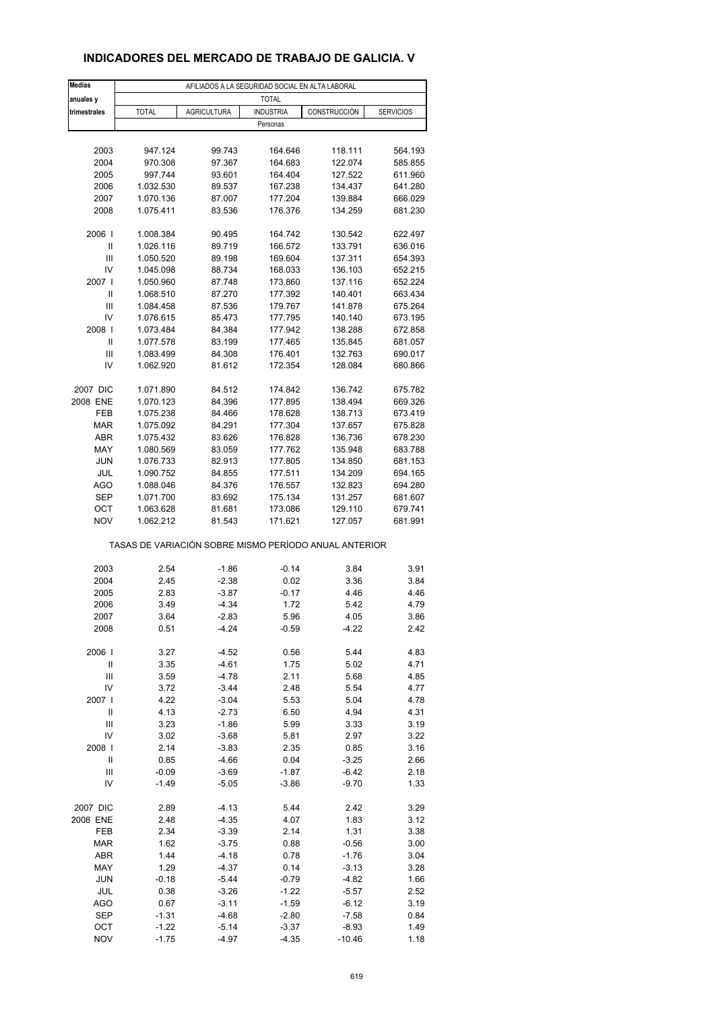# **INDICADORES DEL MERCADO DE TRABAJO DE GALICIA. V**

| <b>Medias</b>     | AFILIADOS A LA SEGURIDAD SOCIAL EN ALTA LABORAL       |                    |                    |                     |                    |  |  |  |
|-------------------|-------------------------------------------------------|--------------------|--------------------|---------------------|--------------------|--|--|--|
| anuales y         |                                                       |                    | <b>TOTAL</b>       |                     |                    |  |  |  |
| trimestrales      | <b>TOTAL</b>                                          | <b>AGRICULTURA</b> | <b>INDUSTRIA</b>   | CONSTRUCCIÓN        | <b>SERVICIOS</b>   |  |  |  |
|                   |                                                       |                    | Personas           |                     |                    |  |  |  |
|                   |                                                       |                    |                    |                     |                    |  |  |  |
| 2003              | 947.124                                               | 99.743             | 164.646            | 118.111             | 564.193            |  |  |  |
| 2004              | 970.308                                               | 97.367             | 164.683            | 122.074             | 585.855            |  |  |  |
| 2005              | 997.744                                               | 93.601             | 164.404            | 127.522             | 611.960            |  |  |  |
| 2006              | 1.032.530                                             | 89.537             | 167.238            | 134.437             | 641.280            |  |  |  |
| 2007              | 1.070.136                                             | 87.007             | 177.204            | 139.884             | 666.029            |  |  |  |
| 2008              | 1.075.411                                             | 83.536             | 176.376            | 134.259             | 681.230            |  |  |  |
| 2006              | 1.008.384                                             | 90.495             | 164.742            | 130.542             | 622.497            |  |  |  |
| Ш                 | 1.026.116                                             | 89.719             | 166.572            | 133.791             | 636.016            |  |  |  |
| Ш                 | 1.050.520                                             | 89.198             | 169.604            | 137.311             | 654.393            |  |  |  |
| IV                | 1.045.098                                             | 88.734             | 168.033            | 136.103             | 652.215            |  |  |  |
| 2007 l            | 1.050.960                                             | 87.748             | 173.860            | 137.116             | 652.224            |  |  |  |
| Ш                 | 1.068.510                                             | 87.270             | 177.392            | 140.401             | 663.434            |  |  |  |
| Ш                 | 1.084.458                                             | 87.536             | 179.767            | 141.878             | 675.264            |  |  |  |
| IV                | 1.076.615                                             | 85.473             | 177.795            | 140.140             | 673.195            |  |  |  |
| 2008              | 1.073.484                                             | 84.384             | 177.942            | 138.288             | 672.858            |  |  |  |
| Ш                 | 1.077.578                                             | 83.199             | 177.465            | 135.845             | 681.057            |  |  |  |
| Ш                 | 1.083.499                                             | 84.308             | 176.401            | 132.763             | 690.017            |  |  |  |
| IV                | 1.062.920                                             | 81.612             | 172.354            | 128.084             | 680.866            |  |  |  |
|                   |                                                       |                    |                    |                     |                    |  |  |  |
| 2007 DIC          | 1.071.890                                             | 84.512             | 174.842            | 136.742             | 675.782            |  |  |  |
| 2008 ENE<br>FEB   | 1.070.123<br>1.075.238                                | 84.396<br>84.466   | 177.895<br>178.628 | 138.494<br>138.713  | 669.326<br>673.419 |  |  |  |
| <b>MAR</b>        | 1.075.092                                             | 84.291             | 177.304            | 137.657             | 675.828            |  |  |  |
| ABR               | 1.075.432                                             | 83.626             | 176.828            | 136.736             | 678.230            |  |  |  |
| MAY               | 1.080.569                                             | 83.059             | 177.762            | 135.948             | 683.788            |  |  |  |
| <b>JUN</b>        | 1.076.733                                             | 82.913             | 177.805            | 134.850             | 681.153            |  |  |  |
| JUL               | 1.090.752                                             | 84.855             | 177.511            | 134.209             | 694.165            |  |  |  |
| AGO               | 1.088.046                                             | 84.376             | 176.557            | 132.823             | 694.280            |  |  |  |
| <b>SEP</b>        | 1.071.700                                             | 83.692             | 175.134            | 131.257             | 681.607            |  |  |  |
| ОСТ               | 1.063.628                                             | 81.681             | 173.086            | 129.110             | 679.741            |  |  |  |
| <b>NOV</b>        | 1.062.212                                             | 81.543             | 171.621            | 127.057             | 681.991            |  |  |  |
|                   |                                                       |                    |                    |                     |                    |  |  |  |
|                   | TASAS DE VARIACIÓN SOBRE MISMO PERÍODO ANUAL ANTERIOR |                    |                    |                     |                    |  |  |  |
|                   |                                                       |                    |                    |                     |                    |  |  |  |
| 2003              | 2.54                                                  | $-1.86$            | $-0.14$            | 3.84                | 3.91               |  |  |  |
| 2004              | 2.45                                                  | $-2.38$            | 0.02               | 3.36                | 3.84               |  |  |  |
| 2005              | 2.83                                                  | $-3.87$            | $-0.17$            | 4.46<br>5.42        | 4.46               |  |  |  |
| 2006              | 3.49                                                  | $-4.34$            | 1.72               |                     | 4.79               |  |  |  |
| 2007<br>2008      | 3.64<br>0.51                                          | -2.83<br>$-4.24$   | 5.96<br>$-0.59$    | 4.05<br>$-4.22$     | 3.86<br>2.42       |  |  |  |
|                   |                                                       |                    |                    |                     |                    |  |  |  |
| 2006              | 3.27                                                  | $-4.52$            | 0.56               | 5.44                | 4.83               |  |  |  |
| Ш                 | 3.35                                                  | $-4.61$            | 1.75               | 5.02                | 4.71               |  |  |  |
| Ш                 | 3.59                                                  | $-4.78$            | 2.11               | 5.68                | 4.85               |  |  |  |
| IV                | 3.72                                                  | $-3.44$            | 2.48               | 5.54                | 4.77               |  |  |  |
| 2007              | 4.22                                                  | $-3.04$            | 5.53               | 5.04                | 4.78               |  |  |  |
| $\mathsf{I}$      | 4.13                                                  | $-2.73$            | 6.50               | 4.94                | 4.31               |  |  |  |
| Ш                 | 3.23                                                  | $-1.86$            | 5.99               | 3.33                | 3.19               |  |  |  |
| IV                | 3.02                                                  | $-3.68$            | 5.81               | 2.97                | 3.22               |  |  |  |
| 2008              | 2.14                                                  | $-3.83$            | 2.35               | 0.85                | 3.16               |  |  |  |
| Ш                 | 0.85                                                  | $-4.66$            | 0.04               | $-3.25$             | 2.66               |  |  |  |
| Ш                 | $-0.09$                                               | $-3.69$            | $-1.87$            | $-6.42$             | 2.18               |  |  |  |
| IV                | $-1.49$                                               | $-5.05$            | $-3.86$            | $-9.70$             | 1.33               |  |  |  |
|                   |                                                       |                    |                    |                     |                    |  |  |  |
| 2007 DIC          | 2.89                                                  | $-4.13$            | 5.44               | 2.42                | 3.29               |  |  |  |
| 2008 ENE          | 2.48                                                  | $-4.35$            | 4.07               | 1.83                | 3.12               |  |  |  |
| FEB               | 2.34                                                  | $-3.39$            | 2.14               | 1.31                | 3.38               |  |  |  |
| <b>MAR</b>        | 1.62                                                  | $-3.75$            | 0.88               | $-0.56$             | 3.00               |  |  |  |
| ABR               | 1.44                                                  | $-4.18$            | 0.78               | $-1.76$             | 3.04               |  |  |  |
| MAY               | 1.29                                                  | $-4.37$            | 0.14               | $-3.13$             | 3.28               |  |  |  |
| <b>JUN</b>        | $-0.18$                                               | $-5.44$            | $-0.79$            | $-4.82$             | 1.66               |  |  |  |
| JUL               | 0.38                                                  | $-3.26$            | $-1.22$            | $-5.57$             | 2.52               |  |  |  |
| AGO               | 0.67                                                  | $-3.11$            | $-1.59$            | $-6.12$             | 3.19               |  |  |  |
| <b>SEP</b>        | $-1.31$                                               | $-4.68$            | $-2.80$            | $-7.58$             | 0.84               |  |  |  |
| OCT<br><b>NOV</b> | -1.22<br>$-1.75$                                      | $-5.14$<br>$-4.97$ | $-3.37$<br>$-4.35$ | $-8.93$<br>$-10.46$ | 1.49               |  |  |  |
|                   |                                                       |                    |                    |                     | 1.18               |  |  |  |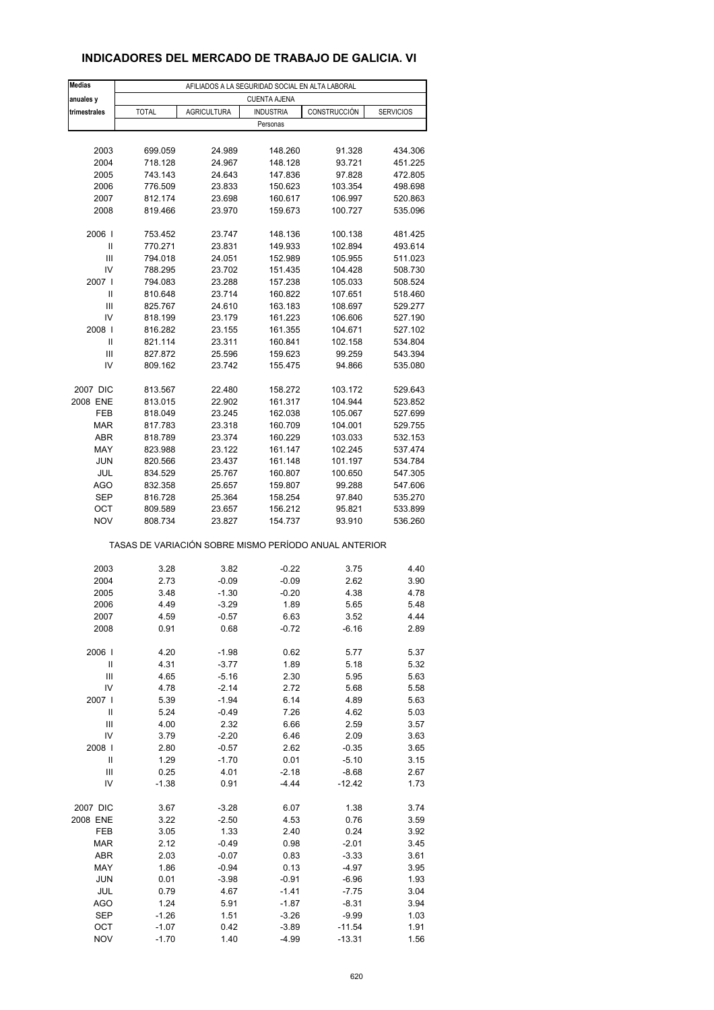## **INDICADORES DEL MERCADO DE TRABAJO DE GALICIA. VI**

| <b>Medias</b>     | AFILIADOS A LA SEGURIDAD SOCIAL EN ALTA LABORAL       |                    |                     |                    |                    |  |  |  |
|-------------------|-------------------------------------------------------|--------------------|---------------------|--------------------|--------------------|--|--|--|
| anuales y         |                                                       |                    | <b>CUENTA AJENA</b> |                    |                    |  |  |  |
| trimestrales      | <b>TOTAL</b>                                          | <b>AGRICULTURA</b> | <b>INDUSTRIA</b>    | CONSTRUCCIÓN       | <b>SERVICIOS</b>   |  |  |  |
|                   |                                                       |                    | Personas            |                    |                    |  |  |  |
|                   |                                                       |                    |                     |                    |                    |  |  |  |
| 2003              | 699.059                                               | 24.989             | 148.260             | 91.328             | 434.306            |  |  |  |
| 2004              | 718.128                                               | 24.967             | 148.128             | 93.721             | 451.225            |  |  |  |
| 2005              | 743.143                                               | 24.643             | 147.836             | 97.828             | 472.805            |  |  |  |
| 2006              | 776.509                                               | 23.833             | 150.623             | 103.354            | 498.698            |  |  |  |
| 2007              | 812.174                                               | 23.698             | 160.617             | 106.997            | 520.863            |  |  |  |
| 2008              | 819.466                                               | 23.970             | 159.673             | 100.727            | 535.096            |  |  |  |
| 2006              | 753.452                                               | 23.747             | 148.136             | 100.138            | 481.425            |  |  |  |
| Ш                 | 770.271                                               | 23.831             | 149.933             | 102.894            | 493.614            |  |  |  |
| Ш                 | 794.018                                               | 24.051             | 152.989             | 105.955            | 511.023            |  |  |  |
| IV                | 788.295                                               | 23.702             | 151.435             | 104.428            | 508.730            |  |  |  |
| 2007 l            | 794.083                                               | 23.288             | 157.238             | 105.033            | 508.524            |  |  |  |
| Ш                 | 810.648                                               | 23.714             | 160.822             | 107.651            | 518.460            |  |  |  |
| Ш                 | 825.767                                               | 24.610             | 163.183             | 108.697            | 529.277            |  |  |  |
| IV                | 818.199                                               | 23.179             | 161.223             | 106.606            | 527.190            |  |  |  |
| 2008              | 816.282                                               | 23.155             | 161.355             | 104.671            | 527.102            |  |  |  |
| Ш                 | 821.114                                               | 23.311             | 160.841             | 102.158            | 534.804            |  |  |  |
| Ш                 | 827.872                                               | 25.596             | 159.623             | 99.259             | 543.394            |  |  |  |
| IV                | 809.162                                               | 23.742             | 155.475             | 94.866             | 535.080            |  |  |  |
|                   |                                                       |                    |                     |                    |                    |  |  |  |
| 2007 DIC          | 813.567                                               | 22.480             | 158.272             | 103.172            | 529.643            |  |  |  |
| 2008 ENE          | 813.015                                               | 22.902             | 161.317             | 104.944            | 523.852            |  |  |  |
| FEB<br><b>MAR</b> | 818.049<br>817.783                                    | 23.245<br>23.318   | 162.038<br>160.709  | 105.067<br>104.001 | 527.699<br>529.755 |  |  |  |
| ABR               | 818.789                                               | 23.374             | 160.229             | 103.033            | 532.153            |  |  |  |
| MAY               | 823.988                                               | 23.122             | 161.147             | 102.245            | 537.474            |  |  |  |
| <b>JUN</b>        | 820.566                                               | 23.437             | 161.148             | 101.197            | 534.784            |  |  |  |
| JUL               | 834.529                                               | 25.767             | 160.807             | 100.650            | 547.305            |  |  |  |
| AGO               | 832.358                                               | 25.657             | 159.807             | 99.288             | 547.606            |  |  |  |
| <b>SEP</b>        | 816.728                                               | 25.364             | 158.254             | 97.840             | 535.270            |  |  |  |
| ОСТ               | 809.589                                               | 23.657             | 156.212             | 95.821             | 533.899            |  |  |  |
| <b>NOV</b>        | 808.734                                               | 23.827             | 154.737             | 93.910             | 536.260            |  |  |  |
|                   | TASAS DE VARIACIÓN SOBRE MISMO PERÍODO ANUAL ANTERIOR |                    |                     |                    |                    |  |  |  |
| 2003              | 3.28                                                  | 3.82               | $-0.22$             | 3.75               | 4.40               |  |  |  |
| 2004              | 2.73                                                  | $-0.09$            | $-0.09$             | 2.62               | 3.90               |  |  |  |
| 2005              | 3.48                                                  | $-1.30$            | $-0.20$             | 4.38               | 4.78               |  |  |  |
| 2006              | 4.49                                                  | $-3.29$            | 1.89                | 5.65               | 5.48               |  |  |  |
| 2007              | 4.59                                                  | $-0.57$            | 6.63                | 3.52               | 4.44               |  |  |  |
| 2008              | 0.91                                                  | 0.68               | $-0.72$             | $-6.16$            | 2.89               |  |  |  |
|                   |                                                       |                    |                     |                    |                    |  |  |  |
| 2006              | 4.20                                                  | $-1.98$            | 0.62                | 5.77               | 5.37               |  |  |  |
| Ш                 | 4.31                                                  | $-3.77$            | 1.89                | 5.18               | 5.32               |  |  |  |
| Ш                 | 4.65                                                  | $-5.16$            | 2.30                | 5.95               | 5.63               |  |  |  |
| IV                | 4.78                                                  | $-2.14$            | 2.72                | 5.68               | 5.58               |  |  |  |
| 2007              | 5.39                                                  | $-1.94$            | 6.14                | 4.89               | 5.63               |  |  |  |
| $\mathsf{I}$      | 5.24                                                  | $-0.49$            | 7.26                | 4.62               | 5.03               |  |  |  |
| Ш                 | 4.00                                                  | 2.32               | 6.66                | 2.59               | 3.57               |  |  |  |
| IV                | 3.79                                                  | $-2.20$            | 6.46                | 2.09               | 3.63               |  |  |  |
| 2008  <br>Ш       | 2.80<br>1.29                                          | $-0.57$<br>$-1.70$ | 2.62<br>0.01        | $-0.35$<br>$-5.10$ | 3.65<br>3.15       |  |  |  |
| Ш                 | 0.25                                                  | 4.01               | $-2.18$             | $-8.68$            | 2.67               |  |  |  |
| IV                | $-1.38$                                               | 0.91               | $-4.44$             | $-12.42$           | 1.73               |  |  |  |
|                   |                                                       |                    |                     |                    |                    |  |  |  |
| 2007 DIC          | 3.67                                                  | $-3.28$            | 6.07                | 1.38               | 3.74               |  |  |  |
| 2008 ENE          | 3.22                                                  | $-2.50$            | 4.53                | 0.76               | 3.59               |  |  |  |
| FEB               | 3.05                                                  | 1.33               | 2.40                | 0.24               | 3.92               |  |  |  |
| <b>MAR</b>        | 2.12                                                  | $-0.49$            | 0.98                | $-2.01$            | 3.45               |  |  |  |
| ABR               | 2.03                                                  | $-0.07$            | 0.83                | $-3.33$            | 3.61               |  |  |  |
| MAY               | 1.86                                                  | $-0.94$            | 0.13                | $-4.97$            | 3.95               |  |  |  |
| <b>JUN</b>        | 0.01                                                  | $-3.98$            | $-0.91$             | $-6.96$            | 1.93               |  |  |  |
| JUL               | 0.79                                                  | 4.67               | $-1.41$             | $-7.75$            | 3.04               |  |  |  |
| AGO               | 1.24                                                  | 5.91               | $-1.87$             | $-8.31$            | 3.94               |  |  |  |
| <b>SEP</b>        | $-1.26$                                               | 1.51               | $-3.26$             | $-9.99$            | 1.03               |  |  |  |
| OCT               | -1.07                                                 | 0.42               | $-3.89$             | $-11.54$           | 1.91               |  |  |  |
| <b>NOV</b>        | $-1.70$                                               | 1.40               | $-4.99$             | $-13.31$           | 1.56               |  |  |  |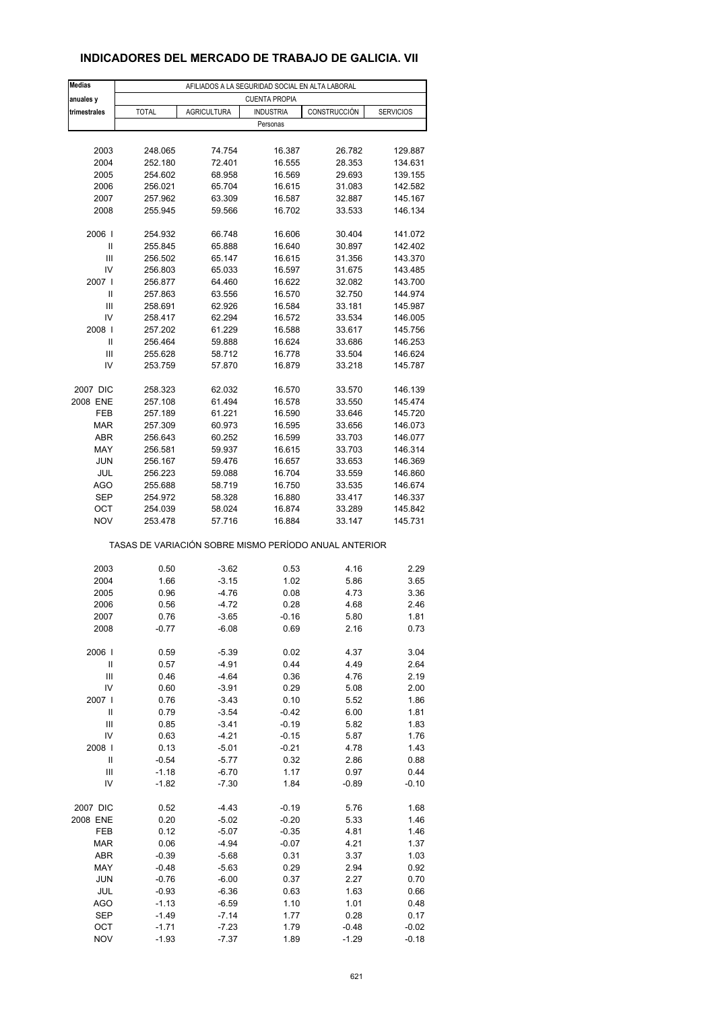## **INDICADORES DEL MERCADO DE TRABAJO DE GALICIA. VII**

| <b>Medias</b>  | AFILIADOS A LA SEGURIDAD SOCIAL EN ALTA LABORAL |                                                       |                  |              |                  |  |  |  |
|----------------|-------------------------------------------------|-------------------------------------------------------|------------------|--------------|------------------|--|--|--|
| anuales y      | <b>CUENTA PROPIA</b>                            |                                                       |                  |              |                  |  |  |  |
| trimestrales   | <b>TOTAL</b>                                    | <b>AGRICULTURA</b>                                    | <b>INDUSTRIA</b> | CONSTRUCCIÓN | <b>SERVICIOS</b> |  |  |  |
|                |                                                 |                                                       | Personas         |              |                  |  |  |  |
|                |                                                 |                                                       |                  |              |                  |  |  |  |
| 2003           | 248.065                                         | 74.754                                                | 16.387           | 26.782       | 129.887          |  |  |  |
| 2004           | 252.180                                         | 72.401                                                | 16.555           | 28.353       | 134.631          |  |  |  |
| 2005           | 254.602                                         | 68.958                                                | 16.569           | 29.693       | 139.155          |  |  |  |
| 2006           | 256.021                                         | 65.704                                                | 16.615           | 31.083       | 142.582          |  |  |  |
| 2007           | 257.962                                         | 63.309                                                | 16.587           | 32.887       | 145.167          |  |  |  |
| 2008           | 255.945                                         | 59.566                                                | 16.702           | 33.533       | 146.134          |  |  |  |
|                |                                                 |                                                       |                  |              |                  |  |  |  |
| 2006           | 254.932                                         | 66.748                                                | 16.606           | 30.404       | 141.072          |  |  |  |
| Ш              | 255.845                                         | 65.888                                                | 16.640           | 30.897       | 142.402          |  |  |  |
| Ш              | 256.502                                         | 65.147                                                | 16.615           | 31.356       | 143.370          |  |  |  |
| IV             | 256.803                                         | 65.033                                                | 16.597           | 31.675       | 143.485          |  |  |  |
| 2007 l         | 256.877                                         | 64.460                                                | 16.622           | 32.082       | 143.700          |  |  |  |
| Ш              | 257.863                                         | 63.556                                                | 16.570           | 32.750       | 144.974          |  |  |  |
| Ш              | 258.691                                         | 62.926                                                | 16.584           | 33.181       | 145.987          |  |  |  |
| IV             | 258.417                                         | 62.294                                                | 16.572           | 33.534       | 146.005          |  |  |  |
| 2008           | 257.202                                         | 61.229                                                | 16.588           | 33.617       | 145.756          |  |  |  |
| Ш              | 256.464                                         | 59.888                                                | 16.624           | 33.686       | 146.253          |  |  |  |
| Ш              | 255.628                                         | 58.712                                                | 16.778           | 33.504       | 146.624          |  |  |  |
| IV             | 253.759                                         | 57.870                                                | 16.879           | 33.218       | 145.787          |  |  |  |
|                |                                                 |                                                       |                  |              |                  |  |  |  |
| 2007 DIC       | 258.323                                         | 62.032                                                | 16.570           | 33.570       | 146.139          |  |  |  |
| 2008 ENE       | 257.108                                         | 61.494                                                | 16.578           | 33.550       | 145.474          |  |  |  |
| <b>FEB</b>     | 257.189                                         | 61.221                                                | 16.590           | 33.646       | 145.720          |  |  |  |
| <b>MAR</b>     | 257.309                                         | 60.973                                                | 16.595           | 33.656       | 146.073          |  |  |  |
| ABR            | 256.643                                         | 60.252                                                | 16.599           | 33.703       | 146.077          |  |  |  |
| MAY            | 256.581                                         | 59.937                                                | 16.615           | 33.703       | 146.314          |  |  |  |
| <b>JUN</b>     | 256.167                                         | 59.476                                                | 16.657           | 33.653       | 146.369          |  |  |  |
| JUL            | 256.223                                         | 59.088                                                | 16.704           | 33.559       | 146.860          |  |  |  |
| AGO            | 255.688                                         | 58.719                                                | 16.750           | 33.535       | 146.674          |  |  |  |
| <b>SEP</b>     | 254.972                                         | 58.328                                                | 16.880           | 33.417       | 146.337          |  |  |  |
| ОСТ            | 254.039                                         | 58.024                                                | 16.874           | 33.289       | 145.842          |  |  |  |
| <b>NOV</b>     | 253.478                                         | 57.716                                                | 16.884           | 33.147       | 145.731          |  |  |  |
|                |                                                 | TASAS DE VARIACIÓN SOBRE MISMO PERÍODO ANUAL ANTERIOR |                  |              |                  |  |  |  |
| 2003           |                                                 | $-3.62$                                               |                  | 4.16         | 2.29             |  |  |  |
| 2004           | 0.50                                            |                                                       | 0.53             |              |                  |  |  |  |
| 2005           | 1.66<br>0.96                                    | $-3.15$<br>$-4.76$                                    | 1.02<br>0.08     | 5.86<br>4.73 | 3.65<br>3.36     |  |  |  |
|                |                                                 |                                                       |                  |              | 2.46             |  |  |  |
| 2006<br>2007   | 0.56                                            | $-4.72$                                               | 0.28             | 4.68         |                  |  |  |  |
| 2008           | 0.76<br>$-0.77$                                 | $-3.65$<br>$-6.08$                                    | -0.16<br>0.69    | 5.80<br>2.16 | 1.81<br>0.73     |  |  |  |
|                |                                                 |                                                       |                  |              |                  |  |  |  |
| 2006           | 0.59                                            | $-5.39$                                               | 0.02             | 4.37         | 3.04             |  |  |  |
| $\sf II$       | 0.57                                            | $-4.91$                                               | 0.44             | 4.49         | 2.64             |  |  |  |
| $\mathbf{III}$ | 0.46                                            | $-4.64$                                               | 0.36             | 4.76         | 2.19             |  |  |  |
| IV             | 0.60                                            | $-3.91$                                               | 0.29             | 5.08         | 2.00             |  |  |  |
| 2007           | 0.76                                            | $-3.43$                                               | 0.10             | 5.52         | 1.86             |  |  |  |
| $\sf II$       | 0.79                                            | $-3.54$                                               | $-0.42$          | 6.00         | 1.81             |  |  |  |
| Ш              | 0.85                                            | $-3.41$                                               | $-0.19$          | 5.82         | 1.83             |  |  |  |
| IV             | 0.63                                            | $-4.21$                                               | $-0.15$          | 5.87         | 1.76             |  |  |  |
| 2008           | 0.13                                            | $-5.01$                                               | $-0.21$          | 4.78         | 1.43             |  |  |  |
| Ш              | $-0.54$                                         | $-5.77$                                               | 0.32             | 2.86         | 0.88             |  |  |  |
| Ш              | $-1.18$                                         | $-6.70$                                               | 1.17             | 0.97         | 0.44             |  |  |  |
| IV             | $-1.82$                                         | $-7.30$                                               | 1.84             | -0.89        | $-0.10$          |  |  |  |
|                |                                                 |                                                       |                  |              |                  |  |  |  |
| 2007 DIC       | 0.52                                            | $-4.43$                                               | -0.19            | 5.76         | 1.68             |  |  |  |
| 2008 ENE       | 0.20                                            | $-5.02$                                               | $-0.20$          | 5.33         | 1.46             |  |  |  |
| FEB            | 0.12                                            | $-5.07$                                               | $-0.35$          | 4.81         | 1.46             |  |  |  |
| <b>MAR</b>     | 0.06                                            | $-4.94$                                               | $-0.07$          | 4.21         | 1.37             |  |  |  |
| ABR            | $-0.39$                                         | $-5.68$                                               | 0.31             | 3.37         | 1.03             |  |  |  |
| MAY            | $-0.48$                                         | $-5.63$                                               | 0.29             | 2.94         | 0.92             |  |  |  |
| <b>JUN</b>     | $-0.76$                                         | $-6.00$                                               | 0.37             | 2.27         | 0.70             |  |  |  |
| JUL            | $-0.93$                                         | $-6.36$                                               | 0.63             | 1.63         | 0.66             |  |  |  |
| AGO            | $-1.13$                                         | $-6.59$                                               | 1.10             | 1.01         | 0.48             |  |  |  |
| SEP            | $-1.49$                                         | $-7.14$                                               | 1.77             | 0.28         | 0.17             |  |  |  |
| OCT            | $-1.71$                                         | $-7.23$                                               | 1.79             | $-0.48$      | $-0.02$          |  |  |  |
| <b>NOV</b>     | $-1.93$                                         | $-7.37$                                               | 1.89             | $-1.29$      | $-0.18$          |  |  |  |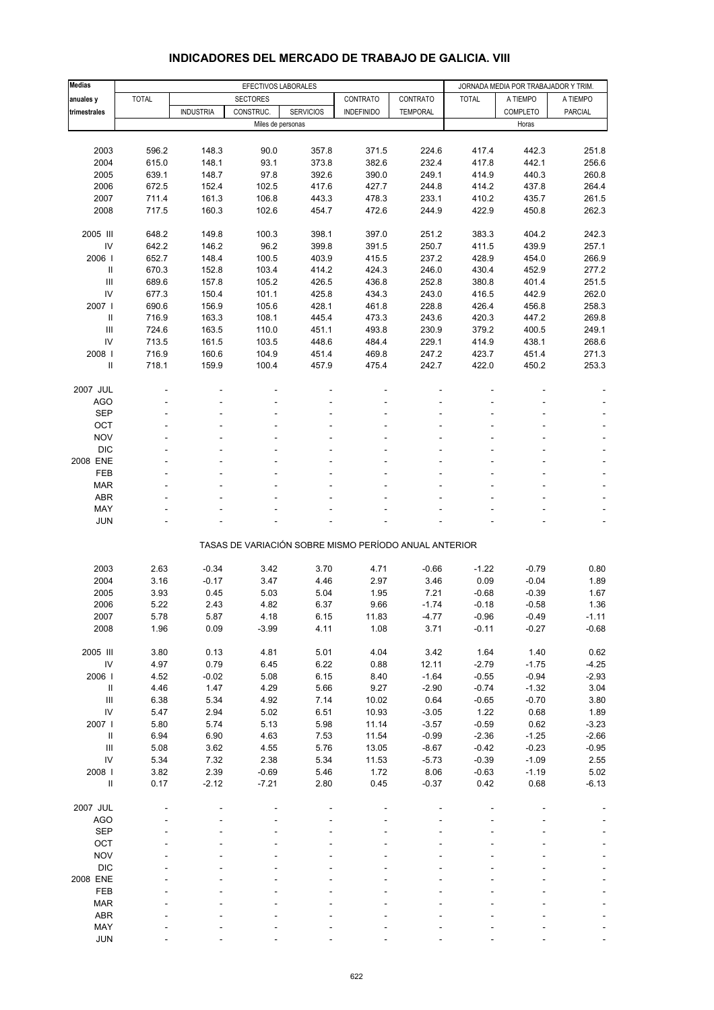| <b>Medias</b>                      | EFECTIVOS LABORALES |                  |                 |                                                       |                   | JORNADA MEDIA POR TRABAJADOR Y TRIM. |              |          |                          |
|------------------------------------|---------------------|------------------|-----------------|-------------------------------------------------------|-------------------|--------------------------------------|--------------|----------|--------------------------|
| anuales y                          | <b>TOTAL</b>        |                  | <b>SECTORES</b> |                                                       | CONTRATO          | CONTRATO                             | <b>TOTAL</b> | A TIEMPO | A TIEMPO                 |
| trimestrales                       |                     | <b>INDUSTRIA</b> | CONSTRUC.       | <b>SERVICIOS</b>                                      | <b>INDEFINIDO</b> | <b>TEMPORAL</b>                      |              | COMPLETO | <b>PARCIAL</b>           |
|                                    |                     |                  |                 | Miles de personas                                     |                   |                                      |              | Horas    |                          |
|                                    |                     |                  |                 |                                                       |                   |                                      |              |          |                          |
| 2003                               | 596.2               | 148.3            | 90.0            | 357.8                                                 | 371.5             | 224.6                                | 417.4        | 442.3    | 251.8                    |
| 2004                               | 615.0               | 148.1            | 93.1            | 373.8                                                 | 382.6             | 232.4                                | 417.8        | 442.1    | 256.6                    |
| 2005                               | 639.1               | 148.7            | 97.8            | 392.6                                                 | 390.0             | 249.1                                | 414.9        | 440.3    | 260.8                    |
| 2006                               | 672.5               | 152.4            | 102.5           | 417.6                                                 | 427.7             | 244.8                                | 414.2        | 437.8    | 264.4                    |
| 2007                               | 711.4               | 161.3            | 106.8           | 443.3                                                 | 478.3             | 233.1                                | 410.2        | 435.7    | 261.5                    |
| 2008                               | 717.5               | 160.3            | 102.6           | 454.7                                                 | 472.6             | 244.9                                | 422.9        | 450.8    | 262.3                    |
| 2005 III                           | 648.2               | 149.8            | 100.3           | 398.1                                                 | 397.0             | 251.2                                | 383.3        | 404.2    | 242.3                    |
| ${\sf IV}$                         | 642.2               | 146.2            | 96.2            | 399.8                                                 | 391.5             | 250.7                                | 411.5        | 439.9    | 257.1                    |
| 2006                               | 652.7               | 148.4            | 100.5           | 403.9                                                 | 415.5             | 237.2                                | 428.9        | 454.0    | 266.9                    |
| $\ensuremath{\mathsf{II}}$         | 670.3               | 152.8            | 103.4           | 414.2                                                 | 424.3             | 246.0                                | 430.4        | 452.9    | 277.2                    |
| $\ensuremath{\mathsf{III}}\xspace$ | 689.6               | 157.8            | 105.2           | 426.5                                                 | 436.8             | 252.8                                | 380.8        | 401.4    | 251.5                    |
| IV                                 | 677.3               | 150.4            | 101.1           | 425.8                                                 | 434.3             | 243.0                                | 416.5        | 442.9    | 262.0                    |
| 2007                               | 690.6               | 156.9            | 105.6           | 428.1                                                 | 461.8             | 228.8                                | 426.4        | 456.8    | 258.3                    |
| Ш                                  | 716.9               | 163.3            | 108.1           | 445.4                                                 | 473.3             | 243.6                                | 420.3        | 447.2    | 269.8                    |
| $\mathbf{III}$                     | 724.6               | 163.5            | 110.0           | 451.1                                                 | 493.8             | 230.9                                | 379.2        | 400.5    | 249.1                    |
| IV                                 | 713.5               | 161.5            | 103.5           | 448.6                                                 | 484.4             | 229.1                                | 414.9        | 438.1    | 268.6                    |
| 2008                               | 716.9               | 160.6            | 104.9           | 451.4                                                 | 469.8             | 247.2                                | 423.7        | 451.4    | 271.3                    |
| $\ensuremath{\mathsf{II}}$         | 718.1               | 159.9            | 100.4           | 457.9                                                 | 475.4             | 242.7                                | 422.0        | 450.2    | 253.3                    |
|                                    |                     |                  |                 |                                                       |                   |                                      |              |          |                          |
| 2007 JUL                           |                     |                  |                 |                                                       |                   |                                      |              |          |                          |
| <b>AGO</b>                         |                     |                  |                 |                                                       |                   |                                      |              |          |                          |
| <b>SEP</b>                         |                     |                  |                 |                                                       |                   |                                      |              |          |                          |
| OCT                                |                     |                  |                 |                                                       |                   |                                      |              |          |                          |
| <b>NOV</b>                         |                     |                  |                 |                                                       |                   |                                      |              |          |                          |
| <b>DIC</b>                         |                     |                  |                 |                                                       |                   |                                      |              |          |                          |
| 2008 ENE                           |                     |                  |                 |                                                       |                   |                                      |              |          | $\overline{\phantom{a}}$ |
| FEB                                |                     |                  |                 |                                                       |                   |                                      |              |          |                          |
| <b>MAR</b>                         |                     |                  |                 |                                                       |                   |                                      |              |          |                          |
| ABR<br>MAY                         |                     |                  |                 |                                                       |                   |                                      |              |          |                          |
| <b>JUN</b>                         |                     |                  |                 |                                                       |                   |                                      |              |          | $\blacksquare$           |
|                                    |                     |                  |                 |                                                       |                   |                                      |              |          |                          |
|                                    |                     |                  |                 | TASAS DE VARIACIÓN SOBRE MISMO PERÍODO ANUAL ANTERIOR |                   |                                      |              |          |                          |
|                                    |                     |                  |                 |                                                       |                   |                                      |              |          |                          |
| 2003                               | 2.63                | $-0.34$          | 3.42            | 3.70                                                  | 4.71              | $-0.66$                              | $-1.22$      | $-0.79$  | 0.80                     |
| 2004                               | 3.16                | $-0.17$          | 3.47            | 4.46                                                  | 2.97              | 3.46                                 | 0.09         | $-0.04$  | 1.89                     |
| 2005                               | 3.93                | 0.45             | 5.03            | 5.04                                                  | 1.95              | 7.21                                 | $-0.68$      | $-0.39$  | 1.67                     |
| 2006                               | 5.22                | 2.43             | 4.82            | 6.37                                                  | 9.66              | $-1.74$                              | $-0.18$      | $-0.58$  | 1.36                     |
| 2007                               | 5.78                | 5.87             | 4.18            | 6.15                                                  | 11.83             | -4.77                                | -0.96        | $-0.49$  | -1.11                    |
| 2008                               | 1.96                | 0.09             | $-3.99$         | 4.11                                                  | 1.08              | 3.71                                 | $-0.11$      | $-0.27$  | $-0.68$                  |
| 2005 III                           | 3.80                | 0.13             | 4.81            | 5.01                                                  | 4.04              | 3.42                                 | 1.64         | 1.40     | 0.62                     |
| ${\sf IV}$                         | 4.97                | 0.79             | 6.45            | 6.22                                                  | 0.88              | 12.11                                | $-2.79$      | $-1.75$  | $-4.25$                  |
| 2006                               | 4.52                | $-0.02$          | 5.08            | 6.15                                                  | 8.40              | $-1.64$                              | $-0.55$      | $-0.94$  | $-2.93$                  |
| Ш                                  | 4.46                | 1.47             | 4.29            | 5.66                                                  | 9.27              | $-2.90$                              | $-0.74$      | $-1.32$  | 3.04                     |
| $\ensuremath{\mathsf{III}}\xspace$ | 6.38                | 5.34             | 4.92            | 7.14                                                  | 10.02             | 0.64                                 | $-0.65$      | $-0.70$  | 3.80                     |
| IV                                 | 5.47                | 2.94             | 5.02            | 6.51                                                  | 10.93             | $-3.05$                              | 1.22         | 0.68     | 1.89                     |
| 2007 l                             | 5.80                | 5.74             | 5.13            | 5.98                                                  | 11.14             | $-3.57$                              | $-0.59$      | 0.62     | $-3.23$                  |
| $\ensuremath{\mathsf{II}}$         | 6.94                | 6.90             | 4.63            | 7.53                                                  | 11.54             | $-0.99$                              | $-2.36$      | $-1.25$  | $-2.66$                  |
| Ш                                  | 5.08                | 3.62             | 4.55            | 5.76                                                  | 13.05             | $-8.67$                              | $-0.42$      | $-0.23$  | $-0.95$                  |
| ${\sf IV}$                         | 5.34                | 7.32             | 2.38            | 5.34                                                  | 11.53             | $-5.73$                              | $-0.39$      | $-1.09$  | 2.55                     |
| 2008                               | 3.82                | 2.39             | $-0.69$         | 5.46                                                  | 1.72              | 8.06                                 | $-0.63$      | $-1.19$  | 5.02                     |
| $\ensuremath{\mathsf{II}}$         | 0.17                | $-2.12$          | $-7.21$         | 2.80                                                  | 0.45              | $-0.37$                              | 0.42         | 0.68     | $-6.13$                  |
|                                    |                     |                  |                 |                                                       |                   |                                      |              |          |                          |
| 2007 JUL                           |                     |                  |                 |                                                       |                   |                                      |              |          |                          |
| <b>AGO</b>                         |                     |                  |                 |                                                       |                   |                                      |              |          |                          |
| <b>SEP</b>                         |                     |                  |                 |                                                       |                   |                                      |              |          |                          |
| OCT                                |                     |                  |                 |                                                       |                   |                                      |              |          |                          |
| <b>NOV</b>                         |                     |                  |                 |                                                       |                   |                                      |              |          |                          |
| $\mathsf{DIC}$                     |                     |                  |                 |                                                       |                   |                                      |              |          |                          |
| 2008 ENE<br>FEB                    |                     |                  |                 |                                                       |                   |                                      |              |          |                          |
| <b>MAR</b>                         |                     |                  |                 |                                                       |                   |                                      |              |          |                          |
| ABR                                |                     |                  |                 |                                                       |                   |                                      |              |          |                          |
| MAY                                |                     |                  |                 |                                                       |                   |                                      |              |          |                          |

#### **INDICADORES DEL MERCADO DE TRABAJO DE GALICIA. VIII**

JUN - - - - - - - - -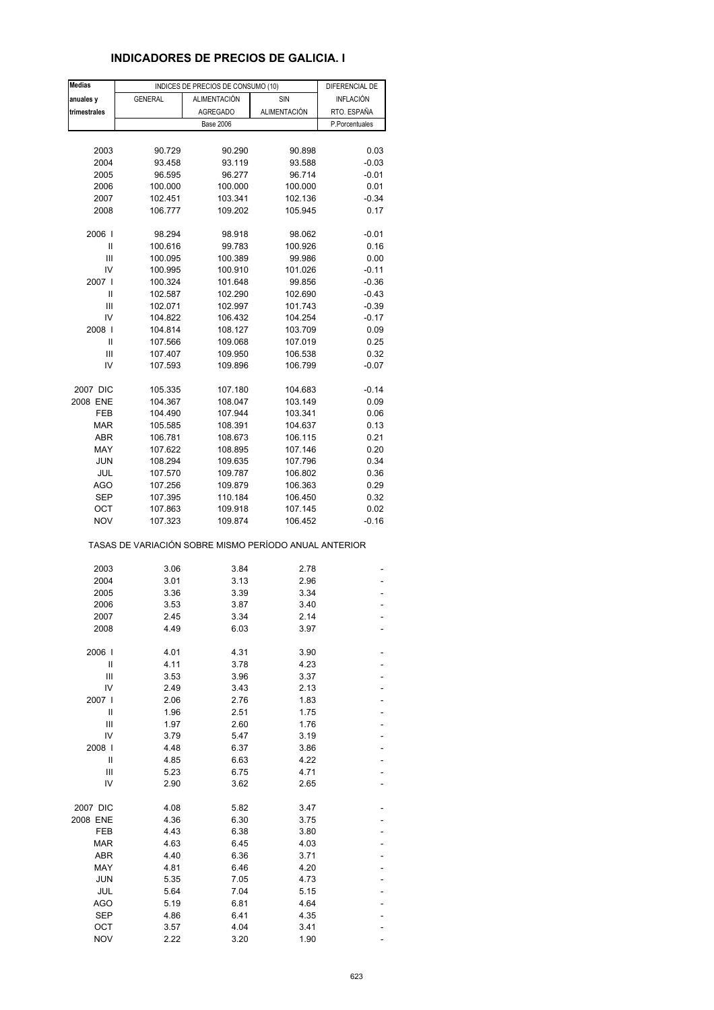# **INDICADORES DE PRECIOS DE GALICIA. I**

| <b>Medias</b> |                                                       | INDICES DE PRECIOS DE CONSUMO (10) |              | DIFERENCIAL DE   |
|---------------|-------------------------------------------------------|------------------------------------|--------------|------------------|
| anuales y     | <b>GENERAL</b>                                        | <b>ALIMENTACIÓN</b>                | SIN          | <b>INFLACIÓN</b> |
| trimestrales  |                                                       | <b>AGREGADO</b>                    | ALIMENTACIÓN | RTO. ESPAÑA      |
|               |                                                       | <b>Base 2006</b>                   |              | P.Porcentuales   |
|               |                                                       |                                    |              |                  |
| 2003          | 90.729                                                | 90.290                             | 90.898       | 0.03             |
|               |                                                       | 93.119                             |              |                  |
| 2004          | 93.458                                                |                                    | 93.588       | $-0.03$          |
| 2005          | 96.595                                                | 96.277                             | 96.714       | $-0.01$          |
| 2006          | 100.000                                               | 100.000                            | 100.000      | 0.01             |
| 2007          | 102.451                                               | 103.341                            | 102.136      | $-0.34$          |
| 2008          | 106.777                                               | 109.202                            | 105.945      | 0.17             |
| 2006          | 98.294                                                | 98.918                             | 98.062       | $-0.01$          |
| Ш             | 100.616                                               | 99.783                             | 100.926      | 0.16             |
| Ш             | 100.095                                               | 100.389                            | 99.986       | 0.00             |
| IV            | 100.995                                               | 100.910                            | 101.026      | $-0.11$          |
| 2007 l        | 100.324                                               |                                    |              |                  |
|               |                                                       | 101.648                            | 99.856       | $-0.36$          |
| Ш             | 102.587                                               | 102.290                            | 102.690      | $-0.43$          |
| Ш             | 102.071                                               | 102.997                            | 101.743      | $-0.39$          |
| IV            | 104.822                                               | 106.432                            | 104.254      | $-0.17$          |
| 2008          | 104.814                                               | 108.127                            | 103.709      | 0.09             |
| Ш             | 107.566                                               | 109.068                            | 107.019      | 0.25             |
| Ш             | 107.407                                               | 109.950                            | 106.538      | 0.32             |
| IV            | 107.593                                               | 109.896                            | 106.799      | $-0.07$          |
|               |                                                       |                                    |              |                  |
| 2007 DIC      | 105.335                                               | 107.180                            | 104.683      | $-0.14$          |
| 2008 ENE      | 104.367                                               | 108.047                            | 103.149      | 0.09             |
| FEB           | 104.490                                               | 107.944                            | 103.341      | 0.06             |
| <b>MAR</b>    | 105.585                                               | 108.391                            | 104.637      | 0.13             |
| ABR           | 106.781                                               | 108.673                            | 106.115      | 0.21             |
| MAY           | 107.622                                               | 108.895                            | 107.146      | 0.20             |
| <b>JUN</b>    | 108.294                                               | 109.635                            | 107.796      | 0.34             |
| JUL           | 107.570                                               | 109.787                            | 106.802      | 0.36             |
|               |                                                       |                                    |              |                  |
| <b>AGO</b>    | 107.256                                               | 109.879                            | 106.363      | 0.29             |
| <b>SEP</b>    | 107.395                                               | 110.184                            | 106.450      | 0.32             |
| ОСТ           | 107.863                                               | 109.918                            | 107.145      | 0.02             |
| <b>NOV</b>    | 107.323                                               | 109.874                            | 106.452      | $-0.16$          |
|               | TASAS DE VARIACIÓN SOBRE MISMO PERÍODO ANUAL ANTERIOR |                                    |              |                  |
| 2003          | 3.06                                                  | 3.84                               | 2.78         |                  |
| 2004          | 3.01                                                  | 3.13                               | 2.96         |                  |
| 2005          | 3.36                                                  | 3.39                               | 3.34         |                  |
| 2006          | 3.53                                                  | 3.87                               | 3.40         |                  |
| 2007          | 2.45                                                  | 3.34                               | 2.14         |                  |
|               |                                                       |                                    |              |                  |
| 2008          | 4.49                                                  | 6.03                               | 3.97         |                  |
| 2006          | 4.01                                                  | 4.31                               | 3.90         |                  |
| Ш             | 4.11                                                  | 3.78                               | 4.23         |                  |
| Ш             | 3.53                                                  | 3.96                               | 3.37         |                  |
| IV            | 2.49                                                  | 3.43                               | 2.13         |                  |
| 2007          | 2.06                                                  | 2.76                               | 1.83         |                  |
| Ш             | 1.96                                                  | 2.51                               | 1.75         |                  |
| Ш             | 1.97                                                  | 2.60                               | 1.76         |                  |
| IV            | 3.79                                                  | 5.47                               | 3.19         |                  |
|               |                                                       |                                    |              |                  |
| 2008          | 4.48                                                  | 6.37                               | 3.86         |                  |
| Ш             | 4.85                                                  | 6.63                               | 4.22         |                  |
| Ш             | 5.23                                                  | 6.75                               | 4.71         |                  |
| IV            | 2.90                                                  | 3.62                               | 2.65         |                  |
| 2007 DIC      | 4.08                                                  | 5.82                               | 3.47         |                  |
| 2008 ENE      | 4.36                                                  | 6.30                               | 3.75         |                  |
| FEB           | 4.43                                                  | 6.38                               | 3.80         |                  |
| <b>MAR</b>    | 4.63                                                  | 6.45                               | 4.03         |                  |
| <b>ABR</b>    | 4.40                                                  | 6.36                               | 3.71         |                  |
| MAY           | 4.81                                                  | 6.46                               | 4.20         |                  |
| <b>JUN</b>    | 5.35                                                  | 7.05                               | 4.73         |                  |
| JUL           | 5.64                                                  | 7.04                               | 5.15         |                  |
|               |                                                       |                                    |              |                  |
| AGO           | 5.19                                                  | 6.81                               | 4.64         |                  |
| <b>SEP</b>    | 4.86                                                  | 6.41                               | 4.35         |                  |
| ОСТ           | 3.57                                                  | 4.04                               | 3.41         |                  |
| <b>NOV</b>    | 2.22                                                  | 3.20                               | 1.90         |                  |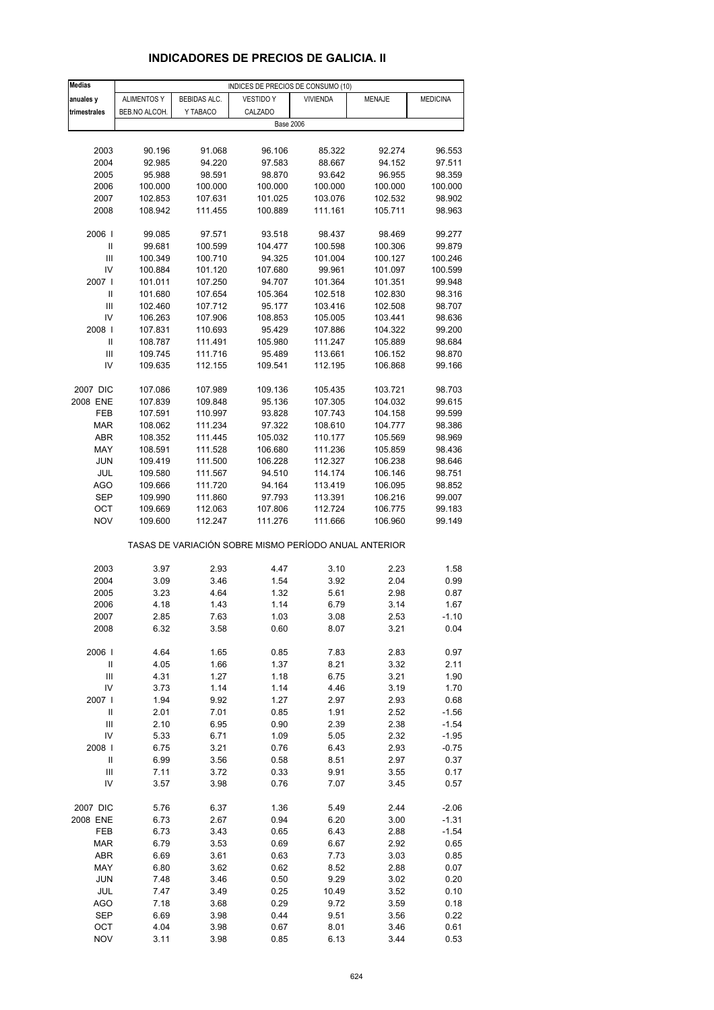# **INDICADORES DE PRECIOS DE GALICIA. II**

| Medias                     |                    |              | INDICES DE PRECIOS DE CONSUMO (10)                    |                   |         |                 |
|----------------------------|--------------------|--------------|-------------------------------------------------------|-------------------|---------|-----------------|
| anuales y                  | <b>ALIMENTOS Y</b> | BEBIDAS ALC. | <b>VESTIDO Y</b>                                      | <b>VIVIENDA</b>   | MENAJE  | <b>MEDICINA</b> |
| trimestrales               | BEB.NO ALCOH.      | Y TABACO     | CALZADO                                               |                   |         |                 |
|                            |                    |              | <b>Base 2006</b>                                      |                   |         |                 |
|                            |                    |              |                                                       |                   |         |                 |
| 2003                       | 90.196             | 91.068       | 96.106                                                | 85.322            | 92.274  | 96.553          |
| 2004                       | 92.985             | 94.220       | 97.583                                                | 88.667            | 94.152  | 97.511          |
| 2005                       | 95.988             | 98.591       | 98.870                                                | 93.642            | 96.955  | 98.359          |
| 2006                       | 100.000            | 100.000      | 100.000                                               | 100.000           | 100.000 | 100.000         |
| 2007                       | 102.853            |              |                                                       | 103.076           | 102.532 | 98.902          |
|                            |                    | 107.631      | 101.025<br>100.889                                    |                   |         | 98.963          |
| 2008                       | 108.942            | 111.455      |                                                       | 111.161           | 105.711 |                 |
| 2006                       | 99.085             | 97.571       | 93.518                                                | 98.437            | 98.469  | 99.277          |
| $\sf II$                   | 99.681             | 100.599      | 104.477                                               | 100.598           | 100.306 | 99.879          |
| Ш                          | 100.349            | 100.710      | 94.325                                                | 101.004           | 100.127 | 100.246         |
| IV                         | 100.884            | 101.120      |                                                       |                   |         |                 |
| 2007                       |                    |              | 107.680                                               | 99.961<br>101.364 | 101.097 | 100.599         |
|                            | 101.011            | 107.250      | 94.707                                                |                   | 101.351 | 99.948          |
| Ш                          | 101.680            | 107.654      | 105.364                                               | 102.518           | 102.830 | 98.316          |
| III                        | 102.460            | 107.712      | 95.177                                                | 103.416           | 102.508 | 98.707          |
| IV                         | 106.263            | 107.906      | 108.853                                               | 105.005           | 103.441 | 98.636          |
| 2008                       | 107.831            | 110.693      | 95.429                                                | 107.886           | 104.322 | 99.200          |
| Ш                          | 108.787            | 111.491      | 105.980                                               | 111.247           | 105.889 | 98.684          |
| Ш                          | 109.745            | 111.716      | 95.489                                                | 113.661           | 106.152 | 98.870          |
| IV                         | 109.635            | 112.155      | 109.541                                               | 112.195           | 106.868 | 99.166          |
|                            |                    |              |                                                       |                   |         |                 |
| 2007 DIC                   | 107.086            | 107.989      | 109.136                                               | 105.435           | 103.721 | 98.703          |
| 2008 ENE                   | 107.839            | 109.848      | 95.136                                                | 107.305           | 104.032 | 99.615          |
| FEB                        | 107.591            | 110.997      | 93.828                                                | 107.743           | 104.158 | 99.599          |
| <b>MAR</b>                 | 108.062            | 111.234      | 97.322                                                | 108.610           | 104.777 | 98.386          |
| <b>ABR</b>                 | 108.352            | 111.445      | 105.032                                               | 110.177           | 105.569 | 98.969          |
| MAY                        | 108.591            | 111.528      | 106.680                                               | 111.236           | 105.859 | 98.436          |
| JUN                        | 109.419            | 111.500      | 106.228                                               | 112.327           | 106.238 | 98.646          |
| JUL                        | 109.580            | 111.567      | 94.510                                                | 114.174           | 106.146 | 98.751          |
| AGO                        | 109.666            | 111.720      | 94.164                                                | 113.419           | 106.095 | 98.852          |
| SEP                        | 109.990            | 111.860      | 97.793                                                | 113.391           | 106.216 | 99.007          |
| ОСТ                        | 109.669            | 112.063      | 107.806                                               | 112.724           | 106.775 | 99.183          |
| <b>NOV</b>                 | 109.600            | 112.247      | 111.276                                               | 111.666           | 106.960 | 99.149          |
|                            |                    |              | TASAS DE VARIACIÓN SOBRE MISMO PERÍODO ANUAL ANTERIOR |                   |         |                 |
|                            |                    |              |                                                       |                   |         |                 |
| 2003                       | 3.97               | 2.93         | 4.47                                                  | 3.10              | 2.23    | 1.58            |
| 2004                       | 3.09               | 3.46         | 1.54                                                  | 3.92              | 2.04    | 0.99            |
| 2005                       | 3.23               | 4.64         | 1.32                                                  | 5.61              | 2.98    | 0.87            |
| 2006                       | 4.18               | 1.43         | 1.14                                                  | 6.79              | 3.14    | 1.67            |
| 2007                       | 2.85               | 7.63         | 1.03                                                  | 3.08              | 2.53    | $-1.10$         |
| 2008                       | 6.32               | 3.58         | 0.60                                                  | 8.07              | 3.21    | 0.04            |
|                            |                    |              |                                                       |                   |         |                 |
| 2006                       | 4.64               | 1.65         | 0.85                                                  | 7.83              | 2.83    | 0.97            |
| $\ensuremath{\mathsf{II}}$ | 4.05               | 1.66         | 1.37                                                  | 8.21              | 3.32    | 2.11            |
| $\mathsf{III}$             | 4.31               | 1.27         | 1.18                                                  | 6.75              | 3.21    | 1.90            |
| IV                         | 3.73               | 1.14         | 1.14                                                  | 4.46              | 3.19    | 1.70            |
| 2007 l                     | 1.94               | 9.92         | 1.27                                                  | 2.97              | 2.93    | 0.68            |
| $\sf II$                   | 2.01               | 7.01         | 0.85                                                  | 1.91              | 2.52    | $-1.56$         |
| $\mathsf{III}$             | 2.10               | 6.95         | 0.90                                                  | 2.39              | 2.38    | $-1.54$         |
| IV                         | 5.33               | 6.71         | 1.09                                                  | 5.05              | 2.32    | $-1.95$         |
| 2008                       | 6.75               | 3.21         | 0.76                                                  | 6.43              | 2.93    | $-0.75$         |
| $\ensuremath{\mathsf{II}}$ | 6.99               | 3.56         | 0.58                                                  | 8.51              | 2.97    | 0.37            |
| $\mathsf{III}$             | 7.11               | 3.72         | 0.33                                                  | 9.91              | 3.55    | 0.17            |
| IV                         | 3.57               | 3.98         | 0.76                                                  | 7.07              | 3.45    | 0.57            |
|                            |                    |              |                                                       |                   |         |                 |
| 2007 DIC                   | 5.76               | 6.37         | 1.36                                                  | 5.49              | 2.44    | $-2.06$         |
| 2008 ENE                   | 6.73               | 2.67         | 0.94                                                  | 6.20              | 3.00    | $-1.31$         |
| FEB                        | 6.73               | 3.43         | 0.65                                                  | 6.43              | 2.88    | $-1.54$         |
| <b>MAR</b>                 | 6.79               | 3.53         | 0.69                                                  | 6.67              | 2.92    | 0.65            |
| ABR                        | 6.69               | 3.61         | 0.63                                                  | 7.73              | 3.03    | 0.85            |
| MAY                        | 6.80               | 3.62         | 0.62                                                  | 8.52              | 2.88    | 0.07            |
| <b>JUN</b>                 | 7.48               | 3.46         | 0.50                                                  | 9.29              | 3.02    | 0.20            |
| JUL                        | 7.47               | 3.49         | 0.25                                                  | 10.49             | 3.52    | 0.10            |
| <b>AGO</b>                 | 7.18               | 3.68         | 0.29                                                  | 9.72              | 3.59    | 0.18            |
| SEP                        | 6.69               | 3.98         | 0.44                                                  | 9.51              | 3.56    | 0.22            |
| OCT                        | 4.04               | 3.98         | 0.67                                                  | 8.01              | 3.46    | 0.61            |
| <b>NOV</b>                 | 3.11               | 3.98         | 0.85                                                  | 6.13              | 3.44    | 0.53            |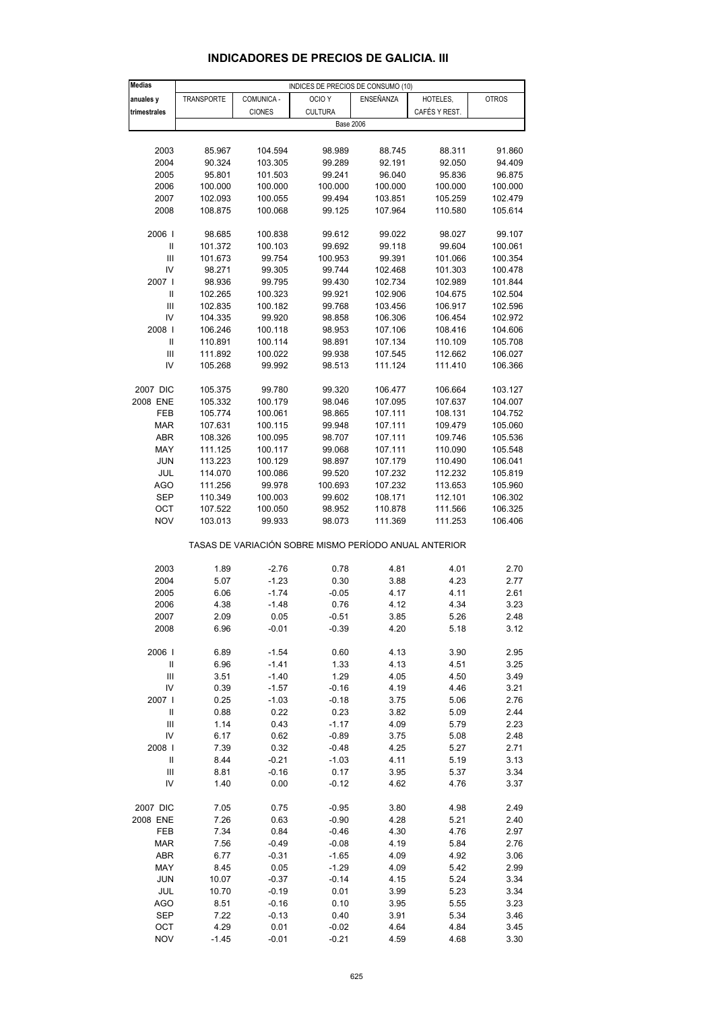| Medias                             |            |               | INDICES DE PRECIOS DE CONSUMO (10)                    |           |               |              |
|------------------------------------|------------|---------------|-------------------------------------------------------|-----------|---------------|--------------|
| anuales y                          | TRANSPORTE | COMUNICA -    | OCIO <sub>Y</sub>                                     | ENSEÑANZA | HOTELES,      | <b>OTROS</b> |
| trimestrales                       |            | <b>CIONES</b> | <b>CULTURA</b>                                        |           | CAFÉS Y REST. |              |
|                                    |            |               |                                                       |           |               |              |
|                                    |            |               | <b>Base 2006</b>                                      |           |               |              |
|                                    |            |               |                                                       |           |               |              |
| 2003                               | 85.967     | 104.594       | 98.989                                                | 88.745    | 88.311        | 91.860       |
| 2004                               | 90.324     | 103.305       | 99.289                                                | 92.191    | 92.050        | 94.409       |
| 2005                               | 95.801     | 101.503       | 99.241                                                | 96.040    | 95.836        | 96.875       |
| 2006                               | 100.000    | 100.000       | 100.000                                               | 100.000   | 100.000       | 100.000      |
| 2007                               | 102.093    | 100.055       | 99.494                                                | 103.851   | 105.259       | 102.479      |
| 2008                               | 108.875    | 100.068       | 99.125                                                | 107.964   | 110.580       | 105.614      |
|                                    |            |               |                                                       |           |               |              |
| 2006                               | 98.685     | 100.838       | 99.612                                                | 99.022    | 98.027        | 99.107       |
| $\ensuremath{\mathsf{II}}$         | 101.372    | 100.103       | 99.692                                                | 99.118    | 99.604        | 100.061      |
| $\ensuremath{\mathsf{III}}\xspace$ | 101.673    | 99.754        | 100.953                                               | 99.391    | 101.066       | 100.354      |
|                                    |            |               |                                                       |           |               |              |
| IV                                 | 98.271     | 99.305        | 99.744                                                | 102.468   | 101.303       | 100.478      |
| 2007                               | 98.936     | 99.795        | 99.430                                                | 102.734   | 102.989       | 101.844      |
| $\ensuremath{\mathsf{II}}$         | 102.265    | 100.323       | 99.921                                                | 102.906   | 104.675       | 102.504      |
| Ш                                  | 102.835    | 100.182       | 99.768                                                | 103.456   | 106.917       | 102.596      |
| IV                                 | 104.335    | 99.920        | 98.858                                                | 106.306   | 106.454       | 102.972      |
| 2008                               | 106.246    | 100.118       | 98.953                                                | 107.106   | 108.416       | 104.606      |
| Ш                                  | 110.891    | 100.114       | 98.891                                                | 107.134   | 110.109       | 105.708      |
| Ш                                  | 111.892    | 100.022       | 99.938                                                | 107.545   | 112.662       | 106.027      |
| IV                                 | 105.268    | 99.992        | 98.513                                                | 111.124   | 111.410       | 106.366      |
|                                    |            |               |                                                       |           |               |              |
| 2007 DIC                           | 105.375    | 99.780        | 99.320                                                | 106.477   | 106.664       | 103.127      |
| 2008 ENE                           | 105.332    | 100.179       | 98.046                                                | 107.095   | 107.637       | 104.007      |
| FEB                                | 105.774    | 100.061       | 98.865                                                | 107.111   | 108.131       | 104.752      |
| <b>MAR</b>                         | 107.631    | 100.115       | 99.948                                                | 107.111   | 109.479       | 105.060      |
|                                    |            |               |                                                       | 107.111   | 109.746       |              |
| ABR                                | 108.326    | 100.095       | 98.707                                                |           |               | 105.536      |
| MAY                                | 111.125    | 100.117       | 99.068                                                | 107.111   | 110.090       | 105.548      |
| <b>JUN</b>                         | 113.223    | 100.129       | 98.897                                                | 107.179   | 110.490       | 106.041      |
| JUL                                | 114.070    | 100.086       | 99.520                                                | 107.232   | 112.232       | 105.819      |
| <b>AGO</b>                         | 111.256    | 99.978        | 100.693                                               | 107.232   | 113.653       | 105.960      |
| <b>SEP</b>                         | 110.349    | 100.003       | 99.602                                                | 108.171   | 112.101       | 106.302      |
| OCT                                | 107.522    | 100.050       | 98.952                                                | 110.878   | 111.566       | 106.325      |
| <b>NOV</b>                         | 103.013    | 99.933        | 98.073                                                | 111.369   | 111.253       | 106.406      |
|                                    |            |               |                                                       |           |               |              |
|                                    |            |               | TASAS DE VARIACIÓN SOBRE MISMO PERÍODO ANUAL ANTERIOR |           |               |              |
|                                    |            |               |                                                       |           |               |              |
| 2003                               | 1.89       | $-2.76$       | 0.78                                                  | 4.81      | 4.01          | 2.70         |
| 2004                               | 5.07       | $-1.23$       | 0.30                                                  | 3.88      | 4.23          | 2.77         |
| 2005                               | 6.06       | $-1.74$       | $-0.05$                                               | 4.17      | 4.11          | 2.61         |
| 2006                               | 4.38       | $-1.48$       | 0.76                                                  | 4.12      | 4.34          | 3.23         |
| 2007                               | 2.09       | 0.05          | $-0.51$                                               | 3.85      | 5.26          | 2.48         |
|                                    |            |               |                                                       | 4.20      |               |              |
| 2008                               | 6.96       | $-0.01$       | $-0.39$                                               |           | 5.18          | 3.12         |
|                                    |            |               |                                                       |           |               |              |
| 2006                               | 6.89       | $-1.54$       | 0.60                                                  | 4.13      | 3.90          | 2.95         |
| Ш                                  | 6.96       | $-1.41$       | 1.33                                                  | 4.13      | 4.51          | 3.25         |
| Ш                                  | 3.51       | $-1.40$       | 1.29                                                  | 4.05      | 4.50          | 3.49         |
| IV                                 | 0.39       | $-1.57$       | $-0.16$                                               | 4.19      | 4.46          | 3.21         |
| 2007                               | 0.25       | $-1.03$       | $-0.18$                                               | 3.75      | 5.06          | 2.76         |
| $\, \parallel$                     | 0.88       | 0.22          | 0.23                                                  | 3.82      | 5.09          | 2.44         |
| $\ensuremath{\mathsf{III}}\xspace$ | 1.14       | 0.43          | $-1.17$                                               | 4.09      | 5.79          | 2.23         |
| IV                                 | 6.17       | 0.62          | $-0.89$                                               | 3.75      | 5.08          | 2.48         |
| 2008                               | 7.39       | 0.32          | $-0.48$                                               | 4.25      | 5.27          | 2.71         |
| $\ensuremath{\mathsf{II}}$         | 8.44       | $-0.21$       | $-1.03$                                               | 4.11      | 5.19          | 3.13         |
| Ш                                  | 8.81       | $-0.16$       | 0.17                                                  | 3.95      | 5.37          | 3.34         |
| IV                                 | 1.40       | 0.00          | $-0.12$                                               | 4.62      | 4.76          | 3.37         |
|                                    |            |               |                                                       |           |               |              |
|                                    |            |               |                                                       |           |               |              |
| 2007 DIC                           | 7.05       | 0.75          | $-0.95$                                               | 3.80      | 4.98          | 2.49         |
| 2008 ENE                           | 7.26       | 0.63          | $-0.90$                                               | 4.28      | 5.21          | 2.40         |
| FEB                                | 7.34       | 0.84          | $-0.46$                                               | 4.30      | 4.76          | 2.97         |
| <b>MAR</b>                         | 7.56       | $-0.49$       | $-0.08$                                               | 4.19      | 5.84          | 2.76         |
| ABR                                | 6.77       | $-0.31$       | $-1.65$                                               | 4.09      | 4.92          | 3.06         |
| MAY                                | 8.45       | 0.05          | $-1.29$                                               | 4.09      | 5.42          | 2.99         |
| <b>JUN</b>                         | 10.07      | $-0.37$       | $-0.14$                                               | 4.15      | 5.24          | 3.34         |
| JUL                                | 10.70      | $-0.19$       | 0.01                                                  | 3.99      | 5.23          | 3.34         |
| <b>AGO</b>                         | 8.51       | $-0.16$       | 0.10                                                  | 3.95      | 5.55          | 3.23         |
| SEP                                | 7.22       | $-0.13$       | 0.40                                                  | 3.91      | 5.34          | 3.46         |

#### **INDICADORES DE PRECIOS DE GALICIA. III**

 OCT 4.29 0.01 -0.02 4.64 4.84 3.45 NOV -1.45 -0.01 -0.21 4.59 4.68 3.30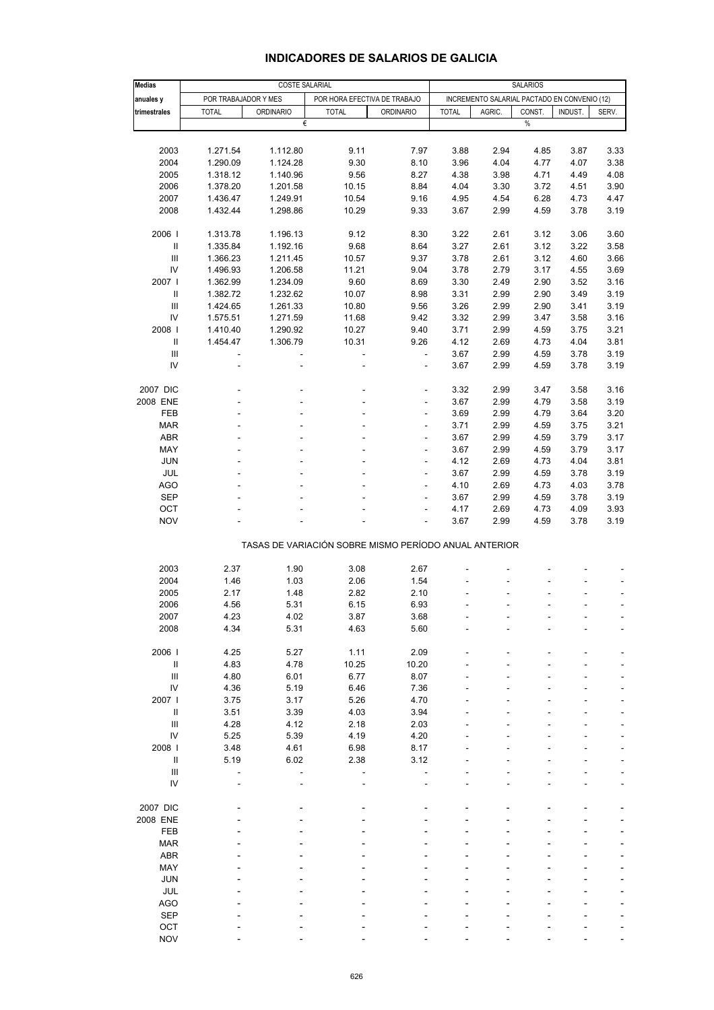| <b>Medias</b>                                         | COSTE SALARIAL           |                          |                |                              |              | <b>SALARIOS</b>                              |        |         |               |  |  |
|-------------------------------------------------------|--------------------------|--------------------------|----------------|------------------------------|--------------|----------------------------------------------|--------|---------|---------------|--|--|
| anuales y                                             | POR TRABAJADOR Y MES     |                          |                | POR HORA EFECTIVA DE TRABAJO |              | INCREMENTO SALARIAL PACTADO EN CONVENIO (12) |        |         |               |  |  |
| trimestrales                                          | <b>TOTAL</b>             | <b>ORDINARIO</b>         | <b>TOTAL</b>   | <b>ORDINARIO</b>             | <b>TOTAL</b> | AGRIC.                                       | CONST. | INDUST. | SERV.         |  |  |
|                                                       |                          | €                        |                |                              |              |                                              | $\%$   |         |               |  |  |
|                                                       |                          |                          |                |                              |              |                                              |        |         |               |  |  |
|                                                       |                          |                          |                |                              |              |                                              |        |         |               |  |  |
| 2003                                                  | 1.271.54                 | 1.112.80                 | 9.11           | 7.97                         | 3.88         | 2.94                                         | 4.85   | 3.87    | 3.33          |  |  |
| 2004                                                  | 1.290.09                 | 1.124.28                 | 9.30           | 8.10                         | 3.96         | 4.04                                         | 4.77   | 4.07    | 3.38          |  |  |
| 2005                                                  | 1.318.12                 | 1.140.96                 | 9.56           | 8.27                         | 4.38         | 3.98                                         | 4.71   | 4.49    | 4.08          |  |  |
| 2006                                                  | 1.378.20                 | 1.201.58                 | 10.15          | 8.84                         | 4.04         | 3.30                                         | 3.72   | 4.51    | 3.90          |  |  |
| 2007                                                  | 1.436.47                 | 1.249.91                 | 10.54          | 9.16                         | 4.95         | 4.54                                         | 6.28   | 4.73    | 4.47          |  |  |
| 2008                                                  | 1.432.44                 | 1.298.86                 | 10.29          | 9.33                         | 3.67         | 2.99                                         | 4.59   | 3.78    | 3.19          |  |  |
|                                                       |                          |                          |                |                              |              |                                              |        |         |               |  |  |
| 2006 l                                                | 1.313.78                 | 1.196.13                 | 9.12           | 8.30                         | 3.22         | 2.61                                         | 3.12   | 3.06    | 3.60          |  |  |
| $\ensuremath{\mathsf{II}}$                            | 1.335.84                 | 1.192.16                 | 9.68           | 8.64                         | 3.27         | 2.61                                         | 3.12   | 3.22    | 3.58          |  |  |
| $\mathbf{III}$                                        | 1.366.23                 | 1.211.45                 | 10.57          | 9.37                         | 3.78         | 2.61                                         | 3.12   | 4.60    | 3.66          |  |  |
| IV                                                    | 1.496.93                 | 1.206.58                 | 11.21          | 9.04                         | 3.78         | 2.79                                         | 3.17   | 4.55    | 3.69          |  |  |
| 2007 l                                                | 1.362.99                 | 1.234.09                 | 9.60           | 8.69                         | 3.30         | 2.49                                         | 2.90   | 3.52    | 3.16          |  |  |
| $\mathsf{I}$                                          |                          |                          |                |                              |              |                                              |        |         |               |  |  |
|                                                       | 1.382.72                 | 1.232.62                 | 10.07          | 8.98                         | 3.31         | 2.99                                         | 2.90   | 3.49    | 3.19          |  |  |
| Ш                                                     | 1.424.65                 | 1.261.33                 | 10.80          | 9.56                         | 3.26         | 2.99                                         | 2.90   | 3.41    | 3.19          |  |  |
| IV                                                    | 1.575.51                 | 1.271.59                 | 11.68          | 9.42                         | 3.32         | 2.99                                         | 3.47   | 3.58    | 3.16          |  |  |
| 2008                                                  | 1.410.40                 | 1.290.92                 | 10.27          | 9.40                         | 3.71         | 2.99                                         | 4.59   | 3.75    | 3.21          |  |  |
| Ш                                                     | 1.454.47                 | 1.306.79                 | 10.31          | 9.26                         | 4.12         | 2.69                                         | 4.73   | 4.04    | 3.81          |  |  |
| $\mathbf{III}$                                        | $\overline{\phantom{a}}$ | $\overline{\phantom{a}}$ | $\blacksquare$ | $\Box$                       | 3.67         | 2.99                                         | 4.59   | 3.78    | 3.19          |  |  |
| IV                                                    | L,                       | L,                       |                | ä,                           | 3.67         | 2.99                                         | 4.59   | 3.78    | 3.19          |  |  |
|                                                       |                          |                          |                |                              |              |                                              |        |         |               |  |  |
| 2007 DIC                                              |                          |                          |                | ٠                            | 3.32         | 2.99                                         | 3.47   | 3.58    | 3.16          |  |  |
| 2008 ENE                                              |                          |                          |                | ÷                            | 3.67         | 2.99                                         | 4.79   | 3.58    | 3.19          |  |  |
| <b>FEB</b>                                            |                          |                          |                | ÷,                           | 3.69         | 2.99                                         | 4.79   | 3.64    | 3.20          |  |  |
| <b>MAR</b>                                            |                          | ٠                        | ä,             | $\overline{\phantom{a}}$     | 3.71         | 2.99                                         | 4.59   | 3.75    | 3.21          |  |  |
| <b>ABR</b>                                            |                          |                          |                | L,                           | 3.67         | 2.99                                         |        | 3.79    |               |  |  |
|                                                       |                          |                          |                |                              |              |                                              | 4.59   |         | 3.17          |  |  |
| MAY                                                   |                          |                          |                | ÷,                           | 3.67         | 2.99                                         | 4.59   | 3.79    | 3.17          |  |  |
| <b>JUN</b>                                            |                          | ٠                        | ä,             | $\overline{\phantom{a}}$     | 4.12         | 2.69                                         | 4.73   | 4.04    | 3.81          |  |  |
| JUL                                                   |                          |                          |                |                              | 3.67         | 2.99                                         | 4.59   | 3.78    | 3.19          |  |  |
| <b>AGO</b>                                            |                          |                          |                | ä,                           | 4.10         | 2.69                                         | 4.73   | 4.03    | 3.78          |  |  |
| <b>SEP</b>                                            |                          |                          |                | ÷,                           | 3.67         | 2.99                                         | 4.59   | 3.78    | 3.19          |  |  |
| OCT                                                   |                          |                          |                |                              | 4.17         | 2.69                                         | 4.73   | 4.09    | 3.93          |  |  |
| <b>NOV</b>                                            |                          |                          |                | ÷,                           | 3.67         | 2.99                                         | 4.59   | 3.78    | 3.19          |  |  |
| TASAS DE VARIACIÓN SOBRE MISMO PERÍODO ANUAL ANTERIOR |                          |                          |                |                              |              |                                              |        |         |               |  |  |
|                                                       |                          |                          |                |                              |              |                                              |        |         |               |  |  |
| 2003                                                  | 2.37                     | 1.90                     | 3.08           | 2.67                         |              |                                              |        |         |               |  |  |
| 2004                                                  | 1.46                     | 1.03                     | 2.06           | 1.54                         |              |                                              |        |         |               |  |  |
| 2005                                                  | 2.17                     | 1.48                     | 2.82           | 2.10                         |              |                                              |        |         | ÷,            |  |  |
| 2006                                                  |                          |                          |                | 6.93                         |              |                                              |        |         |               |  |  |
|                                                       | 4.56                     | 5.31                     | 6.15           |                              |              |                                              |        |         | $\frac{1}{2}$ |  |  |
| 2007                                                  | 4.23                     | 4.02                     | 3.87           | 3.68                         |              |                                              |        |         |               |  |  |
| 2008                                                  | 4.34                     | 5.31                     | 4.63           | 5.60                         |              |                                              |        |         |               |  |  |
|                                                       |                          |                          |                |                              |              |                                              |        |         |               |  |  |
| 2006                                                  | 4.25                     | 5.27                     | 1.11           | 2.09                         |              |                                              |        |         |               |  |  |
| $\rm{II}$                                             | 4.83                     | 4.78                     | 10.25          | 10.20                        |              |                                              |        |         |               |  |  |
| Ш                                                     | 4.80                     | 6.01                     | 6.77           | 8.07                         |              |                                              |        |         |               |  |  |
| IV                                                    | 4.36                     | 5.19                     | 6.46           | 7.36                         |              |                                              |        |         |               |  |  |
| 2007 l                                                | 3.75                     | 3.17                     | 5.26           | 4.70                         |              |                                              |        |         |               |  |  |
| $\ensuremath{\mathsf{II}}$                            | 3.51                     | 3.39                     | 4.03           | 3.94                         |              |                                              |        |         |               |  |  |
| $\ensuremath{\mathsf{III}}\xspace$                    | 4.28                     | 4.12                     | 2.18           | 2.03                         |              |                                              |        |         |               |  |  |
| IV                                                    | 5.25                     | 5.39                     | 4.19           | 4.20                         |              |                                              |        |         |               |  |  |
| 2008                                                  | 3.48                     | 4.61                     | 6.98           | 8.17                         |              |                                              |        |         |               |  |  |
| $\, \parallel$                                        | 5.19                     | 6.02                     | 2.38           | 3.12                         |              |                                              |        |         |               |  |  |
| $\ensuremath{\mathsf{III}}\xspace$                    | $\overline{\phantom{a}}$ |                          |                |                              |              |                                              |        |         |               |  |  |
| IV                                                    |                          |                          |                |                              |              |                                              |        |         |               |  |  |
|                                                       |                          |                          |                |                              |              |                                              |        |         |               |  |  |
|                                                       |                          |                          |                |                              |              |                                              |        |         |               |  |  |
| 2007 DIC                                              |                          |                          |                |                              |              |                                              |        |         |               |  |  |
| 2008 ENE                                              |                          |                          |                |                              |              |                                              |        |         |               |  |  |
| FEB                                                   |                          |                          |                |                              |              |                                              |        |         |               |  |  |
| <b>MAR</b>                                            |                          |                          |                |                              |              |                                              |        |         |               |  |  |
| <b>ABR</b>                                            |                          |                          |                |                              |              |                                              |        |         |               |  |  |
| MAY                                                   |                          |                          |                |                              |              |                                              |        |         |               |  |  |
| <b>JUN</b>                                            |                          |                          |                |                              |              |                                              |        |         |               |  |  |
| JUL                                                   |                          |                          |                |                              |              |                                              |        |         |               |  |  |
| <b>AGO</b>                                            |                          |                          |                |                              |              |                                              |        |         |               |  |  |
| <b>SEP</b>                                            |                          |                          |                |                              |              |                                              |        |         |               |  |  |
| OCT                                                   |                          |                          |                |                              |              |                                              |        |         |               |  |  |
| <b>NOV</b>                                            |                          |                          |                |                              |              |                                              |        |         |               |  |  |
|                                                       |                          |                          |                |                              |              |                                              |        |         |               |  |  |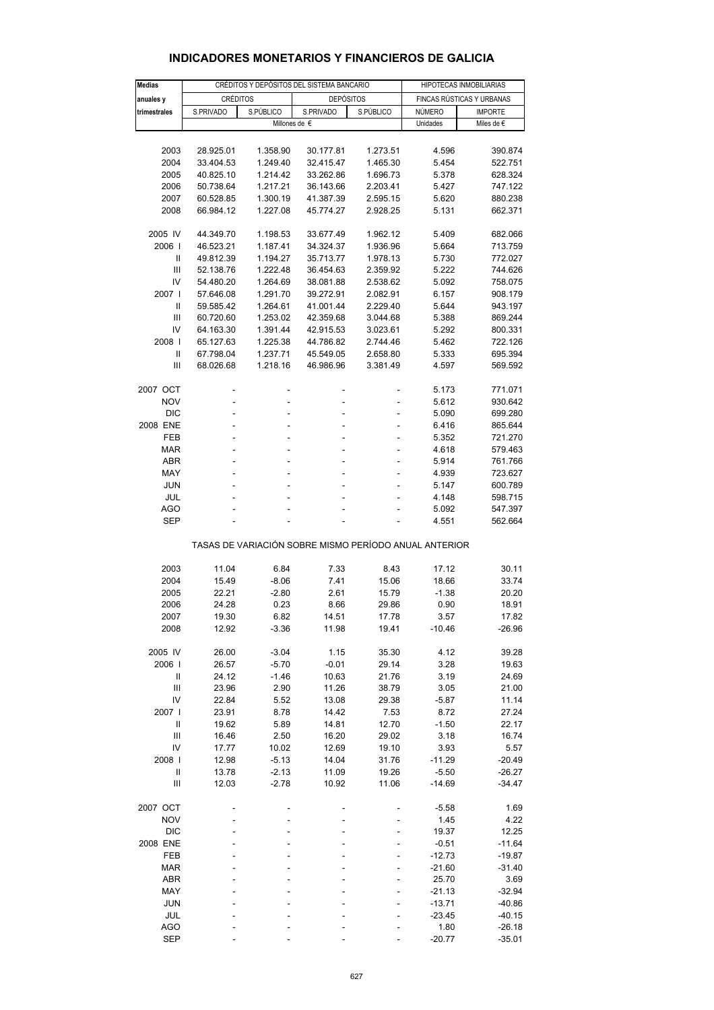| <b>Medias</b>                                         |                          | CRÉDITOS Y DEPÓSITOS DEL SISTEMA BANCARIO | HIPOTECAS INMOBILIARIAS |          |                           |                |  |  |
|-------------------------------------------------------|--------------------------|-------------------------------------------|-------------------------|----------|---------------------------|----------------|--|--|
| anuales y                                             | <b>CRÉDITOS</b>          |                                           | <b>DEPÓSITOS</b>        |          | FINCAS RÚSTICAS Y URBANAS |                |  |  |
| trimestrales                                          | S.PÚBLICO<br>S.PRIVADO   |                                           | S.PRIVADO<br>S.PÚBLICO  |          | NÚMERO                    | <b>IMPORTE</b> |  |  |
|                                                       | Millones de €            |                                           |                         |          | Unidades                  | Miles de $\in$ |  |  |
|                                                       |                          |                                           |                         |          |                           |                |  |  |
| 2003                                                  | 28.925.01                | 1.358.90                                  | 30.177.81               | 1.273.51 | 4.596                     | 390.874        |  |  |
| 2004                                                  | 33.404.53                | 1.249.40                                  | 32.415.47               | 1.465.30 | 5.454                     | 522.751        |  |  |
| 2005                                                  | 40.825.10                | 1.214.42                                  | 33.262.86               | 1.696.73 | 5.378                     | 628.324        |  |  |
| 2006                                                  | 50.738.64                | 1.217.21                                  | 36.143.66               | 2.203.41 | 5.427                     | 747.122        |  |  |
| 2007                                                  | 60.528.85                | 1.300.19                                  | 41.387.39               | 2.595.15 | 5.620                     | 880.238        |  |  |
| 2008                                                  | 66.984.12                | 1.227.08                                  | 45.774.27               | 2.928.25 | 5.131                     | 662.371        |  |  |
|                                                       |                          |                                           |                         |          |                           |                |  |  |
| 2005 IV                                               | 44.349.70                | 1.198.53                                  | 33.677.49               | 1.962.12 | 5.409                     | 682.066        |  |  |
| 2006                                                  | 46.523.21                | 1.187.41                                  | 34.324.37               | 1.936.96 | 5.664                     | 713.759        |  |  |
| $\mathbf{I}$                                          | 49.812.39                | 1.194.27                                  | 35.713.77               | 1.978.13 | 5.730                     | 772.027        |  |  |
| Ш                                                     | 52.138.76                | 1.222.48                                  | 36.454.63               | 2.359.92 | 5.222                     | 744.626        |  |  |
| IV                                                    | 54.480.20                | 1.264.69                                  | 38.081.88               | 2.538.62 | 5.092                     | 758.075        |  |  |
| 2007 l                                                | 57.646.08                | 1.291.70                                  | 39.272.91               | 2.082.91 | 6.157                     | 908.179        |  |  |
| $\mathbf{I}$                                          | 59.585.42                | 1.264.61                                  | 41.001.44               | 2.229.40 | 5.644                     | 943.197        |  |  |
| Ш                                                     | 60.720.60                | 1.253.02                                  | 42.359.68               | 3.044.68 | 5.388                     | 869.244        |  |  |
| IV                                                    | 64.163.30                | 1.391.44                                  | 42.915.53               | 3.023.61 | 5.292                     | 800.331        |  |  |
| 2008                                                  | 65.127.63                | 1.225.38                                  | 44.786.82               | 2.744.46 | 5.462                     | 722.126        |  |  |
| Ш                                                     | 67.798.04                | 1.237.71                                  | 45.549.05               | 2.658.80 | 5.333                     | 695.394        |  |  |
| Ш                                                     | 68.026.68                | 1.218.16                                  | 46.986.96               | 3.381.49 | 4.597                     | 569.592        |  |  |
|                                                       |                          |                                           |                         |          |                           |                |  |  |
| 2007 OCT                                              |                          |                                           |                         | -        | 5.173                     | 771.071        |  |  |
| <b>NOV</b>                                            |                          |                                           |                         |          | 5.612                     | 930.642        |  |  |
| <b>DIC</b>                                            | ÷                        | ÷                                         | ÷                       | ÷,       | 5.090                     | 699.280        |  |  |
| 2008 ENE                                              | ÷,                       | ÷,                                        | ä,                      | ÷        | 6.416                     | 865.644        |  |  |
| FEB                                                   |                          |                                           | ä,                      | ÷        | 5.352                     | 721.270        |  |  |
| <b>MAR</b>                                            | $\overline{\phantom{a}}$ | ÷,                                        | ÷,                      | ÷        | 4.618                     | 579.463        |  |  |
| <b>ABR</b>                                            | ÷,                       |                                           | ä,                      | ä,       | 5.914                     | 761.766        |  |  |
| MAY                                                   |                          |                                           |                         |          | 4.939                     | 723.627        |  |  |
| <b>JUN</b>                                            | $\overline{\phantom{a}}$ | ÷,                                        | ÷,                      | ÷        | 5.147                     | 600.789        |  |  |
| JUL                                                   | ÷,                       |                                           | ä,                      | ä,       | 4.148                     | 598.715        |  |  |
| AGO                                                   |                          |                                           |                         |          | 5.092                     | 547.397        |  |  |
| <b>SEP</b>                                            | ä,                       |                                           |                         |          | 4.551                     | 562.664        |  |  |
|                                                       |                          |                                           |                         |          |                           |                |  |  |
| TASAS DE VARIACIÓN SOBRE MISMO PERÍODO ANUAL ANTERIOR |                          |                                           |                         |          |                           |                |  |  |
|                                                       |                          |                                           |                         |          |                           |                |  |  |
| 2003                                                  | 11.04                    | 6.84                                      | 7.33                    | 8.43     | 17.12                     | 30.11          |  |  |
| 2004                                                  | 15.49                    | $-8.06$                                   | 7.41                    | 15.06    | 18.66                     | 33.74          |  |  |
| 2005                                                  | 22.21                    | $-2.80$                                   | 2.61                    | 15.79    | $-1.38$                   | 20.20          |  |  |
| 2006                                                  | 24.28                    | 0.23                                      | 8.66                    | 29.86    | 0.90                      | 18.91          |  |  |
| 2007                                                  | 19.30                    | 6.82                                      | 14.51                   | 17.78    | 3.57                      | 17.82          |  |  |
| 2008                                                  | 12.92                    | $-3.36$                                   | 11.98                   | 19.41    | $-10.46$                  | -26.96         |  |  |
|                                                       |                          |                                           |                         |          |                           |                |  |  |
| 2005 IV                                               | 26.00                    | $-3.04$                                   | 1.15                    | 35.30    | 4.12                      | 39.28          |  |  |
| 2006                                                  | 26.57                    | $-5.70$                                   | $-0.01$                 | 29.14    | 3.28                      | 19.63          |  |  |
| Ш                                                     | 24.12                    | $-1.46$                                   | 10.63                   | 21.76    | 3.19                      | 24.69          |  |  |
| Ш                                                     | 23.96                    | 2.90                                      | 11.26                   | 38.79    | 3.05                      | 21.00          |  |  |
| IV                                                    | 22.84                    | 5.52                                      | 13.08                   | 29.38    | $-5.87$                   | 11.14          |  |  |
| 2007 l                                                | 23.91                    | 8.78                                      | 14.42                   | 7.53     | 8.72                      | 27.24          |  |  |
| $\ensuremath{\mathsf{II}}$                            | 19.62                    | 5.89                                      | 14.81                   | 12.70    | $-1.50$                   | 22.17          |  |  |
| $\mathbf{III}$                                        | 16.46                    | 2.50                                      | 16.20                   | 29.02    | 3.18                      | 16.74          |  |  |
| IV                                                    | 17.77                    | 10.02                                     | 12.69                   | 19.10    | 3.93                      | 5.57           |  |  |
| 2008                                                  | 12.98                    | $-5.13$                                   | 14.04                   | 31.76    | $-11.29$                  | $-20.49$       |  |  |
| $\sf II$                                              | 13.78                    | $-2.13$                                   | 11.09                   | 19.26    | $-5.50$                   | $-26.27$       |  |  |
| $\ensuremath{\mathsf{III}}\xspace$                    | 12.03                    | $-2.78$                                   | 10.92                   | 11.06    | $-14.69$                  | $-34.47$       |  |  |
|                                                       |                          |                                           |                         |          |                           |                |  |  |
| 2007 OCT                                              |                          |                                           |                         |          | $-5.58$                   | 1.69           |  |  |
| <b>NOV</b>                                            |                          |                                           |                         |          | 1.45                      | 4.22           |  |  |
| <b>DIC</b>                                            |                          |                                           |                         |          | 19.37                     | 12.25          |  |  |
| 2008 ENE                                              |                          |                                           |                         |          | $-0.51$                   | $-11.64$       |  |  |
| FEB                                                   |                          |                                           |                         |          | $-12.73$                  | $-19.87$       |  |  |
| <b>MAR</b>                                            |                          |                                           |                         |          | $-21.60$                  | $-31.40$       |  |  |
| ABR                                                   |                          |                                           |                         |          | 25.70                     | 3.69           |  |  |
| MAY                                                   |                          |                                           |                         |          | $-21.13$                  | $-32.94$       |  |  |
| <b>JUN</b>                                            |                          |                                           |                         |          | $-13.71$                  | $-40.86$       |  |  |
| JUL                                                   |                          |                                           |                         |          | $-23.45$                  | -40.15         |  |  |
| AGO                                                   |                          |                                           |                         |          | 1.80                      | $-26.18$       |  |  |
| <b>SEP</b>                                            |                          |                                           |                         |          | $-20.77$                  | $-35.01$       |  |  |